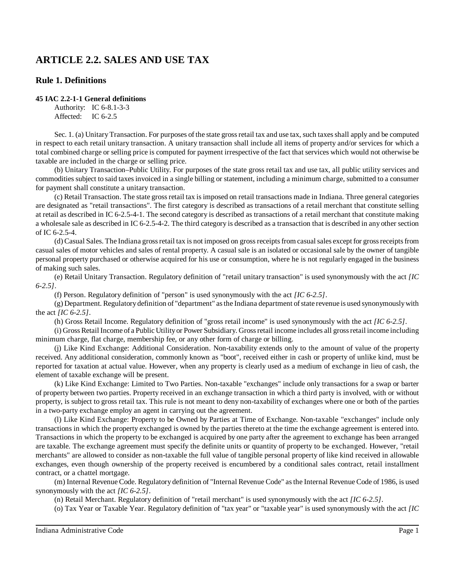# **ARTICLE 2.2. SALES AND USE TAX**

# **Rule 1. Definitions**

### **45 IAC 2.2-1-1 General definitions**

Authority: IC 6-8.1-3-3 Affected: IC 6-2.5

Sec. 1. (a) Unitary Transaction. For purposes of the state gross retail tax and use tax, such taxes shall apply and be computed in respect to each retail unitary transaction. A unitary transaction shall include all items of property and/or services for which a total combined charge or selling price is computed for payment irrespective of the fact that services which would not otherwise be taxable are included in the charge or selling price.

(b) Unitary Transaction–Public Utility. For purposes of the state gross retail tax and use tax, all public utility services and commodities subject to said taxesinvoiced in a single billing or statement, including a minimum charge, submitted to a consumer for payment shall constitute a unitary transaction.

(c) Retail Transaction. The state grossretail tax isimposed on retail transactions made in Indiana. Three general categories are designated as "retail transactions". The first category is described as transactions of a retail merchant that constitute selling at retail as described in IC 6-2.5-4-1. The second category is described as transactions of a retail merchant that constitute making a wholesale sale as described in IC 6-2.5-4-2. The third category is described as a transaction that is described in any other section of IC 6-2.5-4.

(d) Casual Sales. The Indiana grossretail tax is not imposed on grossreceiptsfrom casualsales except for grossreceiptsfrom casual sales of motor vehicles and sales of rental property. A casual sale is an isolated or occasional sale by the owner of tangible personal property purchased or otherwise acquired for his use or consumption, where he is not regularly engaged in the business of making such sales.

(e) Retail Unitary Transaction. Regulatory definition of "retail unitary transaction" is used synonymously with the act *[IC 6-2.5]*.

(f) Person. Regulatory definition of "person" is used synonymously with the act *[IC 6-2.5]*.

(g) Department. Regulatorydefinition of "department" asthe Indiana department ofstate revenue is used synonymouslywith the act *[IC 6-2.5]*.

(h) Gross Retail Income. Regulatory definition of "gross retail income" is used synonymously with the act *[IC 6-2.5]*.

(i) GrossRetail Income of a Public Utilityor Power Subsidiary. Grossretail income includes all grossretail income including minimum charge, flat charge, membership fee, or any other form of charge or billing.

(j) Like Kind Exchange: Additional Consideration. Non-taxability extends only to the amount of value of the property received. Any additional consideration, commonly known as "boot", received either in cash or property of unlike kind, must be reported for taxation at actual value. However, when any property is clearly used as a medium of exchange in lieu of cash, the element of taxable exchange will be present.

(k) Like Kind Exchange: Limited to Two Parties. Non-taxable "exchanges" include only transactions for a swap or barter of property between two parties. Property received in an exchange transaction in which a third party is involved, with or without property, is subject to gross retail tax. This rule is not meant to deny non-taxability of exchanges where one or both of the parties in a two-party exchange employ an agent in carrying out the agreement.

(l) Like Kind Exchange: Property to be Owned by Parties at Time of Exchange. Non-taxable "exchanges" include only transactions in which the property exchanged is owned by the parties thereto at the time the exchange agreement is entered into. Transactions in which the property to be exchanged is acquired by one party after the agreement to exchange has been arranged are taxable. The exchange agreement must specify the definite units or quantity of property to be exchanged. However, "retail merchants" are allowed to consider as non-taxable the full value of tangible personal property of like kind received in allowable exchanges, even though ownership of the property received is encumbered by a conditional sales contract, retail installment contract, or a chattel mortgage.

(m) Internal Revenue Code. Regulatory definition of "Internal Revenue Code" asthe Internal Revenue Code of 1986, is used synonymously with the act *[IC 6-2.5]*.

(n) Retail Merchant. Regulatory definition of "retail merchant" is used synonymously with the act *[IC 6-2.5]*.

(o) Tax Year or Taxable Year. Regulatory definition of "tax year" or "taxable year" is used synonymously with the act *[IC*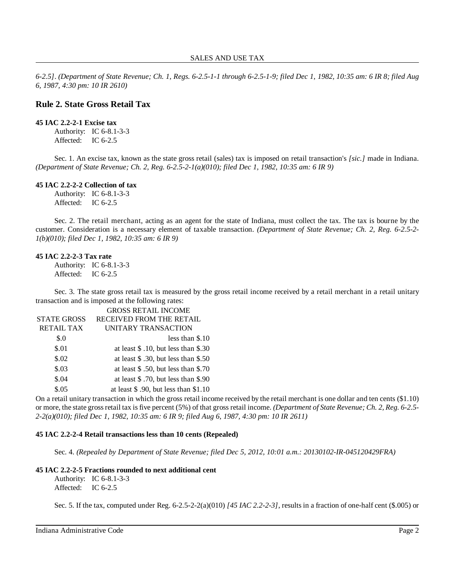*6-2.5]*. *(Department of State Revenue; Ch. 1, Regs. 6-2.5-1-1 through 6-2.5-1-9; filed Dec 1, 1982, 10:35 am: 6 IR 8; filed Aug 6, 1987, 4:30 pm: 10 IR 2610)*

# **Rule 2. State Gross Retail Tax**

### **45 IAC 2.2-2-1 Excise tax**

Authority: IC 6-8.1-3-3 Affected: IC 6-2.5

Sec. 1. An excise tax, known as the state gross retail (sales) tax is imposed on retail transaction's *[sic.]* made in Indiana. *(Department of State Revenue; Ch. 2, Reg. 6-2.5-2-1(a)(010); filed Dec 1, 1982, 10:35 am: 6 IR 9)*

#### **45 IAC 2.2-2-2 Collection of tax**

Authority: IC 6-8.1-3-3 Affected: IC 6-2.5

Sec. 2. The retail merchant, acting as an agent for the state of Indiana, must collect the tax. The tax is bourne by the customer. Consideration is a necessary element of taxable transaction. *(Department of State Revenue; Ch. 2, Reg. 6-2.5-2- 1(b)(010); filed Dec 1, 1982, 10:35 am: 6 IR 9)*

#### **45 IAC 2.2-2-3 Tax rate**

Authority: IC 6-8.1-3-3 Affected: IC 6-2.5

Sec. 3. The state gross retail tax is measured by the gross retail income received by a retail merchant in a retail unitary transaction and is imposed at the following rates: GROSS RETAIL INCOME

|                    | UNUSS NETAIL INCUME                     |
|--------------------|-----------------------------------------|
| <b>STATE GROSS</b> | RECEIVED FROM THE RETAIL                |
| <b>RETAIL TAX</b>  | UNITARY TRANSACTION                     |
| \$.0               | less than $$.10$                        |
| \$.01              | at least \$ .10, but less than \$.30    |
| \$.02              | at least $$.30$ , but less than $$.50$  |
| \$.03              | at least $$.50$ , but less than $$.70$  |
| \$.04              | at least $$.70$ , but less than $$.90$  |
| \$.05              | at least $$.90$ , but less than $$1.10$ |
|                    |                                         |

On a retail unitary transaction in which the gross retail income received by the retail merchant is one dollar and ten cents (\$1.10) or more, the state grossretail tax isfive percent (5%) of that gross retail income. *(Department of State Revenue; Ch. 2, Reg. 6-2.5- 2-2(a)(010); filed Dec 1, 1982, 10:35 am: 6 IR 9; filed Aug 6, 1987, 4:30 pm: 10 IR 2611)*

### **45 IAC 2.2-2-4 Retail transactions less than 10 cents (Repealed)**

Sec. 4. *(Repealed by Department of State Revenue; filed Dec 5, 2012, 10:01 a.m.: 20130102-IR-045120429FRA)*

### **45 IAC 2.2-2-5 Fractions rounded to next additional cent**

Authority: IC 6-8.1-3-3 Affected: IC 6-2.5

Sec. 5. If the tax, computed under Reg. 6-2.5-2-2(a)(010) *[45 IAC 2.2-2-3]*, results in a fraction of one-half cent (\$.005) or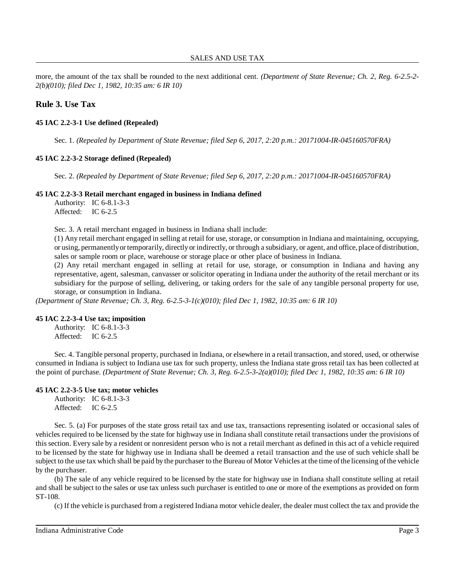more, the amount of the tax shall be rounded to the next additional cent. *(Department of State Revenue; Ch. 2, Reg. 6-2.5-2- 2(b)(010); filed Dec 1, 1982, 10:35 am: 6 IR 10)*

# **Rule 3. Use Tax**

### **45 IAC 2.2-3-1 Use defined (Repealed)**

Sec. 1. *(Repealed by Department of State Revenue; filed Sep 6, 2017, 2:20 p.m.: 20171004-IR-045160570FRA)*

### **45 IAC 2.2-3-2 Storage defined (Repealed)**

Sec. 2. *(Repealed by Department of State Revenue; filed Sep 6, 2017, 2:20 p.m.: 20171004-IR-045160570FRA)*

### **45 IAC 2.2-3-3 Retail merchant engaged in business in Indiana defined**

Authority: IC 6-8.1-3-3 Affected: IC 6-2.5

Sec. 3. A retail merchant engaged in business in Indiana shall include:

(1) Any retail merchant engaged in selling at retail for use, storage, or consumption in Indiana and maintaining, occupying, or using, permanentlyor temporarily, directlyor indirectly, or through a subsidiary, or agent, and office, place ofdistribution, sales or sample room or place, warehouse or storage place or other place of business in Indiana.

(2) Any retail merchant engaged in selling at retail for use, storage, or consumption in Indiana and having any representative, agent, salesman, canvasser or solicitor operating in Indiana under the authority of the retail merchant or its subsidiary for the purpose of selling, delivering, or taking orders for the sale of any tangible personal property for use, storage, or consumption in Indiana.

*(Department of State Revenue; Ch. 3, Reg. 6-2.5-3-1(c)(010); filed Dec 1, 1982, 10:35 am: 6 IR 10)*

### **45 IAC 2.2-3-4 Use tax; imposition**

Authority: IC 6-8.1-3-3 Affected: IC 6-2.5

Sec. 4. Tangible personal property, purchased in Indiana, or elsewhere in a retail transaction, and stored, used, or otherwise consumed in Indiana is subject to Indiana use tax for such property, unless the Indiana state gross retail tax has been collected at the point of purchase. *(Department of State Revenue; Ch. 3, Reg. 6-2.5-3-2(a)(010); filed Dec 1, 1982, 10:35 am: 6 IR 10)*

### **45 IAC 2.2-3-5 Use tax; motor vehicles**

Authority: IC 6-8.1-3-3 Affected: IC 6-2.5

Sec. 5. (a) For purposes of the state gross retail tax and use tax, transactions representing isolated or occasional sales of vehicles required to be licensed by the state for highway use in Indiana shall constitute retail transactions under the provisions of this section. Every sale by a resident or nonresident person who is not a retail merchant as defined in this act of a vehicle required to be licensed by the state for highway use in Indiana shall be deemed a retail transaction and the use of such vehicle shall be subject to the use tax which shall be paid by the purchaser to the Bureau of Motor Vehicles at the time ofthe licensing ofthe vehicle by the purchaser.

(b) The sale of any vehicle required to be licensed by the state for highway use in Indiana shall constitute selling at retail and shall be subject to the sales or use tax unless such purchaser is entitled to one or more of the exemptions as provided on form ST-108.

(c) If the vehicle is purchased from a registered Indiana motor vehicle dealer, the dealer must collect the tax and provide the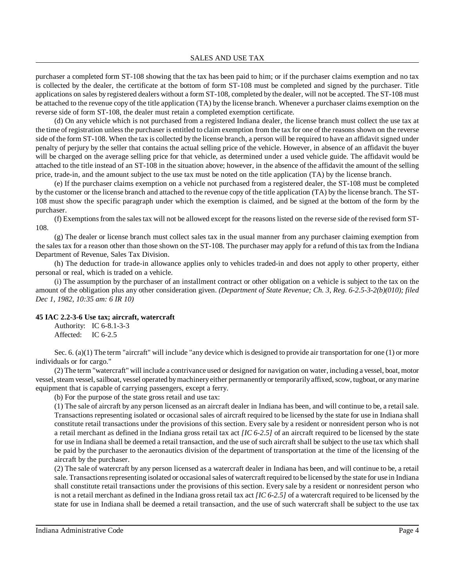purchaser a completed form ST-108 showing that the tax has been paid to him; or if the purchaser claims exemption and no tax is collected by the dealer, the certificate at the bottom of form ST-108 must be completed and signed by the purchaser. Title applications on sales by registered dealers without a form ST-108, completed by the dealer, will not be accepted. The ST-108 must be attached to the revenue copy of the title application (TA) by the license branch. Whenever a purchaser claims exemption on the reverse side of form ST-108, the dealer must retain a completed exemption certificate.

(d) On any vehicle which is not purchased from a registered Indiana dealer, the license branch must collect the use tax at the time of registration unlessthe purchaser is entitled to claim exemption from the tax for one of the reasons shown on the reverse side of the form ST-108. When the tax is collected bythe license branch, a person will be required to have an affidavit signed under penalty of perjury by the seller that contains the actual selling price of the vehicle. However, in absence of an affidavit the buyer will be charged on the average selling price for that vehicle, as determined under a used vehicle guide. The affidavit would be attached to the title instead of an ST-108 in the situation above; however, in the absence of the affidavit the amount of the selling price, trade-in, and the amount subject to the use tax must be noted on the title application (TA) by the license branch.

(e) If the purchaser claims exemption on a vehicle not purchased from a registered dealer, the ST-108 must be completed by the customer or the license branch and attached to the revenue copy of the title application (TA) by the license branch. The ST-108 must show the specific paragraph under which the exemption is claimed, and be signed at the bottom of the form by the purchaser.

(f) Exemptionsfrom the salestax will not be allowed except for the reasons listed on the reverse side of the revised form ST-108.

(g) The dealer or license branch must collect sales tax in the usual manner from any purchaser claiming exemption from the sales tax for a reason other than those shown on the ST-108. The purchaser may apply for a refund of thistax from the Indiana Department of Revenue, Sales Tax Division.

(h) The deduction for trade-in allowance applies only to vehicles traded-in and does not apply to other property, either personal or real, which is traded on a vehicle.

(i) The assumption by the purchaser of an installment contract or other obligation on a vehicle is subject to the tax on the amount of the obligation plus any other consideration given. *(Department of State Revenue; Ch. 3, Reg. 6-2.5-3-2(b)(010); filed Dec 1, 1982, 10:35 am: 6 IR 10)*

### **45 IAC 2.2-3-6 Use tax; aircraft, watercraft**

Authority: IC 6-8.1-3-3 Affected: IC 6-2.5

Sec. 6. (a)(1) The term "aircraft" will include "any device which is designed to provide air transportation for one (1) or more individuals or for cargo."

(2) The term "watercraft" will include a contrivance used or designed for navigation on water, including a vessel, boat, motor vessel, steam vessel, sailboat, vessel operated by machinery either permanently or temporarily affixed, scow, tugboat, or any marine equipment that is capable of carrying passengers, except a ferry.

(b) For the purpose of the state gross retail and use tax:

(1) The sale of aircraft by any person licensed as an aircraft dealer in Indiana has been, and will continue to be, a retail sale. Transactions representing isolated or occasional sales of aircraft required to be licensed by the state for use in Indiana shall constitute retail transactions under the provisions of this section. Every sale by a resident or nonresident person who is not a retail merchant as defined in the Indiana gross retail tax act *[IC 6-2.5]* of an aircraft required to be licensed by the state for use in Indiana shall be deemed a retail transaction, and the use ofsuch aircraft shall be subject to the use tax which shall be paid by the purchaser to the aeronautics division of the department of transportation at the time of the licensing of the aircraft by the purchaser.

(2) The sale of watercraft by any person licensed as a watercraft dealer in Indiana has been, and will continue to be, a retail sale. Transactions representing isolated or occasional sales of watercraft required to be licensed by the state for use in Indiana shall constitute retail transactions under the provisions of this section. Every sale by a resident or nonresident person who is not a retail merchant as defined in the Indiana gross retail tax act *[IC 6-2.5]* of a watercraft required to be licensed by the state for use in Indiana shall be deemed a retail transaction, and the use of such watercraft shall be subject to the use tax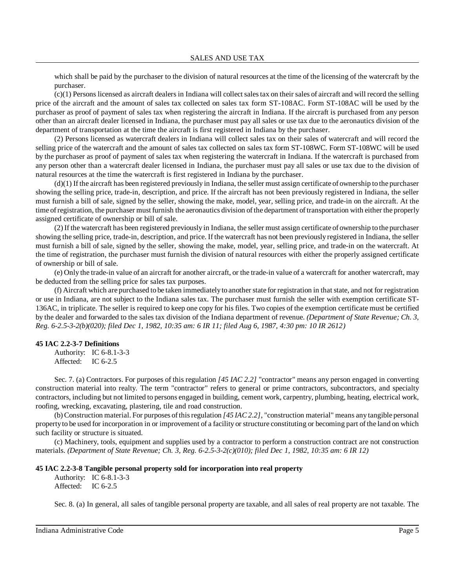which shall be paid by the purchaser to the division of natural resources at the time of the licensing of the watercraft by the purchaser.

 $(c)(1)$  Persons licensed as aircraft dealers in Indiana will collect sales tax on their sales of aircraft and will record the selling price of the aircraft and the amount of sales tax collected on sales tax form ST-108AC. Form ST-108AC will be used by the purchaser as proof of payment of sales tax when registering the aircraft in Indiana. If the aircraft is purchased from any person other than an aircraft dealer licensed in Indiana, the purchaser must pay all sales or use tax due to the aeronautics division of the department of transportation at the time the aircraft is first registered in Indiana by the purchaser.

(2) Persons licensed as watercraft dealers in Indiana will collect sales tax on their sales of watercraft and will record the selling price of the watercraft and the amount of sales tax collected on sales tax form ST-108WC. Form ST-108WC will be used by the purchaser as proof of payment of sales tax when registering the watercraft in Indiana. If the watercraft is purchased from any person other than a watercraft dealer licensed in Indiana, the purchaser must pay all sales or use tax due to the division of natural resources at the time the watercraft is first registered in Indiana by the purchaser.

(d)(1) If the aircraft has been registered previously in Indiana, the seller must assign certificate of ownership to the purchaser showing the selling price, trade-in, description, and price. If the aircraft has not been previously registered in Indiana, the seller must furnish a bill of sale, signed by the seller, showing the make, model, year, selling price, and trade-in on the aircraft. At the time of registration, the purchaser must furnish the aeronautics division of the department of transportation with either the properly assigned certificate of ownership or bill of sale.

(2) If the watercraft has been registered previously in Indiana, the seller must assign certificate of ownership to the purchaser showing the selling price, trade-in, description, and price. If the watercraft has not been previously registered in Indiana, the seller must furnish a bill of sale, signed by the seller, showing the make, model, year, selling price, and trade-in on the watercraft. At the time of registration, the purchaser must furnish the division of natural resources with either the properly assigned certificate of ownership or bill of sale.

(e) Only the trade-in value of an aircraft for another aircraft, or the trade-in value of a watercraft for another watercraft, may be deducted from the selling price for sales tax purposes.

(f) Aircraft which are purchased to be taken immediatelyto anotherstate for registration in that state, and not for registration or use in Indiana, are not subject to the Indiana sales tax. The purchaser must furnish the seller with exemption certificate ST-136AC, in triplicate. The seller is required to keep one copy for his files. Two copies of the exemption certificate must be certified by the dealer and forwarded to the sales tax division of the Indiana department of revenue. *(Department of State Revenue; Ch. 3, Reg. 6-2.5-3-2(b)(020); filed Dec 1, 1982, 10:35 am: 6 IR 11; filed Aug 6, 1987, 4:30 pm: 10 IR 2612)*

#### **45 IAC 2.2-3-7 Definitions**

Authority: IC 6-8.1-3-3 Affected: IC 6-2.5

Sec. 7. (a) Contractors. For purposes of this regulation *[45 IAC 2.2]* "contractor" means any person engaged in converting construction material into realty. The term "contractor" refers to general or prime contractors, subcontractors, and specialty contractors, including but not limited to persons engaged in building, cement work, carpentry, plumbing, heating, electrical work, roofing, wrecking, excavating, plastering, tile and road construction.

(b) Construction material. For purposes ofthisregulation *[45 IAC 2.2]*, "construction material" means any tangible personal propertyto be used for incorporation in or improvement of a facility or structure constituting or becoming part of the land on which such facility or structure is situated.

(c) Machinery, tools, equipment and supplies used by a contractor to perform a construction contract are not construction materials. *(Department of State Revenue; Ch. 3, Reg. 6-2.5-3-2(c)(010); filed Dec 1, 1982, 10:35 am: 6 IR 12)*

#### **45 IAC 2.2-3-8 Tangible personal property sold for incorporation into real property**

Authority: IC 6-8.1-3-3 Affected: IC 6-2.5

Sec. 8. (a) In general, all sales of tangible personal property are taxable, and all sales of real property are not taxable. The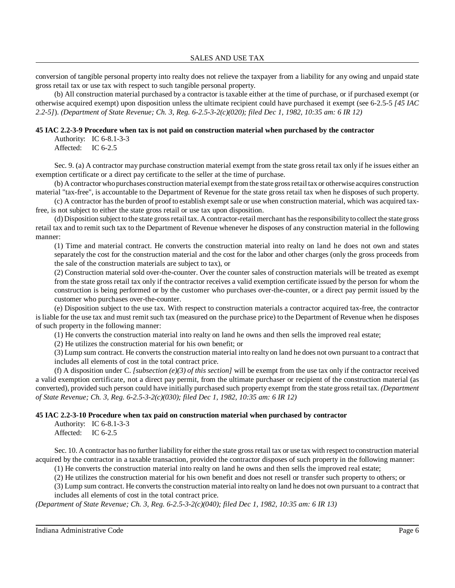SALES AND USE TAX

conversion of tangible personal property into realty does not relieve the taxpayer from a liability for any owing and unpaid state gross retail tax or use tax with respect to such tangible personal property.

(b) All construction material purchased by a contractor is taxable either at the time of purchase, or if purchased exempt (or otherwise acquired exempt) upon disposition unless the ultimate recipient could have purchased it exempt (see 6-2.5-5 *[45 IAC 2.2-5]*). *(Department of State Revenue; Ch. 3, Reg. 6-2.5-3-2(c)(020); filed Dec 1, 1982, 10:35 am: 6 IR 12)*

### **45 IAC 2.2-3-9 Procedure when tax is not paid on construction material when purchased by the contractor**

Authority: IC 6-8.1-3-3 Affected: IC 6-2.5

Sec. 9. (a) A contractor may purchase construction material exempt from the state gross retail tax only if he issues either an exemption certificate or a direct pay certificate to the seller at the time of purchase.

(b) A contractor who purchases construction material exempt from the state gross retail tax or otherwise acquires construction material "tax-free", is accountable to the Department of Revenue for the state gross retail tax when he disposes of such property.

(c) A contractor hasthe burden of proof to establish exempt sale or use when construction material, which was acquired taxfree, is not subject to either the state gross retail or use tax upon disposition.

(d) Disposition subject to the state grossretail tax. A contractor-retail merchant hasthe responsibilityto collect the state gross retail tax and to remit such tax to the Department of Revenue whenever he disposes of any construction material in the following manner:

(1) Time and material contract. He converts the construction material into realty on land he does not own and states separately the cost for the construction material and the cost for the labor and other charges (only the gross proceeds from the sale of the construction materials are subject to tax), or

(2) Construction material sold over-the-counter. Over the counter sales of construction materials will be treated as exempt from the state gross retail tax only if the contractor receives a valid exemption certificate issued by the person for whom the construction is being performed or by the customer who purchases over-the-counter, or a direct pay permit issued by the customer who purchases over-the-counter.

(e) Disposition subject to the use tax. With respect to construction materials a contractor acquired tax-free, the contractor is liable for the use tax and must remit such tax (measured on the purchase price) to the Department of Revenue when he disposes of such property in the following manner:

(1) He converts the construction material into realty on land he owns and then sells the improved real estate;

(2) He utilizes the construction material for his own benefit; or

(3) Lump sum contract. He converts the construction material into realty on land he does not own pursuant to a contract that includes all elements of cost in the total contract price.

(f) A disposition under C. [subsection  $(e)(3)$  of this section] will be exempt from the use tax only if the contractor received a valid exemption certificate, not a direct pay permit, from the ultimate purchaser or recipient of the construction material (as converted), provided such person could have initially purchased such property exempt from the state grossretail tax. *(Department of State Revenue; Ch. 3, Reg. 6-2.5-3-2(c)(030); filed Dec 1, 1982, 10:35 am: 6 IR 12)*

### **45 IAC 2.2-3-10 Procedure when tax paid on construction material when purchased by contractor**

Authority: IC 6-8.1-3-3 Affected: IC 6-2.5

Sec. 10. A contractor has no further liability for either the state gross retail tax or use tax with respect to construction material acquired by the contractor in a taxable transaction, provided the contractor disposes of such property in the following manner:

(1) He converts the construction material into realty on land he owns and then sells the improved real estate;

(2) He utilizes the construction material for his own benefit and does not resell or transfer such property to others; or

(3) Lump sum contract. He converts the construction material into realty on land he does not own pursuant to a contract that includes all elements of cost in the total contract price.

*(Department of State Revenue; Ch. 3, Reg. 6-2.5-3-2(c)(040); filed Dec 1, 1982, 10:35 am: 6 IR 13)*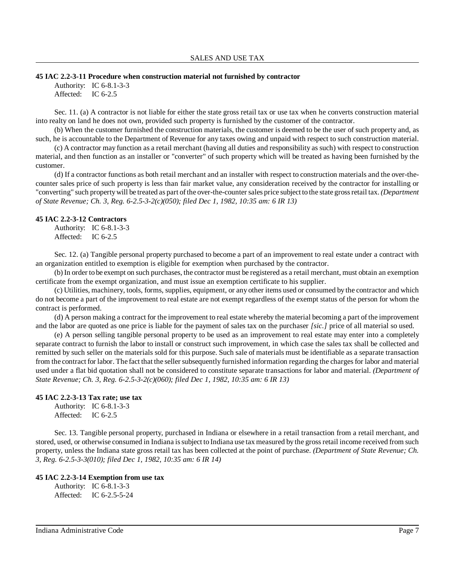#### **45 IAC 2.2-3-11 Procedure when construction material not furnished by contractor**

Authority: IC 6-8.1-3-3 Affected: IC 6-2.5

Sec. 11. (a) A contractor is not liable for either the state gross retail tax or use tax when he converts construction material into realty on land he does not own, provided such property is furnished by the customer of the contractor.

(b) When the customer furnished the construction materials, the customer is deemed to be the user of such property and, as such, he is accountable to the Department of Revenue for any taxes owing and unpaid with respect to such construction material.

(c) A contractor may function as a retail merchant (having all duties and responsibility as such) with respect to construction material, and then function as an installer or "converter" of such property which will be treated as having been furnished by the customer.

(d) If a contractor functions as both retail merchant and an installer with respect to construction materials and the over-thecounter sales price of such property is less than fair market value, any consideration received by the contractor for installing or "converting" such propertywill be treated as part ofthe over-the-countersales price subject to the state grossretail tax. *(Department of State Revenue; Ch. 3, Reg. 6-2.5-3-2(c)(050); filed Dec 1, 1982, 10:35 am: 6 IR 13)*

#### **45 IAC 2.2-3-12 Contractors**

Authority: IC 6-8.1-3-3 Affected: IC 6-2.5

Sec. 12. (a) Tangible personal property purchased to become a part of an improvement to real estate under a contract with an organization entitled to exemption is eligible for exemption when purchased by the contractor.

(b) In order to be exempt on such purchases, the contractor must be registered as a retail merchant, must obtain an exemption certificate from the exempt organization, and must issue an exemption certificate to his supplier.

(c) Utilities, machinery, tools, forms, supplies, equipment, or any other items used or consumed by the contractor and which do not become a part of the improvement to real estate are not exempt regardless of the exempt status of the person for whom the contract is performed.

(d) A person making a contract for the improvement to real estate whereby the material becoming a part of the improvement and the labor are quoted as one price is liable for the payment of sales tax on the purchaser *[sic.]* price of all material so used.

(e) A person selling tangible personal property to be used as an improvement to real estate may enter into a completely separate contract to furnish the labor to install or construct such improvement, in which case the sales tax shall be collected and remitted by such seller on the materials sold for this purpose. Such sale of materials must be identifiable as a separate transaction from the contract for labor. The fact that the seller subsequently furnished information regarding the charges for labor and material used under a flat bid quotation shall not be considered to constitute separate transactions for labor and material. *(Department of State Revenue; Ch. 3, Reg. 6-2.5-3-2(c)(060); filed Dec 1, 1982, 10:35 am: 6 IR 13)*

#### **45 IAC 2.2-3-13 Tax rate; use tax**

Authority: IC 6-8.1-3-3 Affected: IC 6-2.5

Sec. 13. Tangible personal property, purchased in Indiana or elsewhere in a retail transaction from a retail merchant, and stored, used, or otherwise consumed in Indiana is subject to Indiana use tax measured by the gross retail income received from such property, unless the Indiana state gross retail tax has been collected at the point of purchase. *(Department of State Revenue; Ch. 3, Reg. 6-2.5-3-3(010); filed Dec 1, 1982, 10:35 am: 6 IR 14)*

#### **45 IAC 2.2-3-14 Exemption from use tax**

Authority: IC 6-8.1-3-3 Affected: IC 6-2.5-5-24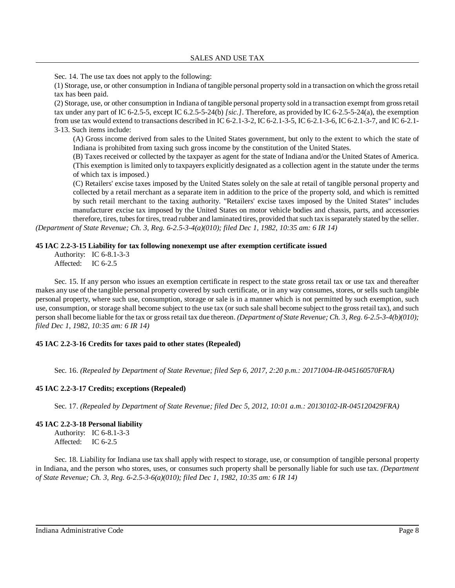Sec. 14. The use tax does not apply to the following:

(1) Storage, use, or other consumption in Indiana of tangible personal property sold in a transaction on which the grossretail tax has been paid.

(2) Storage, use, or other consumption in Indiana of tangible personal property sold in a transaction exempt from grossretail tax under any part of IC 6-2.5-5, except IC 6.2.5-5-24(b) *[sic.]*. Therefore, as provided by IC 6-2.5-5-24(a), the exemption from use tax would extend to transactions described in IC 6-2.1-3-2, IC 6-2.1-3-5, IC 6-2.1-3-6, IC 6-2.1-3-7, and IC 6-2.1- 3-13. Such items include:

(A) Gross income derived from sales to the United States government, but only to the extent to which the state of Indiana is prohibited from taxing such gross income by the constitution of the United States.

(B) Taxes received or collected by the taxpayer as agent for the state of Indiana and/or the United States of America. (This exemption is limited only to taxpayers explicitly designated as a collection agent in the statute under the terms of which tax is imposed.)

(C) Retailers' excise taxes imposed by the United States solely on the sale at retail of tangible personal property and collected by a retail merchant as a separate item in addition to the price of the property sold, and which is remitted by such retail merchant to the taxing authority. "Retailers' excise taxes imposed by the United States" includes manufacturer excise tax imposed by the United States on motor vehicle bodies and chassis, parts, and accessories therefore, tires, tubesfor tires, tread rubber and laminated tires, provided thatsuch tax isseparately stated by the seller. *(Department of State Revenue; Ch. 3, Reg. 6-2.5-3-4(a)(010); filed Dec 1, 1982, 10:35 am: 6 IR 14)*

### **45 IAC 2.2-3-15 Liability for tax following nonexempt use after exemption certificate issued**

Authority: IC 6-8.1-3-3 Affected: IC 6-2.5

Sec. 15. If any person who issues an exemption certificate in respect to the state gross retail tax or use tax and thereafter makes any use of the tangible personal property covered by such certificate, or in any way consumes, stores, or sells such tangible personal property, where such use, consumption, storage or sale is in a manner which is not permitted by such exemption, such use, consumption, or storage shall become subject to the use tax (or such sale shall become subject to the grossretail tax), and such person shall become liable for the tax or grossretail tax due thereon. *(Department of State Revenue; Ch. 3, Reg. 6-2.5-3-4(b)(010); filed Dec 1, 1982, 10:35 am: 6 IR 14)*

### **45 IAC 2.2-3-16 Credits for taxes paid to other states (Repealed)**

Sec. 16. *(Repealed by Department of State Revenue; filed Sep 6, 2017, 2:20 p.m.: 20171004-IR-045160570FRA)*

### **45 IAC 2.2-3-17 Credits; exceptions (Repealed)**

Sec. 17. *(Repealed by Department of State Revenue; filed Dec 5, 2012, 10:01 a.m.: 20130102-IR-045120429FRA)*

### **45 IAC 2.2-3-18 Personal liability**

Authority: IC 6-8.1-3-3 Affected: IC 6-2.5

Sec. 18. Liability for Indiana use tax shall apply with respect to storage, use, or consumption of tangible personal property in Indiana, and the person who stores, uses, or consumes such property shall be personally liable for such use tax. *(Department of State Revenue; Ch. 3, Reg. 6-2.5-3-6(a)(010); filed Dec 1, 1982, 10:35 am: 6 IR 14)*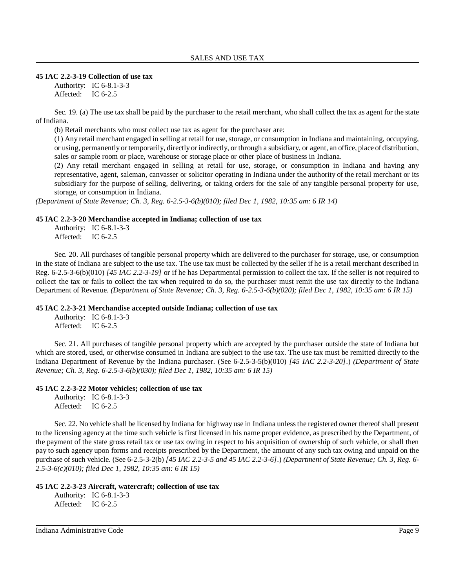#### **45 IAC 2.2-3-19 Collection of use tax**

Authority: IC 6-8.1-3-3 Affected: IC 6-2.5

Sec. 19. (a) The use tax shall be paid by the purchaser to the retail merchant, who shall collect the tax as agent for the state of Indiana.

(b) Retail merchants who must collect use tax as agent for the purchaser are:

(1) Any retail merchant engaged in selling at retail for use, storage, or consumption in Indiana and maintaining, occupying, or using, permanently or temporarily, directly or indirectly, or through a subsidiary, or agent, an office, place of distribution, sales or sample room or place, warehouse or storage place or other place of business in Indiana.

(2) Any retail merchant engaged in selling at retail for use, storage, or consumption in Indiana and having any representative, agent, saleman, canvasser or solicitor operating in Indiana under the authority of the retail merchant or its subsidiary for the purpose of selling, delivering, or taking orders for the sale of any tangible personal property for use, storage, or consumption in Indiana.

*(Department of State Revenue; Ch. 3, Reg. 6-2.5-3-6(b)(010); filed Dec 1, 1982, 10:35 am: 6 IR 14)*

### **45 IAC 2.2-3-20 Merchandise accepted in Indiana; collection of use tax**

Authority: IC 6-8.1-3-3 Affected: IC 6-2.5

Sec. 20. All purchases of tangible personal property which are delivered to the purchaser for storage, use, or consumption in the state of Indiana are subject to the use tax. The use tax must be collected by the seller if he is a retail merchant described in Reg. 6-2.5-3-6(b)(010) *[45 IAC 2.2-3-19]* or if he has Departmental permission to collect the tax. If the seller is not required to collect the tax or fails to collect the tax when required to do so, the purchaser must remit the use tax directly to the Indiana Department of Revenue. *(Department of State Revenue; Ch. 3, Reg. 6-2.5-3-6(b)(020); filed Dec 1, 1982, 10:35 am: 6 IR 15)*

### **45 IAC 2.2-3-21 Merchandise accepted outside Indiana; collection of use tax**

Authority: IC 6-8.1-3-3 Affected: IC 6-2.5

Sec. 21. All purchases of tangible personal property which are accepted by the purchaser outside the state of Indiana but which are stored, used, or otherwise consumed in Indiana are subject to the use tax. The use tax must be remitted directly to the Indiana Department of Revenue by the Indiana purchaser. (See 6-2.5-3-5(b)(010) *[45 IAC 2.2-3-20]*.) *(Department of State Revenue; Ch. 3, Reg. 6-2.5-3-6(b)(030); filed Dec 1, 1982, 10:35 am: 6 IR 15)*

### **45 IAC 2.2-3-22 Motor vehicles; collection of use tax**

Authority: IC 6-8.1-3-3 Affected: IC 6-2.5

Sec. 22. No vehicle shall be licensed by Indiana for highway use in Indiana unlessthe registered owner thereofshall present to the licensing agency at the time such vehicle is first licensed in his name proper evidence, as prescribed by the Department, of the payment of the state gross retail tax or use tax owing in respect to his acquisition of ownership of such vehicle, or shall then pay to such agency upon forms and receipts prescribed by the Department, the amount of any such tax owing and unpaid on the purchase of such vehicle. (See 6-2.5-3-2(b) [45 IAC 2.2-3-5 and 45 IAC 2.2-3-6].) (Department of State Revenue; Ch. 3, Reg. 6-*2.5-3-6(c)(010); filed Dec 1, 1982, 10:35 am: 6 IR 15)*

### **45 IAC 2.2-3-23 Aircraft, watercraft; collection of use tax**

Authority: IC 6-8.1-3-3 Affected: IC 6-2.5

Indiana Administrative Code Page 9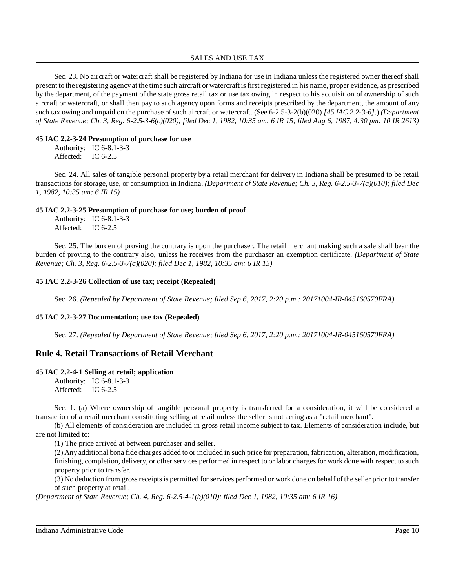### SALES AND USE TAX

Sec. 23. No aircraft or watercraft shall be registered by Indiana for use in Indiana unless the registered owner thereof shall present to the registering agencyat the time such aircraft or watercraft isfirst registered in his name, proper evidence, as prescribed by the department, of the payment of the state gross retail tax or use tax owing in respect to his acquisition of ownership of such aircraft or watercraft, or shall then pay to such agency upon forms and receipts prescribed by the department, the amount of any such tax owing and unpaid on the purchase of such aircraft or watercraft. (See 6-2.5-3-2(b)(020) *[45 IAC 2.2-3-6]*.) *(Department of State Revenue; Ch. 3, Reg. 6-2.5-3-6(c)(020); filed Dec 1, 1982, 10:35 am: 6 IR 15; filed Aug 6, 1987, 4:30 pm: 10 IR 2613)*

### **45 IAC 2.2-3-24 Presumption of purchase for use**

Authority: IC 6-8.1-3-3 Affected: IC 6-2.5

Sec. 24. All sales of tangible personal property by a retail merchant for delivery in Indiana shall be presumed to be retail transactions for storage, use, or consumption in Indiana. *(Department of State Revenue; Ch. 3, Reg. 6-2.5-3-7(a)(010); filed Dec 1, 1982, 10:35 am: 6 IR 15)*

# **45 IAC 2.2-3-25 Presumption of purchase for use; burden of proof**

|           | Authority: IC 6-8.1-3-3 |
|-----------|-------------------------|
| Affected: | IC $6-2.5$              |

Sec. 25. The burden of proving the contrary is upon the purchaser. The retail merchant making such a sale shall bear the burden of proving to the contrary also, unless he receives from the purchaser an exemption certificate. *(Department of State Revenue; Ch. 3, Reg. 6-2.5-3-7(a)(020); filed Dec 1, 1982, 10:35 am: 6 IR 15)*

# **45 IAC 2.2-3-26 Collection of use tax; receipt (Repealed)**

Sec. 26. *(Repealed by Department of State Revenue; filed Sep 6, 2017, 2:20 p.m.: 20171004-IR-045160570FRA)*

# **45 IAC 2.2-3-27 Documentation; use tax (Repealed)**

Sec. 27. *(Repealed by Department of State Revenue; filed Sep 6, 2017, 2:20 p.m.: 20171004-IR-045160570FRA)*

# **Rule 4. Retail Transactions of Retail Merchant**

# **45 IAC 2.2-4-1 Selling at retail; application**

Authority: IC 6-8.1-3-3 Affected: IC 6-2.5

Sec. 1. (a) Where ownership of tangible personal property is transferred for a consideration, it will be considered a transaction of a retail merchant constituting selling at retail unless the seller is not acting as a "retail merchant".

(b) All elements of consideration are included in gross retail income subject to tax. Elements of consideration include, but are not limited to:

(1) The price arrived at between purchaser and seller.

(2) Anyadditional bona fide charges added to or included in such price for preparation, fabrication, alteration, modification, finishing, completion, delivery, or other services performed in respect to or labor charges for work done with respect to such property prior to transfer.

(3) No deduction from grossreceiptsis permitted for services performed or work done on behalf of the seller prior to transfer of such property at retail.

*(Department of State Revenue; Ch. 4, Reg. 6-2.5-4-1(b)(010); filed Dec 1, 1982, 10:35 am: 6 IR 16)*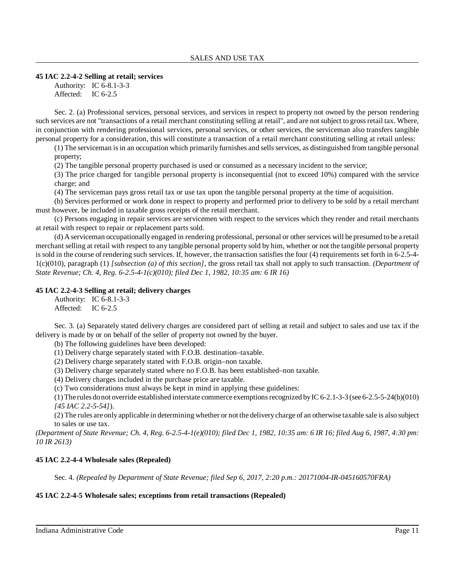### **45 IAC 2.2-4-2 Selling at retail; services**

Authority: IC 6-8.1-3-3 Affected: IC 6-2.5

Sec. 2. (a) Professional services, personal services, and services in respect to property not owned by the person rendering such services are not "transactions of a retail merchant constituting selling at retail", and are not subject to grossretail tax. Where, in conjunction with rendering professional services, personal services, or other services, the serviceman also transfers tangible personal property for a consideration, this will constitute a transaction of a retail merchant constituting selling at retail unless:

 $(1)$  The serviceman is in an occupation which primarily furnishes and sells services, as distinguished from tangible personal property;

(2) The tangible personal property purchased is used or consumed as a necessary incident to the service;

(3) The price charged for tangible personal property is inconsequential (not to exceed 10%) compared with the service charge; and

(4) The serviceman pays gross retail tax or use tax upon the tangible personal property at the time of acquisition.

(b) Services performed or work done in respect to property and performed prior to delivery to be sold by a retail merchant must however, be included in taxable gross receipts of the retail merchant.

(c) Persons engaging in repair services are servicemen with respect to the services which they render and retail merchants at retail with respect to repair or replacement parts sold.

(d) A serviceman occupationally engaged in rendering professional, personal or other services will be presumed to be a retail merchant selling at retail with respect to any tangible personal property sold by him, whether or not the tangible personal property is sold in the course of rendering such services. If, however, the transaction satisfies the four (4) requirements set forth in 6-2.5-4- 1(c)(010), paragraph (1) *[subsection (a) of this section]*, the gross retail tax shall not apply to such transaction. *(Department of State Revenue; Ch. 4, Reg. 6-2.5-4-1(c)(010); filed Dec 1, 1982, 10:35 am: 6 IR 16)*

### **45 IAC 2.2-4-3 Selling at retail; delivery charges**

Authority: IC 6-8.1-3-3 Affected: IC 6-2.5

Sec. 3. (a) Separately stated delivery charges are considered part of selling at retail and subject to sales and use tax if the delivery is made by or on behalf of the seller of property not owned by the buyer.

(b) The following guidelines have been developed:

(1) Delivery charge separately stated with F.O.B. destination–taxable.

(2) Delivery charge separately stated with F.O.B. origin–non taxable.

(3) Delivery charge separately stated where no F.O.B. has been established–non taxable.

(4) Delivery charges included in the purchase price are taxable.

(c) Two considerations must always be kept in mind in applying these guidelines:

(1) The rules do not override established interstate commerce exemptions recognized by IC 6-2.1-3-3 (see 6-2.5-5-24(b)(010) *[45 IAC 2.2-5-54]*).

(2) The rules are onlyapplicable in determining whether or not the deliverycharge of an otherwise taxable sale is also subject to sales or use tax.

(Department of State Revenue; Ch. 4, Reg. 6-2.5-4-1(e)(010); filed Dec 1, 1982, 10:35 am: 6 IR 16; filed Aug 6, 1987, 4:30 pm: *10 IR 2613)*

### **45 IAC 2.2-4-4 Wholesale sales (Repealed)**

Sec. 4. *(Repealed by Department of State Revenue; filed Sep 6, 2017, 2:20 p.m.: 20171004-IR-045160570FRA)*

### **45 IAC 2.2-4-5 Wholesale sales; exceptions from retail transactions (Repealed)**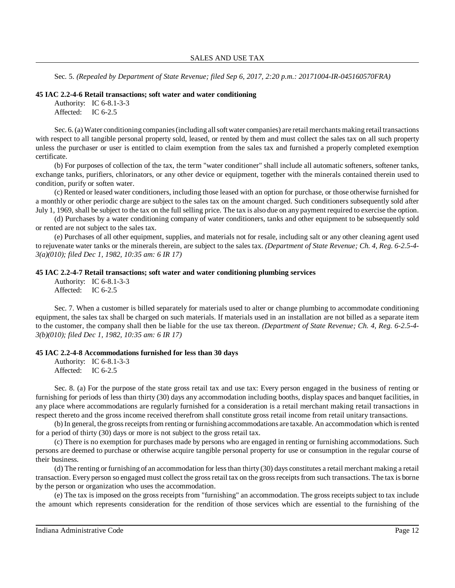Sec. 5. *(Repealed by Department of State Revenue; filed Sep 6, 2017, 2:20 p.m.: 20171004-IR-045160570FRA)*

#### **45 IAC 2.2-4-6 Retail transactions; soft water and water conditioning**

```
Authority: IC 6-8.1-3-3
Affected: IC 6-2.5
```
Sec. 6.(a)Water conditioning companies(including allsoft water companies) are retail merchants making retail transactions with respect to all tangible personal property sold, leased, or rented by them and must collect the sales tax on all such property unless the purchaser or user is entitled to claim exemption from the sales tax and furnished a properly completed exemption certificate.

(b) For purposes of collection of the tax, the term "water conditioner" shall include all automatic softeners, softener tanks, exchange tanks, purifiers, chlorinators, or any other device or equipment, together with the minerals contained therein used to condition, purify or soften water.

(c) Rented or leased water conditioners, including those leased with an option for purchase, or those otherwise furnished for a monthly or other periodic charge are subject to the sales tax on the amount charged. Such conditioners subsequently sold after July 1, 1969, shall be subject to the tax on the full selling price. The tax is also due on any payment required to exercise the option.

(d) Purchases by a water conditioning company of water conditioners, tanks and other equipment to be subsequently sold or rented are not subject to the sales tax.

(e) Purchases of all other equipment, supplies, and materials not for resale, including salt or any other cleaning agent used to rejuvenate water tanks or the minerals therein, are subject to the sales tax. *(Department of State Revenue; Ch. 4, Reg. 6-2.5-4- 3(a)(010); filed Dec 1, 1982, 10:35 am: 6 IR 17)*

### **45 IAC 2.2-4-7 Retail transactions; soft water and water conditioning plumbing services**

Authority: IC 6-8.1-3-3 Affected: IC 6-2.5

Sec. 7. When a customer is billed separately for materials used to alter or change plumbing to accommodate conditioning equipment, the sales tax shall be charged on such materials. If materials used in an installation are not billed as a separate item to the customer, the company shall then be liable for the use tax thereon. *(Department of State Revenue; Ch. 4, Reg. 6-2.5-4- 3(b)(010); filed Dec 1, 1982, 10:35 am: 6 IR 17)*

### **45 IAC 2.2-4-8 Accommodations furnished for less than 30 days**

Authority: IC 6-8.1-3-3 Affected: IC 6-2.5

Sec. 8. (a) For the purpose of the state gross retail tax and use tax: Every person engaged in the business of renting or furnishing for periods of less than thirty (30) days any accommodation including booths, display spaces and banquet facilities, in any place where accommodations are regularly furnished for a consideration is a retail merchant making retail transactions in respect thereto and the gross income received therefrom shall constitute gross retail income from retail unitary transactions.

(b) In general, the gross receipts from renting or furnishing accommodations are taxable. An accommodation which is rented for a period of thirty (30) days or more is not subject to the gross retail tax.

(c) There is no exemption for purchases made by persons who are engaged in renting or furnishing accommodations. Such persons are deemed to purchase or otherwise acquire tangible personal property for use or consumption in the regular course of their business.

(d) The renting or furnishing of an accommodation for lessthan thirty (30) days constitutes a retail merchant making a retail transaction. Every person so engaged must collect the grossretail tax on the grossreceiptsfrom such transactions. The tax is borne by the person or organization who uses the accommodation.

(e) The tax is imposed on the gross receipts from "furnishing" an accommodation. The gross receipts subject to tax include the amount which represents consideration for the rendition of those services which are essential to the furnishing of the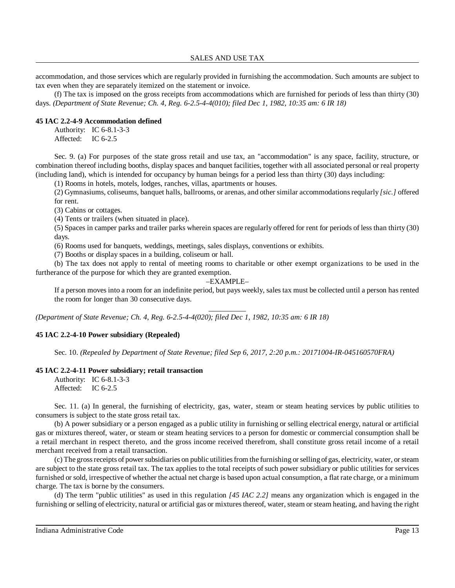accommodation, and those services which are regularly provided in furnishing the accommodation. Such amounts are subject to tax even when they are separately itemized on the statement or invoice.

(f) The tax is imposed on the gross receipts from accommodations which are furnished for periods of less than thirty (30) days. *(Department of State Revenue; Ch. 4, Reg. 6-2.5-4-4(010); filed Dec 1, 1982, 10:35 am: 6 IR 18)*

### **45 IAC 2.2-4-9 Accommodation defined**

Authority: IC 6-8.1-3-3 Affected: IC 6-2.5

Sec. 9. (a) For purposes of the state gross retail and use tax, an "accommodation" is any space, facility, structure, or combination thereof including booths, display spaces and banquet facilities, together with all associated personal or real property (including land), which is intended for occupancy by human beings for a period less than thirty (30) days including:

(1) Rooms in hotels, motels, lodges, ranches, villas, apartments or houses.

(2) Gymnasiums, coliseums, banquet halls, ballrooms, or arenas, and other similar accommodationsreqularly *[sic.]* offered for rent.

(3) Cabins or cottages.

(4) Tents or trailers (when situated in place).

(5) Spaces in camper parks and trailer parks wherein spaces are regularly offered for rent for periods of less than thirty (30) days.

(6) Rooms used for banquets, weddings, meetings, sales displays, conventions or exhibits.

(7) Booths or display spaces in a building, coliseum or hall.

(b) The tax does not apply to rental of meeting rooms to charitable or other exempt organizations to be used in the furtherance of the purpose for which they are granted exemption.

### –EXAMPLE–

\_\_\_\_\_\_\_\_\_\_

If a person moves into a room for an indefinite period, but pays weekly, sales tax must be collected until a person has rented the room for longer than 30 consecutive days.

*(Department of State Revenue; Ch. 4, Reg. 6-2.5-4-4(020); filed Dec 1, 1982, 10:35 am: 6 IR 18)*

# **45 IAC 2.2-4-10 Power subsidiary (Repealed)**

Sec. 10. *(Repealed by Department of State Revenue; filed Sep 6, 2017, 2:20 p.m.: 20171004-IR-045160570FRA)*

### **45 IAC 2.2-4-11 Power subsidiary; retail transaction**

Authority: IC 6-8.1-3-3 Affected: IC 6-2.5

Sec. 11. (a) In general, the furnishing of electricity, gas, water, steam or steam heating services by public utilities to consumers is subject to the state gross retail tax.

(b) A power subsidiary or a person engaged as a public utility in furnishing or selling electrical energy, natural or artificial gas or mixtures thereof, water, or steam or steam heating services to a person for domestic or commercial consumption shall be a retail merchant in respect thereto, and the gross income received therefrom, shall constitute gross retail income of a retail merchant received from a retail transaction.

(c) The gross receipts of power subsidiaries on public utilities from the furnishing or selling of gas, electricity, water, or steam are subject to the state gross retail tax. The tax applies to the total receipts of such power subsidiary or public utilities for services furnished or sold, irrespective of whether the actual net charge is based upon actual consumption, a flat rate charge, or a minimum charge. The tax is borne by the consumers.

(d) The term "public utilities" as used in this regulation *[45 IAC 2.2]* means any organization which is engaged in the furnishing or selling of electricity, natural or artificial gas or mixtures thereof, water, steam or steam heating, and having the right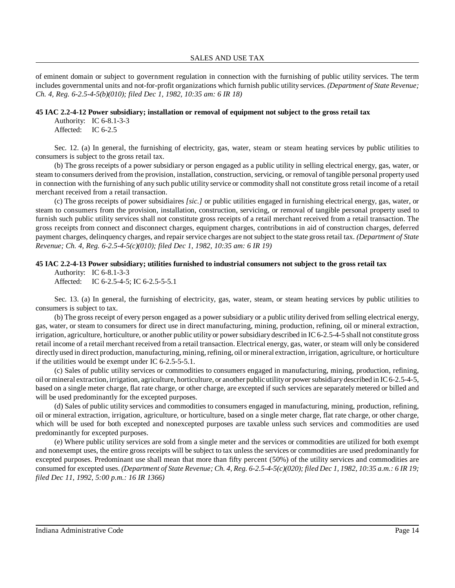of eminent domain or subject to government regulation in connection with the furnishing of public utility services. The term includes governmental units and not-for-profit organizations which furnish public utility services. *(Department of State Revenue; Ch. 4, Reg. 6-2.5-4-5(b)(010); filed Dec 1, 1982, 10:35 am: 6 IR 18)*

### **45 IAC 2.2-4-12 Power subsidiary; installation or removal of equipment not subject to the gross retail tax**

Authority: IC 6-8.1-3-3 Affected: IC 6-2.5

Sec. 12. (a) In general, the furnishing of electricity, gas, water, steam or steam heating services by public utilities to consumers is subject to the gross retail tax.

(b) The gross receipts of a power subsidiary or person engaged as a public utility in selling electrical energy, gas, water, or steam to consumers derived from the provision, installation, construction, servicing, or removal of tangible personal property used in connection with the furnishing of any such public utility service or commodity shall not constitute gross retail income of a retail merchant received from a retail transaction.

(c) The gross receipts of power subsidiaires *[sic.]* or public utilities engaged in furnishing electrical energy, gas, water, or steam to consumers from the provision, installation, construction, servicing, or removal of tangible personal property used to furnish such public utility services shall not constitute gross receipts of a retail merchant received from a retail transaction. The gross receipts from connect and disconnect charges, equipment charges, contributions in aid of construction charges, deferred payment charges, delinquency charges, and repair service charges are not subject to the state grossretail tax. *(Department of State Revenue; Ch. 4, Reg. 6-2.5-4-5(c)(010); filed Dec 1, 1982, 10:35 am: 6 IR 19)*

### **45 IAC 2.2-4-13 Power subsidiary; utilities furnished to industrial consumers not subject to the gross retail tax**

Authority: IC 6-8.1-3-3 Affected: IC 6-2.5-4-5; IC 6-2.5-5-5.1

Sec. 13. (a) In general, the furnishing of electricity, gas, water, steam, or steam heating services by public utilities to consumers is subject to tax.

(b) The gross receipt of every person engaged as a power subsidiary or a public utility derived from selling electrical energy, gas, water, or steam to consumers for direct use in direct manufacturing, mining, production, refining, oil or mineral extraction, irrigation, agriculture, horticulture, or another public utilityor powersubsidiarydescribed in IC 6-2.5-4-5 shall not constitute gross retail income of a retail merchant received from a retail transaction. Electrical energy, gas, water, or steam will only be considered directly used in direct production, manufacturing, mining, refining, oil or mineral extraction, irrigation, agriculture, or horticulture if the utilities would be exempt under IC 6-2.5-5-5.1.

(c) Sales of public utility services or commodities to consumers engaged in manufacturing, mining, production, refining, oil or mineral extraction, irrigation, agriculture, horticulture, or another public utilityor powersubsidiarydescribed in IC6-2.5-4-5, based on a single meter charge, flat rate charge, or other charge, are excepted if such services are separately metered or billed and will be used predominantly for the excepted purposes.

(d) Sales of public utility services and commodities to consumers engaged in manufacturing, mining, production, refining, oil or mineral extraction, irrigation, agriculture, or horticulture, based on a single meter charge, flat rate charge, or other charge, which will be used for both excepted and nonexcepted purposes are taxable unless such services and commodities are used predominantly for excepted purposes.

(e) Where public utility services are sold from a single meter and the services or commodities are utilized for both exempt and nonexempt uses, the entire gross receipts will be subject to tax unless the services or commodities are used predominantly for excepted purposes. Predominant use shall mean that more than fifty percent (50%) of the utility services and commodities are consumed for excepted uses. (Department of State Revenue; Ch. 4, Reg. 6-2.5-4-5(c)(020); filed Dec 1, 1982, 10:35 a.m.: 6 IR 19; *filed Dec 11, 1992, 5:00 p.m.: 16 IR 1366)*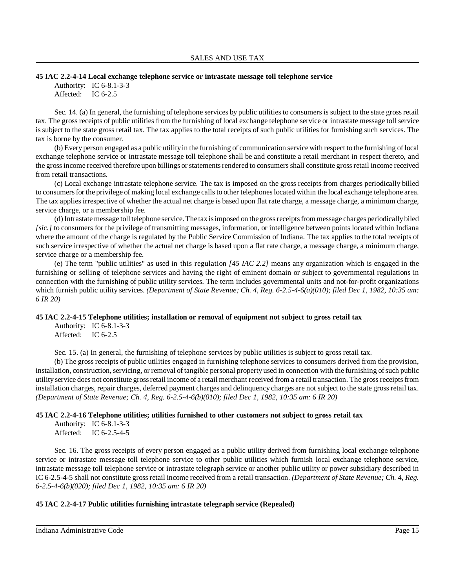#### **45 IAC 2.2-4-14 Local exchange telephone service or intrastate message toll telephone service**

Authority: IC 6-8.1-3-3 Affected: IC 6-2.5

Sec. 14. (a) In general, the furnishing of telephone services by public utilities to consumers is subject to the state gross retail tax. The gross receipts of public utilities from the furnishing of local exchange telephone service or intrastate message toll service is subject to the state gross retail tax. The tax applies to the total receipts of such public utilities for furnishing such services. The tax is borne by the consumer.

(b) Every person engaged as a public utilityin the furnishing of communication service with respect to the furnishing of local exchange telephone service or intrastate message toll telephone shall be and constitute a retail merchant in respect thereto, and the gross income received therefore upon billings or statements rendered to consumers shall constitute gross retail income received from retail transactions.

(c) Local exchange intrastate telephone service. The tax is imposed on the gross receipts from charges periodically billed to consumers for the privilege of making local exchange calls to other telephones located within the local exchange telephone area. The tax applies irrespective of whether the actual net charge is based upon flat rate charge, a message charge, a minimum charge, service charge, or a membership fee.

(d) Intrastate message toll telephone service. The tax isimposed on the grossreceiptsfrom message charges periodicallybiled *[sic.]* to consumers for the privilege of transmitting messages, information, or intelligence between points located within Indiana where the amount of the charge is regulated by the Public Service Commission of Indiana. The tax applies to the total receipts of such service irrespective of whether the actual net charge is based upon a flat rate charge, a message charge, a minimum charge, service charge or a membership fee.

(e) The term "public utilities" as used in this regulation *[45 IAC 2.2]* means any organization which is engaged in the furnishing or selling of telephone services and having the right of eminent domain or subject to governmental regulations in connection with the furnishing of public utility services. The term includes governmental units and not-for-profit organizations which furnish public utility services. (Department of State Revenue; Ch. 4, Reg. 6-2.5-4-6(a)(010); filed Dec 1, 1982, 10:35 am: *6 IR 20)*

### **45 IAC 2.2-4-15 Telephone utilities; installation or removal of equipment not subject to gross retail tax**

Authority: IC 6-8.1-3-3 Affected: IC 6-2.5

Sec. 15. (a) In general, the furnishing of telephone services by public utilities is subject to gross retail tax.

(b) The gross receipts of public utilities engaged in furnishing telephone services to consumers derived from the provision, installation, construction, servicing, or removal of tangible personal property used in connection with the furnishing of such public utility service does not constitute grossretail income of a retail merchant received from a retail transaction. The grossreceiptsfrom installation charges, repair charges, deferred payment charges and delinquency charges are not subject to the state gross retail tax. *(Department of State Revenue; Ch. 4, Reg. 6-2.5-4-6(b)(010); filed Dec 1, 1982, 10:35 am: 6 IR 20)*

### **45 IAC 2.2-4-16 Telephone utilities; utilities furnished to other customers not subject to gross retail tax**

```
Authority: IC 6-8.1-3-3
Affected: IC 6-2.5-4-5
```
Sec. 16. The gross receipts of every person engaged as a public utility derived from furnishing local exchange telephone service or intrastate message toll telephone service to other public utilities which furnish local exchange telephone service, intrastate message toll telephone service or intrastate telegraph service or another public utility or power subsidiary described in IC 6-2.5-4-5 shall not constitute grossretail income received from a retail transaction. *(Department of State Revenue; Ch. 4, Reg. 6-2.5-4-6(b)(020); filed Dec 1, 1982, 10:35 am: 6 IR 20)*

### **45 IAC 2.2-4-17 Public utilities furnishing intrastate telegraph service (Repealed)**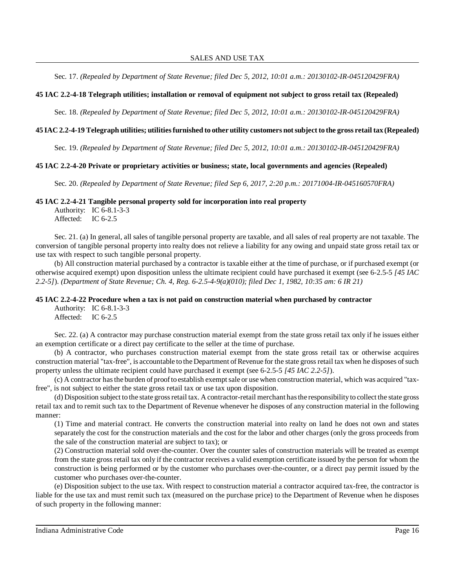Sec. 17. *(Repealed by Department of State Revenue; filed Dec 5, 2012, 10:01 a.m.: 20130102-IR-045120429FRA)*

### **45 IAC 2.2-4-18 Telegraph utilities; installation or removal of equipment not subject to gross retail tax (Repealed)**

Sec. 18. *(Repealed by Department of State Revenue; filed Dec 5, 2012, 10:01 a.m.: 20130102-IR-045120429FRA)*

### 45 IAC 2.2-4-19 Telegraph utilities; utilities furnished to other utility customers not subject to the gross retail tax (Repealed)

Sec. 19. *(Repealed by Department of State Revenue; filed Dec 5, 2012, 10:01 a.m.: 20130102-IR-045120429FRA)*

#### **45 IAC 2.2-4-20 Private or proprietary activities or business; state, local governments and agencies (Repealed)**

Sec. 20. *(Repealed by Department of State Revenue; filed Sep 6, 2017, 2:20 p.m.: 20171004-IR-045160570FRA)*

#### **45 IAC 2.2-4-21 Tangible personal property sold for incorporation into real property**

Authority: IC 6-8.1-3-3 Affected: IC 6-2.5

Sec. 21. (a) In general, all sales of tangible personal property are taxable, and all sales of real property are not taxable. The conversion of tangible personal property into realty does not relieve a liability for any owing and unpaid state gross retail tax or use tax with respect to such tangible personal property.

(b) All construction material purchased by a contractor is taxable either at the time of purchase, or if purchased exempt (or otherwise acquired exempt) upon disposition unless the ultimate recipient could have purchased it exempt (see 6-2.5-5 *[45 IAC 2.2-5]*). *(Department of State Revenue; Ch. 4, Reg. 6-2.5-4-9(a)(010); filed Dec 1, 1982, 10:35 am: 6 IR 21)*

#### **45 IAC 2.2-4-22 Procedure when a tax is not paid on construction material when purchased by contractor**

Authority: IC 6-8.1-3-3 Affected: IC 6-2.5

Sec. 22. (a) A contractor may purchase construction material exempt from the state gross retail tax only if he issues either an exemption certificate or a direct pay certificate to the seller at the time of purchase.

(b) A contractor, who purchases construction material exempt from the state gross retail tax or otherwise acquires construction material "tax-free", is accountable to the Department of Revenue for the state gross retail tax when he disposes of such property unless the ultimate recipient could have purchased it exempt (see 6-2.5-5 *[45 IAC 2.2-5]*).

(c) A contractor has the burden of proof to establish exempt sale or use when construction material, which was acquired "taxfree", is not subject to either the state gross retail tax or use tax upon disposition.

(d) Disposition subject to the state grossretail tax. A contractor-retail merchant hasthe responsibilityto collect the state gross retail tax and to remit such tax to the Department of Revenue whenever he disposes of any construction material in the following manner:

(1) Time and material contract. He converts the construction material into realty on land he does not own and states separately the cost for the construction materials and the cost for the labor and other charges (only the gross proceeds from the sale of the construction material are subject to tax); or

(2) Construction material sold over-the-counter. Over the counter sales of construction materials will be treated as exempt from the state gross retail tax only if the contractor receives a valid exemption certificate issued by the person for whom the construction is being performed or by the customer who purchases over-the-counter, or a direct pay permit issued by the customer who purchases over-the-counter.

(e) Disposition subject to the use tax. With respect to construction material a contractor acquired tax-free, the contractor is liable for the use tax and must remit such tax (measured on the purchase price) to the Department of Revenue when he disposes of such property in the following manner: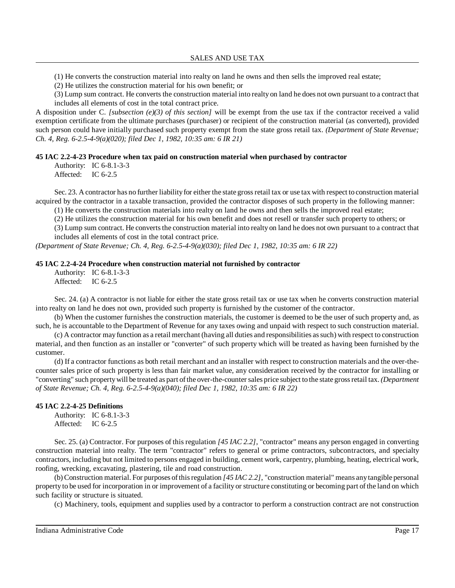(1) He converts the construction material into realty on land he owns and then sells the improved real estate;

(2) He utilizes the construction material for his own benefit; or

(3) Lump sum contract. He converts the construction material into realty on land he does not own pursuant to a contract that includes all elements of cost in the total contract price.

A disposition under C. *[subsection (e)(3) of this section]* will be exempt from the use tax if the contractor received a valid exemption certificate from the ultimate purchases (purchaser) or recipient of the construction material (as converted), provided such person could have initially purchased such property exempt from the state gross retail tax. *(Department of State Revenue; Ch. 4, Reg. 6-2.5-4-9(a)(020); filed Dec 1, 1982, 10:35 am: 6 IR 21)*

### **45 IAC 2.2-4-23 Procedure when tax paid on construction material when purchased by contractor**

Authority: IC 6-8.1-3-3 Affected: IC 6-2.5

Sec. 23. A contractor has no further liability for either the state gross retail tax or use tax with respect to construction material acquired by the contractor in a taxable transaction, provided the contractor disposes of such property in the following manner:

(1) He converts the construction materials into realty on land he owns and then sells the improved real estate;

(2) He utilizes the construction material for his own benefit and does not resell or transfer such property to others; or

(3) Lump sum contract. He converts the construction material into realty on land he does not own pursuant to a contract that includes all elements of cost in the total contract price.

*(Department of State Revenue; Ch. 4, Reg. 6-2.5-4-9(a)(030); filed Dec 1, 1982, 10:35 am: 6 IR 22)*

#### **45 IAC 2.2-4-24 Procedure when construction material not furnished by contractor**

Authority: IC 6-8.1-3-3 Affected: IC 6-2.5

Sec. 24. (a) A contractor is not liable for either the state gross retail tax or use tax when he converts construction material into realty on land he does not own, provided such property is furnished by the customer of the contractor.

(b) When the customer furnishes the construction materials, the customer is deemed to be the user ofsuch property and, as such, he is accountable to the Department of Revenue for any taxes owing and unpaid with respect to such construction material.

(c) A contractor mayfunction as a retail merchant (having all duties and responsibilities assuch) with respect to construction material, and then function as an installer or "converter" of such property which will be treated as having been furnished by the customer.

(d) If a contractor functions as both retail merchant and an installer with respect to construction materials and the over-thecounter sales price of such property is less than fair market value, any consideration received by the contractor for installing or "converting" such propertywill be treated as part ofthe over-the-countersales price subject to the state grossretail tax. *(Department of State Revenue; Ch. 4, Reg. 6-2.5-4-9(a)(040); filed Dec 1, 1982, 10:35 am: 6 IR 22)*

### **45 IAC 2.2-4-25 Definitions**

Authority: IC 6-8.1-3-3 Affected: IC 6-2.5

Sec. 25. (a) Contractor. For purposes of this regulation *[45 IAC 2.2]*, "contractor" means any person engaged in converting construction material into realty. The term "contractor" refers to general or prime contractors, subcontractors, and specialty contractors, including but not limited to persons engaged in building, cement work, carpentry, plumbing, heating, electrical work, roofing, wrecking, excavating, plastering, tile and road construction.

(b) Construction material. For purposes ofthisregulation *[45 IAC 2.2]*, "construction material" means anytangible personal property to be used for incorporation in or improvement of a facility or structure constituting or becoming part ofthe land on which such facility or structure is situated.

(c) Machinery, tools, equipment and supplies used by a contractor to perform a construction contract are not construction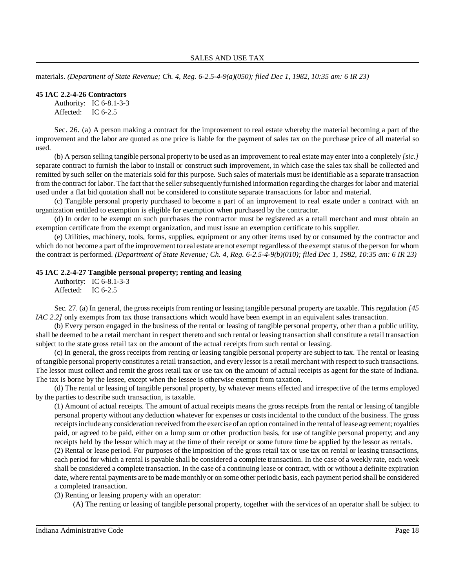materials. *(Department of State Revenue; Ch. 4, Reg. 6-2.5-4-9(a)(050); filed Dec 1, 1982, 10:35 am: 6 IR 23)*

#### **45 IAC 2.2-4-26 Contractors**

Authority: IC 6-8.1-3-3 Affected: IC 6-2.5

Sec. 26. (a) A person making a contract for the improvement to real estate whereby the material becoming a part of the improvement and the labor are quoted as one price is liable for the payment of sales tax on the purchase price of all material so used.

(b) A person selling tangible personal property to be used as an improvement to real estate may enter into a conpletely *[sic.]* separate contract to furnish the labor to install or construct such improvement, in which case the sales tax shall be collected and remitted by such seller on the materials sold for this purpose. Such sales of materials must be identifiable as a separate transaction from the contract for labor. The fact that the seller subsequently furnished information regarding the charges for labor and material used under a flat bid quotation shall not be considered to constitute separate transactions for labor and material.

(c) Tangible personal property purchased to become a part of an improvement to real estate under a contract with an organization entitled to exemption is eligible for exemption when purchased by the contractor.

(d) In order to be exempt on such purchases the contractor must be registered as a retail merchant and must obtain an exemption certificate from the exempt organization, and must issue an exemption certificate to his supplier.

(e) Utilities, machinery, tools, forms, supplies, equipment or any other items used by or consumed by the contractor and which do not become a part of the improvement to real estate are not exempt regardless of the exempt status of the person for whom the contract is performed. *(Department of State Revenue; Ch. 4, Reg. 6-2.5-4-9(b)(010); filed Dec 1, 1982, 10:35 am: 6 IR 23)*

# **45 IAC 2.2-4-27 Tangible personal property; renting and leasing**

Authority: IC 6-8.1-3-3 Affected: IC 6-2.5

Sec. 27. (a) In general, the gross receipts from renting or leasing tangible personal property are taxable. This regulation [45] *IAC 2.2]* only exempts from tax those transactions which would have been exempt in an equivalent sales transaction.

(b) Every person engaged in the business of the rental or leasing of tangible personal property, other than a public utility, shall be deemed to be a retail merchant in respect thereto and such rental or leasing transaction shall constitute a retail transaction subject to the state gross retail tax on the amount of the actual receipts from such rental or leasing.

(c) In general, the gross receipts from renting or leasing tangible personal property are subject to tax. The rental or leasing of tangible personal property constitutes a retail transaction, and every lessor is a retail merchant with respect to such transactions. The lessor must collect and remit the gross retail tax or use tax on the amount of actual receipts as agent for the state of Indiana. The tax is borne by the lessee, except when the lessee is otherwise exempt from taxation.

(d) The rental or leasing of tangible personal property, by whatever means effected and irrespective of the terms employed by the parties to describe such transaction, is taxable.

(1) Amount of actual receipts. The amount of actual receipts means the gross receipts from the rental or leasing of tangible personal property without any deduction whatever for expenses or costs incidental to the conduct of the business. The gross receiptsinclude anyconsideration received from the exercise of an option contained in the rental oflease agreement;royalties paid, or agreed to be paid, either on a lump sum or other production basis, for use of tangible personal property; and any receipts held by the lessor which may at the time of their receipt or some future time be applied by the lessor as rentals.

(2) Rental or lease period. For purposes of the imposition of the gross retail tax or use tax on rental or leasing transactions, each period for which a rental is payable shall be considered a complete transaction. In the case of a weekly rate, each week shall be considered a complete transaction. In the case of a continuing lease or contract, with or without a definite expiration date, where rental payments are to be made monthly or on some other periodic basis, each payment period shall be considered a completed transaction.

(3) Renting or leasing property with an operator:

(A) The renting or leasing of tangible personal property, together with the services of an operator shall be subject to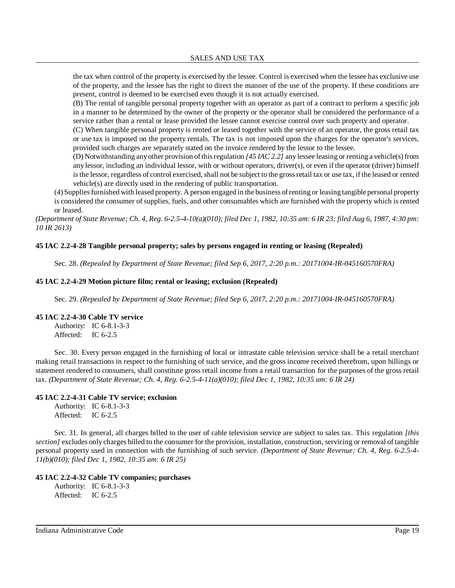the tax when control of the property is exercised by the lessee. Control is exercised when the lessee has exclusive use of the property, and the lessee has the right to direct the manner of the use of the property. If these conditions are present, control is deemed to be exercised even though it is not actually exercised.

(B) The rental of tangible personal property together with an operator as part of a contract to perform a specific job in a manner to be determined by the owner of the property or the operator shall be considered the performance of a service rather than a rental or lease provided the lessee cannot exercise control over such property and operator.

(C) When tangible personal property is rented or leased together with the service of an operator, the gross retail tax or use tax is imposed on the property rentals. The tax is not imposed upon the charges for the operator's services, provided such charges are separately stated on the invoice rendered by the lessor to the lessee.

(D) Notwithstanding anyother provision ofthisregulation *[45 IAC 2.2]* any lessee leasing or renting a vehicle(s) from any lessor, including an individual lessor, with or without operators, driver(s), or even if the operator (driver) himself isthe lessor, regardless of control exercised, shall not be subject to the grossretail tax or use tax, if the leased or rented vehicle(s) are directly used in the rendering of public transportation.

(4) Suppliesfurnished with leased property. A person engaged in the business ofrenting or leasing tangible personal property is considered the consumer ofsupplies, fuels, and other consumables which are furnished with the property which is rented or leased.

(Department of State Revenue; Ch. 4, Reg. 6-2.5-4-10(a)(010); filed Dec 1, 1982, 10:35 am: 6 IR 23; filed Aug 6, 1987, 4:30 pm: *10 IR 2613)*

### **45 IAC 2.2-4-28 Tangible personal property; sales by persons engaged in renting or leasing (Repealed)**

Sec. 28. *(Repealed by Department of State Revenue; filed Sep 6, 2017, 2:20 p.m.: 20171004-IR-045160570FRA)*

### **45 IAC 2.2-4-29 Motion picture film; rental or leasing; exclusion (Repealed)**

Sec. 29. *(Repealed by Department of State Revenue; filed Sep 6, 2017, 2:20 p.m.: 20171004-IR-045160570FRA)*

### **45 IAC 2.2-4-30 Cable TV service**

Authority: IC 6-8.1-3-3 Affected: IC 6-2.5

Sec. 30. Every person engaged in the furnishing of local or intrastate cable television service shall be a retail merchant making retail transactions in respect to the furnishing of such service, and the gross income received therefrom, upon billings or statement rendered to consumers, shall constitute gross retail income from a retail transaction for the purposes of the gross retail tax. *(Department of State Revenue; Ch. 4, Reg. 6-2.5-4-11(a)(010); filed Dec 1, 1982, 10:35 am: 6 IR 24)*

### **45 IAC 2.2-4-31 Cable TV service; exclusion**

Authority: IC 6-8.1-3-3 Affected: IC 6-2.5

Sec. 31. In general, all charges billed to the user of cable television service are subject to sales tax. This regulation *[this section]* excludes only charges billed to the consumer for the provision, installation, construction, servicing or removal of tangible personal property used in connection with the furnishing of such service. *(Department of State Revenue; Ch. 4, Reg. 6-2.5-4- 11(b)(010); filed Dec 1, 1982, 10:35 am: 6 IR 25)*

### **45 IAC 2.2-4-32 Cable TV companies; purchases**

Authority: IC 6-8.1-3-3 Affected: IC 6-2.5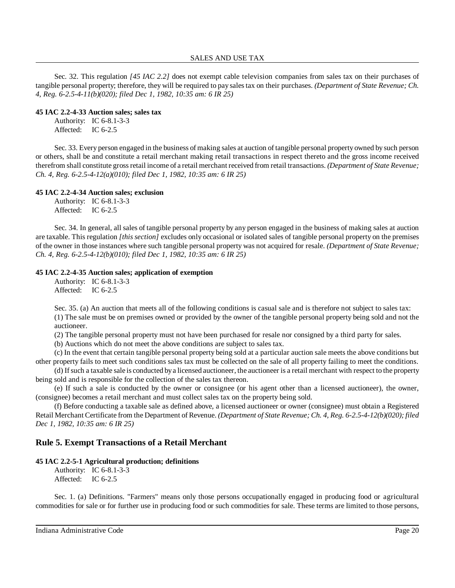Sec. 32. This regulation *[45 IAC 2.2]* does not exempt cable television companies from sales tax on their purchases of tangible personal property; therefore, they will be required to pay salestax on their purchases. *(Department of State Revenue; Ch. 4, Reg. 6-2.5-4-11(b)(020); filed Dec 1, 1982, 10:35 am: 6 IR 25)*

### **45 IAC 2.2-4-33 Auction sales; sales tax**

Authority: IC 6-8.1-3-3 Affected: IC 6-2.5

Sec. 33. Every person engaged in the business of making sales at auction of tangible personal property owned by such person or others, shall be and constitute a retail merchant making retail transactions in respect thereto and the gross income received therefrom shall constitute gross retail income of a retail merchant received from retail transactions. *(Department of State Revenue; Ch. 4, Reg. 6-2.5-4-12(a)(010); filed Dec 1, 1982, 10:35 am: 6 IR 25)*

### **45 IAC 2.2-4-34 Auction sales; exclusion**

Authority: IC 6-8.1-3-3 Affected: IC 6-2.5

Sec. 34. In general, all sales of tangible personal property by any person engaged in the business of making sales at auction are taxable. This regulation *[this section]* excludes only occasional or isolated sales of tangible personal property on the premises of the owner in those instances where such tangible personal property was not acquired for resale. *(Department of State Revenue; Ch. 4, Reg. 6-2.5-4-12(b)(010); filed Dec 1, 1982, 10:35 am: 6 IR 25)*

### **45 IAC 2.2-4-35 Auction sales; application of exemption**

Authority: IC 6-8.1-3-3 Affected: IC 6-2.5

Sec. 35. (a) An auction that meets all of the following conditions is casual sale and is therefore not subject to sales tax: (1) The sale must be on premises owned or provided by the owner of the tangible personal property being sold and not the auctioneer.

(2) The tangible personal property must not have been purchased for resale nor consigned by a third party for sales.

(b) Auctions which do not meet the above conditions are subject to sales tax.

(c) In the event that certain tangible personal property being sold at a particular auction sale meets the above conditions but other property fails to meet such conditions sales tax must be collected on the sale of all property failing to meet the conditions.

(d) Ifsuch a taxable sale is conducted bya licensed auctioneer, the auctioneer is a retail merchant with respect to the property being sold and is responsible for the collection of the sales tax thereon.

(e) If such a sale is conducted by the owner or consignee (or his agent other than a licensed auctioneer), the owner, (consignee) becomes a retail merchant and must collect sales tax on the property being sold.

(f) Before conducting a taxable sale as defined above, a licensed auctioneer or owner (consignee) must obtain a Registered Retail Merchant Certificate from the Department of Revenue. *(Department of State Revenue; Ch. 4, Reg. 6-2.5-4-12(b)(020); filed Dec 1, 1982, 10:35 am: 6 IR 25)*

# **Rule 5. Exempt Transactions of a Retail Merchant**

### **45 IAC 2.2-5-1 Agricultural production; definitions**

Authority: IC 6-8.1-3-3 Affected: IC 6-2.5

Sec. 1. (a) Definitions. "Farmers" means only those persons occupationally engaged in producing food or agricultural commodities for sale or for further use in producing food or such commodities for sale. These terms are limited to those persons,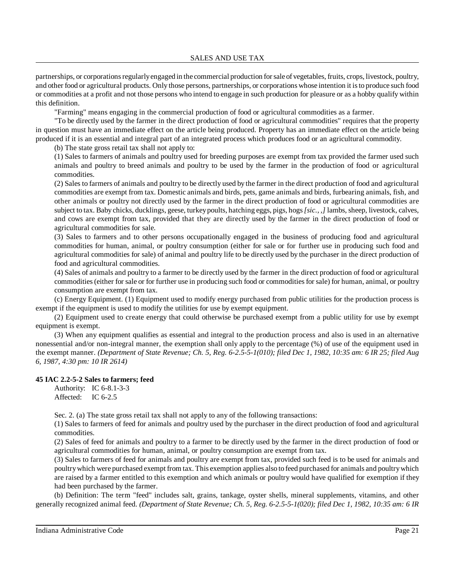partnerships, or corporationsregularlyengaged in the commercial production forsale of vegetables, fruits, crops, livestock, poultry, and other food or agricultural products. Only those persons, partnerships, or corporations whose intention it isto produce such food or commodities at a profit and not those persons who intend to engage in such production for pleasure or as a hobby qualify within this definition.

"Farming" means engaging in the commercial production of food or agricultural commodities as a farmer.

"To be directly used by the farmer in the direct production of food or agricultural commodities" requires that the property in question must have an immediate effect on the article being produced. Property has an immediate effect on the article being produced if it is an essential and integral part of an integrated process which produces food or an agricultural commodity.

(b) The state gross retail tax shall not apply to:

(1) Sales to farmers of animals and poultry used for breeding purposes are exempt from tax provided the farmer used such animals and poultry to breed animals and poultry to be used by the farmer in the production of food or agricultural commodities.

(2) Sales to farmers of animals and poultry to be directly used by the farmer in the direct production of food and agricultural commodities are exempt from tax. Domestic animals and birds, pets, game animals and birds, furbearing animals, fish, and other animals or poultry not directly used by the farmer in the direct production of food or agricultural commodities are subject to tax. Baby chicks, ducklings, geese, turkeypoults, hatching eggs, pigs, hogs*[sic., ,]* lambs, sheep, livestock, calves, and cows are exempt from tax, provided that they are directly used by the farmer in the direct production of food or agricultural commodities for sale.

(3) Sales to farmers and to other persons occupationally engaged in the business of producing food and agricultural commodities for human, animal, or poultry consumption (either for sale or for further use in producing such food and agricultural commodities for sale) of animal and poultry life to be directly used by the purchaser in the direct production of food and agricultural commodities.

(4) Sales of animals and poultry to a farmer to be directly used by the farmer in the direct production of food or agricultural commodities (either for sale or for further use in producing such food or commodities for sale) for human, animal, or poultry consumption are exempt from tax.

(c) Energy Equipment. (1) Equipment used to modify energy purchased from public utilities for the production process is exempt if the equipment is used to modify the utilities for use by exempt equipment.

(2) Equipment used to create energy that could otherwise be purchased exempt from a public utility for use by exempt equipment is exempt.

(3) When any equipment qualifies as essential and integral to the production process and also is used in an alternative nonessential and/or non-integral manner, the exemption shall only apply to the percentage (%) of use of the equipment used in the exempt manner. *(Department of State Revenue; Ch. 5, Reg. 6-2.5-5-1(010); filed Dec 1, 1982, 10:35 am: 6 IR 25; filed Aug 6, 1987, 4:30 pm: 10 IR 2614)*

### **45 IAC 2.2-5-2 Sales to farmers; feed**

Authority: IC 6-8.1-3-3 Affected: IC 6-2.5

Sec. 2. (a) The state gross retail tax shall not apply to any of the following transactions:

(1) Sales to farmers of feed for animals and poultry used by the purchaser in the direct production of food and agricultural commodities.

(2) Sales of feed for animals and poultry to a farmer to be directly used by the farmer in the direct production of food or agricultural commodities for human, animal, or poultry consumption are exempt from tax.

(3) Sales to farmers of feed for animals and poultry are exempt from tax, provided such feed is to be used for animals and poultrywhich were purchased exempt from tax. This exemption applies also to feed purchased for animals and poultrywhich are raised by a farmer entitled to this exemption and which animals or poultry would have qualified for exemption if they had been purchased by the farmer.

(b) Definition: The term "feed" includes salt, grains, tankage, oyster shells, mineral supplements, vitamins, and other generally recognized animal feed. *(Department of State Revenue; Ch. 5, Reg. 6-2.5-5-1(020); filed Dec 1, 1982, 10:35 am: 6 IR*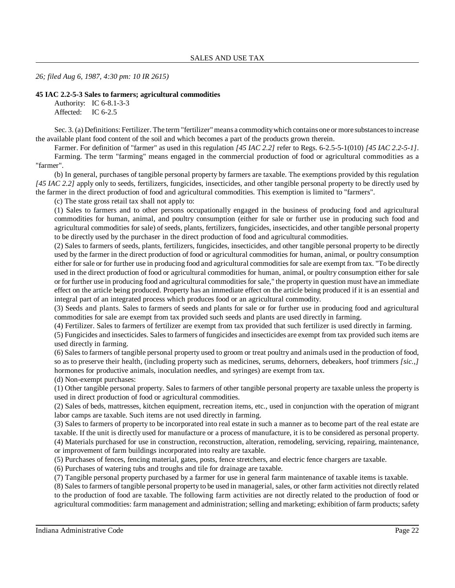*26; filed Aug 6, 1987, 4:30 pm: 10 IR 2615)*

#### **45 IAC 2.2-5-3 Sales to farmers; agricultural commodities**

Authority: IC 6-8.1-3-3 Affected: IC 6-2.5

Sec. 3. (a) Definitions: Fertilizer. The term "fertilizer" means a commodity which contains one or more substances to increase the available plant food content of the soil and which becomes a part of the products grown therein.

Farmer. For definition of "farmer" as used in this regulation *[45 IAC 2.2]* refer to Regs. 6-2.5-5-1(010) *[45 IAC 2.2-5-1]*.

Farming. The term "farming" means engaged in the commercial production of food or agricultural commodities as a "farmer".

(b) In general, purchases of tangible personal property by farmers are taxable. The exemptions provided by this regulation *[45 IAC 2.2]* apply only to seeds, fertilizers, fungicides, insecticides, and other tangible personal property to be directly used by the farmer in the direct production of food and agricultural commodities. This exemption is limited to "farmers".

(c) The state gross retail tax shall not apply to:

(1) Sales to farmers and to other persons occupationally engaged in the business of producing food and agricultural commodities for human, animal, and poultry consumption (either for sale or further use in producing such food and agricultural commodities for sale) of seeds, plants, fertilizers, fungicides, insecticides, and other tangible personal property to be directly used by the purchaser in the direct production of food and agricultural commodities.

(2) Sales to farmers of seeds, plants, fertilizers, fungicides, insecticides, and other tangible personal property to be directly used by the farmer in the direct production of food or agricultural commodities for human, animal, or poultry consumption either for sale or for further use in producing food and agricultural commodities for sale are exempt from tax. "To be directly used in the direct production of food or agricultural commodities for human, animal, or poultry consumption either for sale or for further use in producing food and agricultural commodities for sale," the property in question must have an immediate effect on the article being produced. Property has an immediate effect on the article being produced if it is an essential and integral part of an integrated process which produces food or an agricultural commodity.

(3) Seeds and plants. Sales to farmers of seeds and plants for sale or for further use in producing food and agricultural commodities for sale are exempt from tax provided such seeds and plants are used directly in farming.

(4) Fertilizer. Sales to farmers of fertilizer are exempt from tax provided that such fertilizer is used directly in farming.

(5) Fungicides and insecticides. Sales to farmers of fungicides and insecticides are exempt from tax provided such items are used directly in farming.

(6) Sales to farmers of tangible personal property used to groom or treat poultry and animals used in the production of food, so as to preserve their health, (including property such as medicines, serums, dehorners, debeakers, hoof trimmers *[sic.,]* hormones for productive animals, inoculation needles, and syringes) are exempt from tax.

(d) Non-exempt purchases:

(1) Other tangible personal property. Sales to farmers of other tangible personal property are taxable unless the property is used in direct production of food or agricultural commodities.

(2) Sales of beds, mattresses, kitchen equipment, recreation items, etc., used in conjunction with the operation of migrant labor camps are taxable. Such items are not used directly in farming.

(3) Sales to farmers of property to be incorporated into real estate in such a manner as to become part of the real estate are taxable. If the unit is directly used for manufacture or a process of manufacture, it is to be considered as personal property. (4) Materials purchased for use in construction, reconstruction, alteration, remodeling, servicing, repairing, maintenance, or improvement of farm buildings incorporated into realty are taxable.

(5) Purchases of fences, fencing material, gates, posts, fence stretchers, and electric fence chargers are taxable.

(6) Purchases of watering tubs and troughs and tile for drainage are taxable.

(7) Tangible personal property purchased by a farmer for use in general farm maintenance of taxable items is taxable.

(8) Sales to farmers of tangible personal property to be used in managerial, sales, or other farm activities not directly related to the production of food are taxable. The following farm activities are not directly related to the production of food or agricultural commodities: farm management and administration; selling and marketing; exhibition of farm products; safety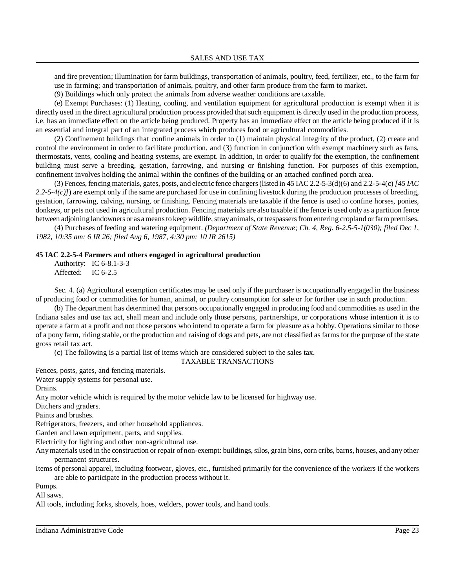and fire prevention; illumination for farm buildings, transportation of animals, poultry, feed, fertilizer, etc., to the farm for use in farming; and transportation of animals, poultry, and other farm produce from the farm to market.

(9) Buildings which only protect the animals from adverse weather conditions are taxable.

(e) Exempt Purchases: (1) Heating, cooling, and ventilation equipment for agricultural production is exempt when it is directly used in the direct agricultural production process provided that such equipment is directly used in the production process, i.e. has an immediate effect on the article being produced. Property has an immediate effect on the article being produced if it is an essential and integral part of an integrated process which produces food or agricultural commodities.

(2) Confinement buildings that confine animals in order to (1) maintain physical integrity of the product, (2) create and control the environment in order to facilitate production, and (3) function in conjunction with exempt machinery such as fans, thermostats, vents, cooling and heating systems, are exempt. In addition, in order to qualify for the exemption, the confinement building must serve a breeding, gestation, farrowing, and nursing or finishing function. For purposes of this exemption, confinement involves holding the animal within the confines of the building or an attached confined porch area.

(3) Fences, fencing materials, gates, posts, and electric fence chargers(listed in 45 IAC 2.2-5-3(d)(6) and 2.2-5-4(c) *[45 IAC 2.2-5-4(c)]*) are exempt only if the same are purchased for use in confining livestock during the production processes of breeding, gestation, farrowing, calving, nursing, or finishing. Fencing materials are taxable if the fence is used to confine horses, ponies, donkeys, or pets not used in agricultural production. Fencing materials are also taxable if the fence is used only as a partition fence between adjoining landowners or as a means to keep wildlife, stray animals, or trespassers from entering cropland or farm premises.

(4) Purchases of feeding and watering equipment. *(Department of State Revenue; Ch. 4, Reg. 6-2.5-5-1(030); filed Dec 1, 1982, 10:35 am: 6 IR 26; filed Aug 6, 1987, 4:30 pm: 10 IR 2615)*

### **45 IAC 2.2-5-4 Farmers and others engaged in agricultural production**

Authority: IC 6-8.1-3-3 Affected: IC 6-2.5

Sec. 4. (a) Agricultural exemption certificates may be used only if the purchaser is occupationally engaged in the business of producing food or commodities for human, animal, or poultry consumption for sale or for further use in such production.

(b) The department has determined that persons occupationally engaged in producing food and commodities as used in the Indiana sales and use tax act, shall mean and include only those persons, partnerships, or corporations whose intention it is to operate a farm at a profit and not those persons who intend to operate a farm for pleasure as a hobby. Operations similar to those of a pony farm, riding stable, or the production and raising of dogs and pets, are not classified as farms for the purpose of the state gross retail tax act.

(c) The following is a partial list of items which are considered subject to the sales tax.

TAXABLE TRANSACTIONS

Fences, posts, gates, and fencing materials.

Water supply systems for personal use.

Drains.

Any motor vehicle which is required by the motor vehicle law to be licensed for highway use.

Ditchers and graders.

Paints and brushes.

Refrigerators, freezers, and other household appliances.

Garden and lawn equipment, parts, and supplies.

Electricity for lighting and other non-agricultural use.

Any materials used in the construction or repair of non-exempt: buildings, silos, grain bins, corn cribs, barns, houses, and any other permanent structures.

Items of personal apparel, including footwear, gloves, etc., furnished primarily for the convenience of the workers if the workers are able to participate in the production process without it.

Pumps.

All saws.

All tools, including forks, shovels, hoes, welders, power tools, and hand tools.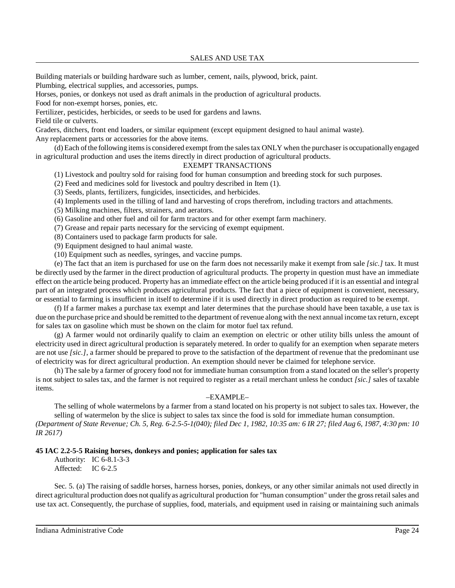Building materials or building hardware such as lumber, cement, nails, plywood, brick, paint. Plumbing, electrical supplies, and accessories, pumps.

Horses, ponies, or donkeys not used as draft animals in the production of agricultural products.

Food for non-exempt horses, ponies, etc.

Fertilizer, pesticides, herbicides, or seeds to be used for gardens and lawns.

Field tile or culverts.

Graders, ditchers, front end loaders, or similar equipment (except equipment designed to haul animal waste). Any replacement parts or accessories for the above items.

(d) Each ofthe following itemsis considered exempt from the salestax ONLY when the purchaser is occupationallyengaged in agricultural production and uses the items directly in direct production of agricultural products.

# EXEMPT TRANSACTIONS

(1) Livestock and poultry sold for raising food for human consumption and breeding stock for such purposes.

(2) Feed and medicines sold for livestock and poultry described in Item (1).

(3) Seeds, plants, fertilizers, fungicides, insecticides, and herbicides.

(4) Implements used in the tilling of land and harvesting of crops therefrom, including tractors and attachments.

(5) Milking machines, filters, strainers, and aerators.

(6) Gasoline and other fuel and oil for farm tractors and for other exempt farm machinery.

(7) Grease and repair parts necessary for the servicing of exempt equipment.

(8) Containers used to package farm products for sale.

(9) Equipment designed to haul animal waste.

(10) Equipment such as needles, syringes, and vaccine pumps.

(e) The fact that an item is purchased for use on the farm does not necessarily make it exempt from sale *[sic.]* tax. It must be directly used by the farmer in the direct production of agricultural products. The property in question must have an immediate effect on the article being produced. Property has an immediate effect on the article being produced if it is an essential and integral part of an integrated process which produces agricultural products. The fact that a piece of equipment is convenient, necessary, or essential to farming is insufficient in itself to determine if it is used directly in direct production as required to be exempt.

(f) If a farmer makes a purchase tax exempt and later determines that the purchase should have been taxable, a use tax is due on the purchase price and should be remitted to the department of revenue along with the next annual income tax return, except for sales tax on gasoline which must be shown on the claim for motor fuel tax refund.

(g) A farmer would not ordinarily qualify to claim an exemption on electric or other utility bills unless the amount of electricity used in direct agricultural production is separately metered. In order to qualify for an exemption when separate meters are not use *[sic.]*, a farmer should be prepared to prove to the satisfaction of the department of revenue that the predominant use of electricity was for direct agricultural production. An exemption should never be claimed for telephone service.

(h) The sale by a farmer of grocery food not for immediate human consumption from a stand located on the seller's property is not subject to sales tax, and the farmer is not required to register as a retail merchant unless he conduct *[sic.]* sales of taxable items.

### –EXAMPLE–

The selling of whole watermelons by a farmer from a stand located on his property is not subject to sales tax. However, the selling of watermelon by the slice is subject to sales tax since the food is sold for immediate human consumption.

(Department of State Revenue; Ch. 5, Reg. 6-2.5-5-1(040); filed Dec 1, 1982, 10:35 am: 6 IR 27; filed Aug 6, 1987, 4:30 pm: 10 *IR 2617)*

# **45 IAC 2.2-5-5 Raising horses, donkeys and ponies; application for sales tax**

Authority: IC 6-8.1-3-3 Affected: IC 6-2.5

Sec. 5. (a) The raising of saddle horses, harness horses, ponies, donkeys, or any other similar animals not used directly in direct agricultural production does not qualifyas agricultural production for "human consumption" under the grossretail sales and use tax act. Consequently, the purchase of supplies, food, materials, and equipment used in raising or maintaining such animals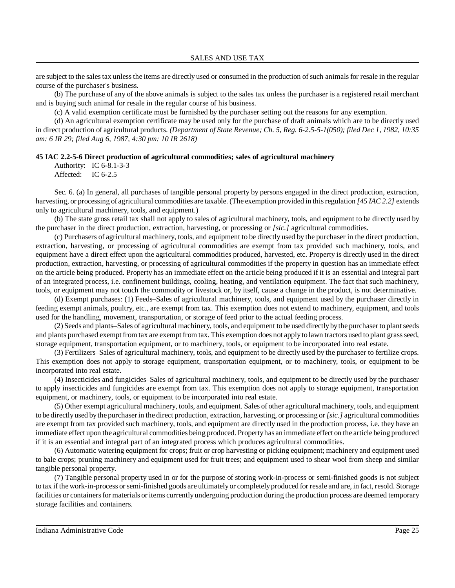are subject to the sales tax unless the items are directly used or consumed in the production of such animals for resale in the regular course of the purchaser's business.

(b) The purchase of any of the above animals is subject to the sales tax unless the purchaser is a registered retail merchant and is buying such animal for resale in the regular course of his business.

(c) A valid exemption certificate must be furnished by the purchaser setting out the reasons for any exemption.

(d) An agricultural exemption certificate may be used only for the purchase of draft animals which are to be directly used in direct production of agricultural products. *(Department of State Revenue; Ch. 5, Reg. 6-2.5-5-1(050); filed Dec 1, 1982, 10:35 am: 6 IR 29; filed Aug 6, 1987, 4:30 pm: 10 IR 2618)*

#### **45 IAC 2.2-5-6 Direct production of agricultural commodities; sales of agricultural machinery**

Authority: IC 6-8.1-3-3

Affected: IC 6-2.5

Sec. 6. (a) In general, all purchases of tangible personal property by persons engaged in the direct production, extraction, harvesting, or processing of agricultural commodities are taxable. (The exemption provided in thisregulation *[45 IAC 2.2]* extends only to agricultural machinery, tools, and equipment.)

(b) The state gross retail tax shall not apply to sales of agricultural machinery, tools, and equipment to be directly used by the purchaser in the direct production, extraction, harvesting, or processing or *[sic.]* agricultural commodities.

(c) Purchasers of agricultural machinery, tools, and equipment to be directly used by the purchaser in the direct production, extraction, harvesting, or processing of agricultural commodities are exempt from tax provided such machinery, tools, and equipment have a direct effect upon the agricultural commodities produced, harvested, etc. Property is directly used in the direct production, extraction, harvesting, or processing of agricultural commodities if the property in question has an immediate effect on the article being produced. Property has an immediate effect on the article being produced if it is an essential and integral part of an integrated process, i.e. confinement buildings, cooling, heating, and ventilation equipment. The fact that such machinery, tools, or equipment may not touch the commodity or livestock or, by itself, cause a change in the product, is not determinative.

(d) Exempt purchases: (1) Feeds–Sales of agricultural machinery, tools, and equipment used by the purchaser directly in feeding exempt animals, poultry, etc., are exempt from tax. This exemption does not extend to machinery, equipment, and tools used for the handling, movement, transportation, or storage of feed prior to the actual feeding process.

(2) Seeds and plants–Sales of agricultural machinery, tools, and equipment to be used directlybythe purchaser to plantseeds and plants purchased exempt from tax are exempt from tax. This exemption does not apply to lawn tractors used to plant grass seed, storage equipment, transportation equipment, or to machinery, tools, or equipment to be incorporated into real estate.

(3) Fertilizers–Sales of agricultural machinery, tools, and equipment to be directly used by the purchaser to fertilize crops. This exemption does not apply to storage equipment, transportation equipment, or to machinery, tools, or equipment to be incorporated into real estate.

(4) Insecticides and fungicides–Sales of agricultural machinery, tools, and equipment to be directly used by the purchaser to apply insecticides and fungicides are exempt from tax. This exemption does not apply to storage equipment, transportation equipment, or machinery, tools, or equipment to be incorporated into real estate.

(5) Other exempt agricultural machinery, tools, and equipment. Sales of other agricultural machinery, tools, and equipment to be directlyused bythe purchaser in the direct production, extraction, harvesting, or processing or*[sic.]* agricultural commodities are exempt from tax provided such machinery, tools, and equipment are directly used in the production process, i.e. they have an immediate effect upon the agricultural commodities being produced. Propertyhas an immediate effect on the article being produced if it is an essential and integral part of an integrated process which produces agricultural commodities.

(6) Automatic watering equipment for crops; fruit or crop harvesting or picking equipment; machinery and equipment used to bale crops; pruning machinery and equipment used for fruit trees; and equipment used to shear wool from sheep and similar tangible personal property.

(7) Tangible personal property used in or for the purpose of storing work-in-process or semi-finished goods is not subject to tax if the work-in-process orsemi-finished goods are ultimatelyor completelyproduced for resale and are, in fact, resold. Storage facilities or containers for materials or items currently undergoing production during the production process are deemed temporary storage facilities and containers.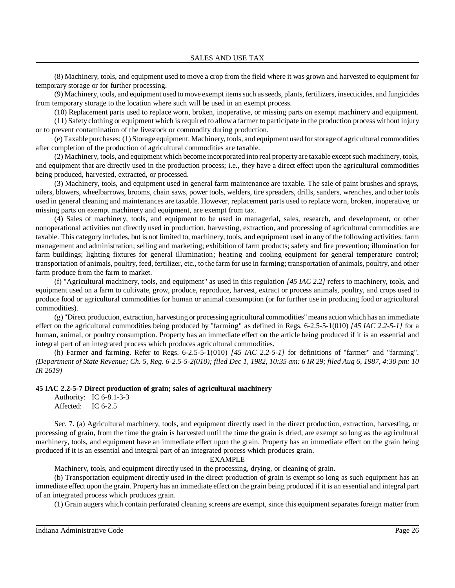(8) Machinery, tools, and equipment used to move a crop from the field where it was grown and harvested to equipment for temporary storage or for further processing.

(9) Machinery, tools, and equipment used tomove exempt itemssuch asseeds, plants, fertilizers, insecticides, and fungicides from temporary storage to the location where such will be used in an exempt process.

(10) Replacement parts used to replace worn, broken, inoperative, or missing parts on exempt machinery and equipment.

(11) Safety clothing or equipment which isrequired to allow a farmer to participate in the production process without injury or to prevent contamination of the livestock or commodity during production.

(e) Taxable purchases: (1) Storage equipment. Machinery, tools, and equipment used forstorage of agricultural commodities after completion of the production of agricultural commodities are taxable.

(2) Machinery, tools, and equipment which become incorporated into real propertyare taxable except such machinery, tools, and equipment that are directly used in the production process; i.e., they have a direct effect upon the agricultural commodities being produced, harvested, extracted, or processed.

(3) Machinery, tools, and equipment used in general farm maintenance are taxable. The sale of paint brushes and sprays, oilers, blowers, wheelbarrows, brooms, chain saws, power tools, welders, tire spreaders, drills, sanders, wrenches, and other tools used in general cleaning and maintenances are taxable. However, replacement parts used to replace worn, broken, inoperative, or missing parts on exempt machinery and equipment, are exempt from tax.

(4) Sales of machinery, tools, and equipment to be used in managerial, sales, research, and development, or other nonoperational activities not directly used in production, harvesting, extraction, and processing of agricultural commodities are taxable. This category includes, but is not limited to, machinery, tools, and equipment used in any of the following activities: farm management and administration; selling and marketing; exhibition of farm products; safety and fire prevention; illumination for farm buildings; lighting fixtures for general illumination; heating and cooling equipment for general temperature control; transportation of animals, poultry, feed, fertilizer, etc., to the farm for use in farming; transportation of animals, poultry, and other farm produce from the farm to market.

(f) "Agricultural machinery, tools, and equipment" as used in this regulation *[45 IAC 2.2]* refers to machinery, tools, and equipment used on a farm to cultivate, grow, produce, reproduce, harvest, extract or process animals, poultry, and crops used to produce food or agricultural commodities for human or animal consumption (or for further use in producing food or agricultural commodities).

(g) "Direct production, extraction, harvesting or processing agricultural commodities"means action which has an immediate effect on the agricultural commodities being produced by "farming" as defined in Regs. 6-2.5-5-1(010) *[45 IAC 2.2-5-1]* for a human, animal, or poultry consumption. Property has an immediate effect on the article being produced if it is an essential and integral part of an integrated process which produces agricultural commodities.

(h) Farmer and farming. Refer to Regs. 6-2.5-5-1(010) *[45 IAC 2.2-5-1]* for definitions of "farmer" and "farming". (Department of State Revenue; Ch. 5, Reg. 6-2.5-5-2(010); filed Dec 1, 1982, 10:35 am: 6 IR 29; filed Aug 6, 1987, 4:30 pm: 10 *IR 2619)*

### **45 IAC 2.2-5-7 Direct production of grain; sales of agricultural machinery**

Authority: IC 6-8.1-3-3 Affected: IC 6-2.5

Sec. 7. (a) Agricultural machinery, tools, and equipment directly used in the direct production, extraction, harvesting, or processing of grain, from the time the grain is harvested until the time the grain is dried, are exempt so long as the agricultural machinery, tools, and equipment have an immediate effect upon the grain. Property has an immediate effect on the grain being produced if it is an essential and integral part of an integrated process which produces grain.

#### –EXAMPLE–

Machinery, tools, and equipment directly used in the processing, drying, or cleaning of grain.

(b) Transportation equipment directly used in the direct production of grain is exempt so long as such equipment has an immediate effect upon the grain. Property has an immediate effect on the grain being produced if it is an essential and integral part of an integrated process which produces grain.

(1) Grain augers which contain perforated cleaning screens are exempt, since this equipment separates foreign matter from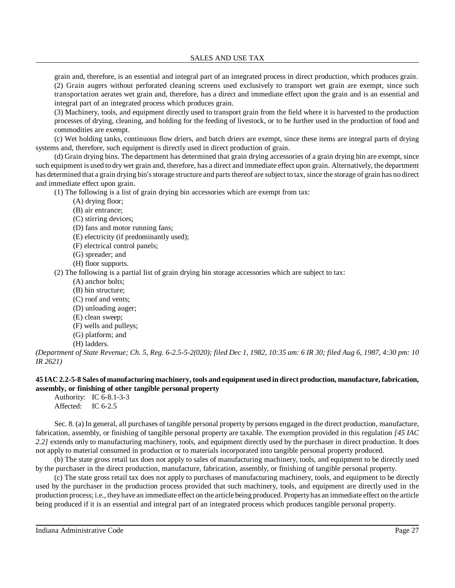grain and, therefore, is an essential and integral part of an integrated process in direct production, which produces grain. (2) Grain augers without perforated cleaning screens used exclusively to transport wet grain are exempt, since such transportation aerates wet grain and, therefore, has a direct and immediate effect upon the grain and is an essential and integral part of an integrated process which produces grain.

(3) Machinery, tools, and equipment directly used to transport grain from the field where it is harvested to the production processes of drying, cleaning, and holding for the feeding of livestock, or to be further used in the production of food and commodities are exempt.

(c) Wet holding tanks, continuous flow driers, and batch driers are exempt, since these items are integral parts of drying systems and, therefore, such equipment is directly used in direct production of grain.

(d) Grain drying bins. The department has determined that grain drying accessories of a grain drying bin are exempt, since such equipment is used to dry wet grain and, therefore, has a direct and immediate effect upon grain. Alternatively, the department has determined that a grain drying bin's storage structure and parts thereof are subject to tax, since the storage of grain has no direct and immediate effect upon grain.

(1) The following is a list of grain drying bin accessories which are exempt from tax:

- (A) drying floor;
- (B) air entrance;
- (C) stirring devices;
- (D) fans and motor running fans;
- (E) electricity (if predominantly used);
- (F) electrical control panels;
- (G) spreader; and
- (H) floor supports.

(2) The following is a partial list of grain drying bin storage accessories which are subject to tax:

- (A) anchor bolts;
- (B) bin structure;
- (C) roof and vents;
- (D) unloading auger;
- (E) clean sweep;
- (F) wells and pulleys;
- (G) platform; and
- (H) ladders.

(Department of State Revenue; Ch. 5, Reg. 6-2.5-5-2(020); filed Dec 1, 1982, 10:35 am: 6 IR 30; filed Aug 6, 1987, 4:30 pm: 10 *IR 2621)*

# 45 IAC 2.2-5-8 Sales of manufacturing machinery, tools and equipment used in direct production, manufacture, fabrication, **assembly, or finishing of other tangible personal property**

Authority: IC 6-8.1-3-3 Affected: IC 6-2.5

Sec. 8. (a) In general, all purchases of tangible personal property by persons engaged in the direct production, manufacture, fabrication, assembly, or finishing of tangible personal property are taxable. The exemption provided in this regulation *[45 IAC 2.2]* extends only to manufacturing machinery, tools, and equipment directly used by the purchaser in direct production. It does not apply to material consumed in production or to materials incorporated into tangible personal property produced.

(b) The state gross retail tax does not apply to sales of manufacturing machinery, tools, and equipment to be directly used by the purchaser in the direct production, manufacture, fabrication, assembly, or finishing of tangible personal property.

(c) The state gross retail tax does not apply to purchases of manufacturing machinery, tools, and equipment to be directly used by the purchaser in the production process provided that such machinery, tools, and equipment are directly used in the production process; i.e., theyhave an immediate effect on the article being produced. Propertyhas an immediate effect on the article being produced if it is an essential and integral part of an integrated process which produces tangible personal property.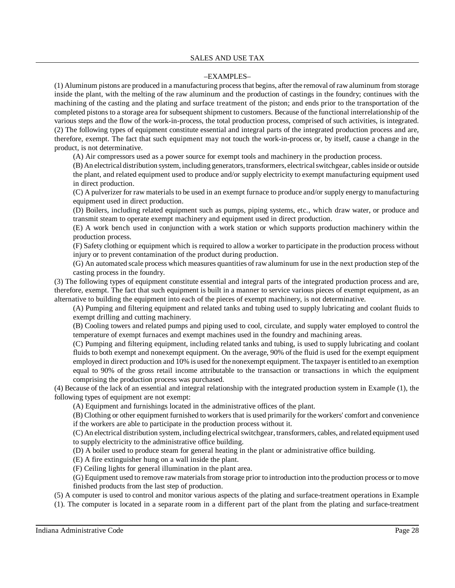### SALES AND USE TAX

#### –EXAMPLES–

(1) Aluminum pistons are produced in a manufacturing processthat begins, after the removal of raw aluminum from storage inside the plant, with the melting of the raw aluminum and the production of castings in the foundry; continues with the machining of the casting and the plating and surface treatment of the piston; and ends prior to the transportation of the completed pistons to a storage area for subsequent shipment to customers. Because of the functional interrelationship of the various steps and the flow of the work-in-process, the total production process, comprised of such activities, is integrated. (2) The following types of equipment constitute essential and integral parts of the integrated production process and are, therefore, exempt. The fact that such equipment may not touch the work-in-process or, by itself, cause a change in the product, is not determinative.

(A) Air compressors used as a power source for exempt tools and machinery in the production process.

(B)An electrical distribution system, including generators, transformers, electricalswitchgear, cablesinside or outside the plant, and related equipment used to produce and/or supply electricity to exempt manufacturing equipment used in direct production.

(C) A pulverizer for raw materials to be used in an exempt furnace to produce and/or supply energy to manufacturing equipment used in direct production.

(D) Boilers, including related equipment such as pumps, piping systems, etc., which draw water, or produce and transmit steam to operate exempt machinery and equipment used in direct production.

(E) A work bench used in conjunction with a work station or which supports production machinery within the production process.

(F) Safety clothing or equipment which is required to allow a worker to participate in the production process without injury or to prevent contamination of the product during production.

(G) An automated scale process which measures quantities of raw aluminum for use in the next production step of the casting process in the foundry.

(3) The following types of equipment constitute essential and integral parts of the integrated production process and are, therefore, exempt. The fact that such equipment is built in a manner to service various pieces of exempt equipment, as an alternative to building the equipment into each of the pieces of exempt machinery, is not determinative.

(A) Pumping and filtering equipment and related tanks and tubing used to supply lubricating and coolant fluids to exempt drilling and cutting machinery.

(B) Cooling towers and related pumps and piping used to cool, circulate, and supply water employed to control the temperature of exempt furnaces and exempt machines used in the foundry and machining areas.

(C) Pumping and filtering equipment, including related tanks and tubing, is used to supply lubricating and coolant fluids to both exempt and nonexempt equipment. On the average, 90% of the fluid is used for the exempt equipment employed in direct production and 10% is used for the nonexempt equipment. The taxpayer is entitled to an exemption equal to 90% of the gross retail income attributable to the transaction or transactions in which the equipment comprising the production process was purchased.

(4) Because of the lack of an essential and integral relationship with the integrated production system in Example (1), the following types of equipment are not exempt:

(A) Equipment and furnishings located in the administrative offices of the plant.

(B) Clothing or other equipment furnished to workers that is used primarily for the workers' comfort and convenience if the workers are able to participate in the production process without it.

(C) An electrical distribution system, including electricalswitchgear, transformers, cables, and related equipment used to supply electricity to the administrative office building.

(D) A boiler used to produce steam for general heating in the plant or administrative office building.

(E) A fire extinguisher hung on a wall inside the plant.

(F) Ceiling lights for general illumination in the plant area.

(G) Equipment used to remove raw materialsfrom storage prior to introduction into the production process or tomove finished products from the last step of production.

(5) A computer is used to control and monitor various aspects of the plating and surface-treatment operations in Example (1). The computer is located in a separate room in a different part of the plant from the plating and surface-treatment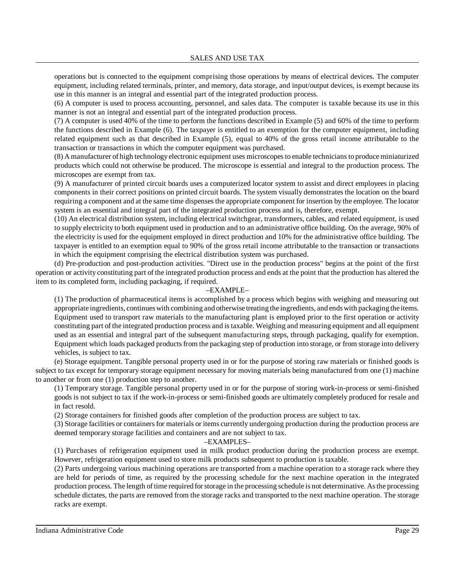operations but is connected to the equipment comprising those operations by means of electrical devices. The computer equipment, including related terminals, printer, and memory, data storage, and input/output devices, is exempt because its use in this manner is an integral and essential part of the integrated production process.

(6) A computer is used to process accounting, personnel, and sales data. The computer is taxable because its use in this manner is not an integral and essential part of the integrated production process.

(7) A computer is used 40% of the time to perform the functions described in Example (5) and 60% of the time to perform the functions described in Example (6). The taxpayer is entitled to an exemption for the computer equipment, including related equipment such as that described in Example (5), equal to 40% of the gross retail income attributable to the transaction or transactions in which the computer equipment was purchased.

(8) A manufacturer of high technologyelectronic equipment uses microscopesto enable techniciansto produceminiaturized products which could not otherwise be produced. The microscope is essential and integral to the production process. The microscopes are exempt from tax.

(9) A manufacturer of printed circuit boards uses a computerized locator system to assist and direct employees in placing components in their correct positions on printed circuit boards. The system visually demonstrates the location on the board requiring a component and at the same time dispensesthe appropriate component for insertion by the employee. The locator system is an essential and integral part of the integrated production process and is, therefore, exempt.

(10) An electrical distribution system, including electrical switchgear, transformers, cables, and related equipment, is used to supply electricity to both equipment used in production and to an administrative office building. On the average, 90% of the electricity is used for the equipment employed in direct production and 10% for the administrative office building. The taxpayer is entitled to an exemption equal to 90% of the gross retail income attributable to the transaction or transactions in which the equipment comprising the electrical distribution system was purchased.

(d) Pre-production and post-production activities. "Direct use in the production process" begins at the point of the first operation or activity constituting part of the integrated production process and ends at the point that the production has altered the item to its completed form, including packaging, if required.

### –EXAMPLE–

(1) The production of pharmaceutical items is accomplished by a process which begins with weighing and measuring out appropriate ingredients, continueswith combining and otherwise treating the ingredients, and ends with packaging the items. Equipment used to transport raw materials to the manufacturing plant is employed prior to the first operation or activity constituting part of the integrated production process and istaxable. Weighing and measuring equipment and all equipment used as an essential and integral part of the subsequent manufacturing steps, through packaging, qualify for exemption. Equipment which loads packaged products from the packaging step of production into storage, or from storage into delivery vehicles, is subject to tax.

(e) Storage equipment. Tangible personal property used in or for the purpose of storing raw materials or finished goods is subject to tax except for temporary storage equipment necessary for moving materials being manufactured from one (1) machine to another or from one (1) production step to another.

(1) Temporary storage. Tangible personal property used in or for the purpose of storing work-in-process or semi-finished goods is not subject to tax if the work-in-process or semi-finished goods are ultimately completely produced for resale and in fact resold.

(2) Storage containers for finished goods after completion of the production process are subject to tax.

(3) Storage facilities or containersfor materials or items currently undergoing production during the production process are deemed temporary storage facilities and containers and are not subject to tax.

### –EXAMPLES–

(1) Purchases of refrigeration equipment used in milk product production during the production process are exempt. However, refrigeration equipment used to store milk products subsequent to production is taxable.

(2) Parts undergoing various machining operations are transported from a machine operation to a storage rack where they are held for periods of time, as required by the processing schedule for the next machine operation in the integrated production process. The length of time required for storage in the processing schedule is not determinative. As the processing schedule dictates, the parts are removed from the storage racks and transported to the next machine operation. The storage racks are exempt.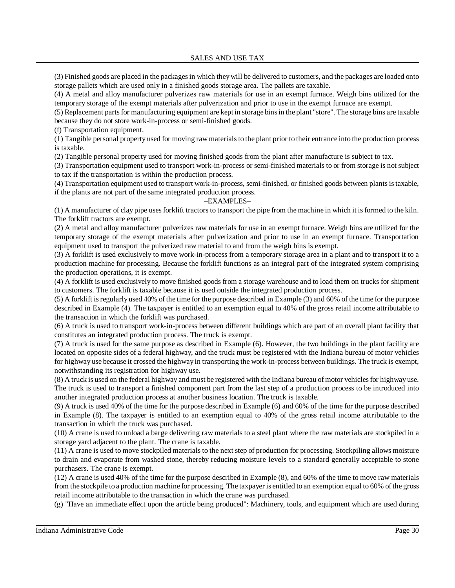(3) Finished goods are placed in the packagesin which they will be delivered to customers, and the packages are loaded onto storage pallets which are used only in a finished goods storage area. The pallets are taxable.

(4) A metal and alloy manufacturer pulverizes raw materials for use in an exempt furnace. Weigh bins utilized for the temporary storage of the exempt materials after pulverization and prior to use in the exempt furnace are exempt.

(5) Replacement partsfor manufacturing equipment are kept in storage binsin the plant "store". The storage bins are taxable because they do not store work-in-process or semi-finished goods.

(f) Transportation equipment.

(1) Tangible personal property used for moving raw materialsto the plant prior to their entrance into the production process is taxable.

(2) Tangible personal property used for moving finished goods from the plant after manufacture is subject to tax.

(3) Transportation equipment used to transport work-in-process or semi-finished materials to or from storage is not subject to tax if the transportation is within the production process.

(4) Transportation equipment used to transport work-in-process, semi-finished, or finished goods between plantsistaxable, if the plants are not part of the same integrated production process.

### –EXAMPLES–

(1) A manufacturer of clay pipe uses forklift tractors to transport the pipe from the machine in which it isformed to the kiln. The forklift tractors are exempt.

(2) A metal and alloy manufacturer pulverizes raw materials for use in an exempt furnace. Weigh bins are utilized for the temporary storage of the exempt materials after pulverization and prior to use in an exempt furnace. Transportation equipment used to transport the pulverized raw material to and from the weigh bins is exempt.

(3) A forklift is used exclusively to move work-in-process from a temporary storage area in a plant and to transport it to a production machine for processing. Because the forklift functions as an integral part of the integrated system comprising the production operations, it is exempt.

(4) A forklift is used exclusively to move finished goods from a storage warehouse and to load them on trucks for shipment to customers. The forklift is taxable because it is used outside the integrated production process.

(5) A forklift isregularly used 40% of the time for the purpose described in Example (3) and 60% of the time for the purpose described in Example (4). The taxpayer is entitled to an exemption equal to 40% of the gross retail income attributable to the transaction in which the forklift was purchased.

(6) A truck is used to transport work-in-process between different buildings which are part of an overall plant facility that constitutes an integrated production process. The truck is exempt.

(7) A truck is used for the same purpose as described in Example (6). However, the two buildings in the plant facility are located on opposite sides of a federal highway, and the truck must be registered with the Indiana bureau of motor vehicles for highway use because it crossed the highway in transporting the work-in-process between buildings. The truck is exempt, notwithstanding its registration for highway use.

(8) A truck is used on the federal highway and must be registered with the Indiana bureau of motor vehiclesfor highway use. The truck is used to transport a finished component part from the last step of a production process to be introduced into another integrated production process at another business location. The truck is taxable.

(9) A truck is used 40% of the time for the purpose described in Example (6) and 60% of the time for the purpose described in Example (8). The taxpayer is entitled to an exemption equal to 40% of the gross retail income attributable to the transaction in which the truck was purchased.

(10) A crane is used to unload a barge delivering raw materials to a steel plant where the raw materials are stockpiled in a storage yard adjacent to the plant. The crane is taxable.

(11) A crane is used to move stockpiled materials to the next step of production for processing. Stockpiling allows moisture to drain and evaporate from washed stone, thereby reducing moisture levels to a standard generally acceptable to stone purchasers. The crane is exempt.

(12) A crane is used 40% of the time for the purpose described in Example (8), and 60% of the time to move raw materials from the stockpile to a production machine for processing. The taxpayer is entitled to an exemption equal to 60% of the gross retail income attributable to the transaction in which the crane was purchased.

(g) "Have an immediate effect upon the article being produced": Machinery, tools, and equipment which are used during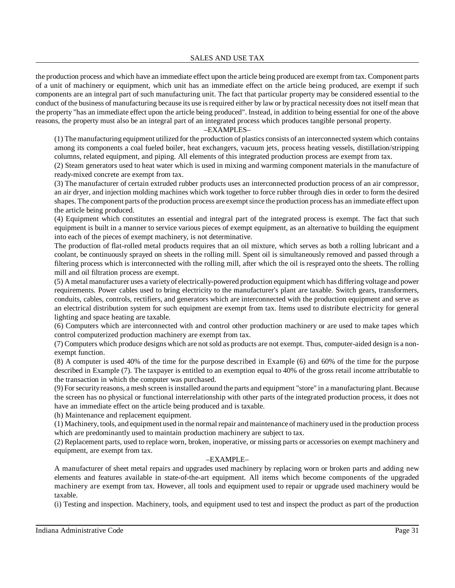the production process and which have an immediate effect upon the article being produced are exempt from tax. Component parts of a unit of machinery or equipment, which unit has an immediate effect on the article being produced, are exempt if such components are an integral part of such manufacturing unit. The fact that particular property may be considered essential to the conduct of the business of manufacturing because its use isrequired either by law or by practical necessity does not itself mean that the property "has an immediate effect upon the article being produced". Instead, in addition to being essential for one of the above reasons, the property must also be an integral part of an integrated process which produces tangible personal property.

### –EXAMPLES–

(1) Themanufacturing equipment utilized for the production of plastics consists of an interconnected system which contains among its components a coal fueled boiler, heat exchangers, vacuum jets, process heating vessels, distillation/stripping columns, related equipment, and piping. All elements of this integrated production process are exempt from tax.

(2) Steam generators used to heat water which is used in mixing and warming component materials in the manufacture of ready-mixed concrete are exempt from tax.

(3) The manufacturer of certain extruded rubber products uses an interconnected production process of an air compressor, an air dryer, and injection molding machines which work together to force rubber through dies in order to form the desired shapes. The component parts of the production process are exempt since the production process has an immediate effect upon the article being produced.

(4) Equipment which constitutes an essential and integral part of the integrated process is exempt. The fact that such equipment is built in a manner to service various pieces of exempt equipment, as an alternative to building the equipment into each of the pieces of exempt machinery, is not determinative.

The production of flat-rolled metal products requires that an oil mixture, which serves as both a rolling lubricant and a coolant, be continuously sprayed on sheets in the rolling mill. Spent oil is simultaneously removed and passed through a filtering process which is interconnected with the rolling mill, after which the oil is resprayed onto the sheets. The rolling mill and oil filtration process are exempt.

(5) A metal manufacturer uses a varietyof electrically-powered production equipment which has differing voltage and power requirements. Power cables used to bring electricity to the manufacturer's plant are taxable. Switch gears, transformers, conduits, cables, controls, rectifiers, and generators which are interconnected with the production equipment and serve as an electrical distribution system for such equipment are exempt from tax. Items used to distribute electricity for general lighting and space heating are taxable.

(6) Computers which are interconnected with and control other production machinery or are used to make tapes which control computerized production machinery are exempt from tax.

(7) Computers which produce designs which are not sold as products are not exempt. Thus, computer-aided design is a nonexempt function.

(8) A computer is used 40% of the time for the purpose described in Example (6) and 60% of the time for the purpose described in Example (7). The taxpayer is entitled to an exemption equal to 40% of the gross retail income attributable to the transaction in which the computer was purchased.

(9) Forsecurityreasons, a mesh screen isinstalled around the parts and equipment "store" in a manufacturing plant. Because the screen has no physical or functional interrelationship with other parts of the integrated production process, it does not have an immediate effect on the article being produced and is taxable.

(h) Maintenance and replacement equipment.

(1) Machinery, tools, and equipment used in the normal repair and maintenance of machinery used in the production process which are predominantly used to maintain production machinery are subject to tax.

(2) Replacement parts, used to replace worn, broken, inoperative, or missing parts or accessories on exempt machinery and equipment, are exempt from tax.

### –EXAMPLE–

A manufacturer of sheet metal repairs and upgrades used machinery by replacing worn or broken parts and adding new elements and features available in state-of-the-art equipment. All items which become components of the upgraded machinery are exempt from tax. However, all tools and equipment used to repair or upgrade used machinery would be taxable.

(i) Testing and inspection. Machinery, tools, and equipment used to test and inspect the product as part of the production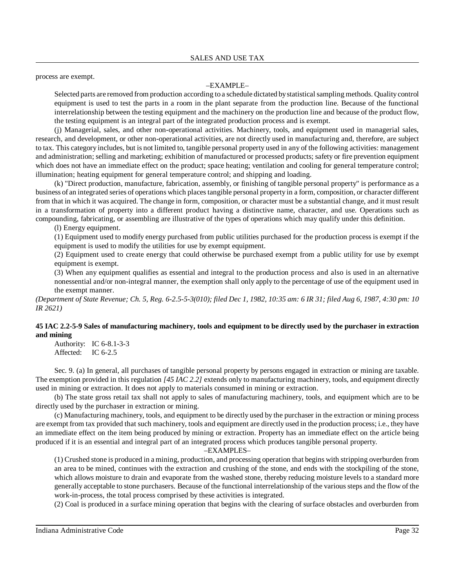process are exempt.

# –EXAMPLE–

Selected parts are removed from production according to a schedule dictated bystatisticalsampling methods. Qualitycontrol equipment is used to test the parts in a room in the plant separate from the production line. Because of the functional interrelationship between the testing equipment and the machinery on the production line and because of the product flow, the testing equipment is an integral part of the integrated production process and is exempt.

(j) Managerial, sales, and other non-operational activities. Machinery, tools, and equipment used in managerial sales, research, and development, or other non-operational activities, are not directly used in manufacturing and, therefore, are subject to tax. This category includes, but is not limited to, tangible personal property used in any of the following activities: management and administration; selling and marketing; exhibition of manufactured or processed products; safety or fire prevention equipment which does not have an immediate effect on the product; space heating; ventilation and cooling for general temperature control; illumination; heating equipment for general temperature control; and shipping and loading.

(k) "Direct production, manufacture, fabrication, assembly, or finishing of tangible personal property" is performance as a business of an integrated series of operations which placestangible personal property in a form, composition, or character different from that in which it was acquired. The change in form, composition, or character must be a substantial change, and it must result in a transformation of property into a different product having a distinctive name, character, and use. Operations such as compounding, fabricating, or assembling are illustrative of the types of operations which may qualify under this definition.

(l) Energy equipment.

(1) Equipment used to modify energy purchased from public utilities purchased for the production process is exempt if the equipment is used to modify the utilities for use by exempt equipment.

(2) Equipment used to create energy that could otherwise be purchased exempt from a public utility for use by exempt equipment is exempt.

(3) When any equipment qualifies as essential and integral to the production process and also is used in an alternative nonessential and/or non-integral manner, the exemption shall only apply to the percentage of use of the equipment used in the exempt manner.

(Department of State Revenue; Ch. 5, Reg. 6-2.5-5-3(010); filed Dec 1, 1982, 10:35 am: 6 IR 31; filed Aug 6, 1987, 4:30 pm: 10 *IR 2621)*

# **45 IAC 2.2-5-9 Sales of manufacturing machinery, tools and equipment to be directly used by the purchaser in extraction and mining**

Authority: IC 6-8.1-3-3 Affected: IC 6-2.5

Sec. 9. (a) In general, all purchases of tangible personal property by persons engaged in extraction or mining are taxable. The exemption provided in this regulation *[45 IAC 2.2]* extends only to manufacturing machinery, tools, and equipment directly used in mining or extraction. It does not apply to materials consumed in mining or extraction.

(b) The state gross retail tax shall not apply to sales of manufacturing machinery, tools, and equipment which are to be directly used by the purchaser in extraction or mining.

(c) Manufacturing machinery, tools, and equipment to be directly used by the purchaser in the extraction or mining process are exempt from tax provided that such machinery, tools and equipment are directly used in the production process; i.e., they have an immediate effect on the item being produced by mining or extraction. Property has an immediate effect on the article being produced if it is an essential and integral part of an integrated process which produces tangible personal property.

–EXAMPLES–

(1) Crushed stone is produced in a mining, production, and processing operation that begins with stripping overburden from an area to be mined, continues with the extraction and crushing of the stone, and ends with the stockpiling of the stone, which allows moisture to drain and evaporate from the washed stone, thereby reducing moisture levels to a standard more generally acceptable to stone purchasers. Because of the functional interrelationship of the various steps and the flow of the work-in-process, the total process comprised by these activities is integrated.

(2) Coal is produced in a surface mining operation that begins with the clearing of surface obstacles and overburden from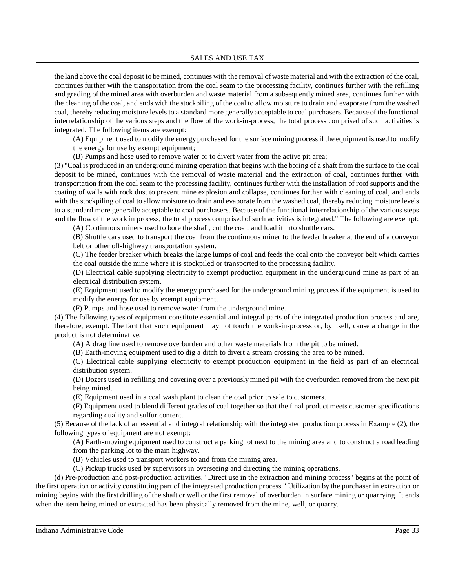the land above the coal deposit to be mined, continues with the removal of waste material and with the extraction of the coal, continues further with the transportation from the coal seam to the processing facility, continues further with the refilling and grading of the mined area with overburden and waste material from a subsequently mined area, continues further with the cleaning of the coal, and ends with the stockpiling of the coal to allow moisture to drain and evaporate from the washed coal, thereby reducing moisture levels to a standard more generally acceptable to coal purchasers. Because of the functional interrelationship of the various steps and the flow of the work-in-process, the total process comprised of such activities is integrated. The following items are exempt:

(A) Equipment used to modify the energy purchased for the surface mining processif the equipment is used to modify

the energy for use by exempt equipment;

(B) Pumps and hose used to remove water or to divert water from the active pit area;

(3) "Coal is produced in an underground mining operation that begins with the boring of a shaft from the surface to the coal deposit to be mined, continues with the removal of waste material and the extraction of coal, continues further with transportation from the coal seam to the processing facility, continues further with the installation of roof supports and the coating of walls with rock dust to prevent mine explosion and collapse, continues further with cleaning of coal, and ends with the stockpiling of coal to allow moisture to drain and evaporate from the washed coal, thereby reducing moisture levels to a standard more generally acceptable to coal purchasers. Because of the functional interrelationship of the various steps and the flow of the work in process, the total process comprised of such activities is integrated." The following are exempt:

(A) Continuous miners used to bore the shaft, cut the coal, and load it into shuttle cars.

(B) Shuttle cars used to transport the coal from the continuous miner to the feeder breaker at the end of a conveyor belt or other off-highway transportation system.

(C) The feeder breaker which breaks the large lumps of coal and feeds the coal onto the conveyor belt which carries the coal outside the mine where it is stockpiled or transported to the processing facility.

(D) Electrical cable supplying electricity to exempt production equipment in the underground mine as part of an electrical distribution system.

(E) Equipment used to modify the energy purchased for the underground mining process if the equipment is used to modify the energy for use by exempt equipment.

(F) Pumps and hose used to remove water from the underground mine.

(4) The following types of equipment constitute essential and integral parts of the integrated production process and are, therefore, exempt. The fact that such equipment may not touch the work-in-process or, by itself, cause a change in the product is not determinative.

(A) A drag line used to remove overburden and other waste materials from the pit to be mined.

(B) Earth-moving equipment used to dig a ditch to divert a stream crossing the area to be mined.

(C) Electrical cable supplying electricity to exempt production equipment in the field as part of an electrical distribution system.

(D) Dozers used in refilling and covering over a previously mined pit with the overburden removed from the next pit being mined.

(E) Equipment used in a coal wash plant to clean the coal prior to sale to customers.

(F) Equipment used to blend different grades of coal together so that the final product meets customer specifications regarding quality and sulfur content.

(5) Because of the lack of an essential and integral relationship with the integrated production process in Example (2), the following types of equipment are not exempt:

(A) Earth-moving equipment used to construct a parking lot next to the mining area and to construct a road leading from the parking lot to the main highway.

(B) Vehicles used to transport workers to and from the mining area.

(C) Pickup trucks used by supervisors in overseeing and directing the mining operations.

(d) Pre-production and post-production activities. "Direct use in the extraction and mining process" begins at the point of the first operation or activity constituting part of the integrated production process." Utilization by the purchaser in extraction or mining begins with the first drilling of the shaft or well or the first removal of overburden in surface mining or quarrying. It ends when the item being mined or extracted has been physically removed from the mine, well, or quarry.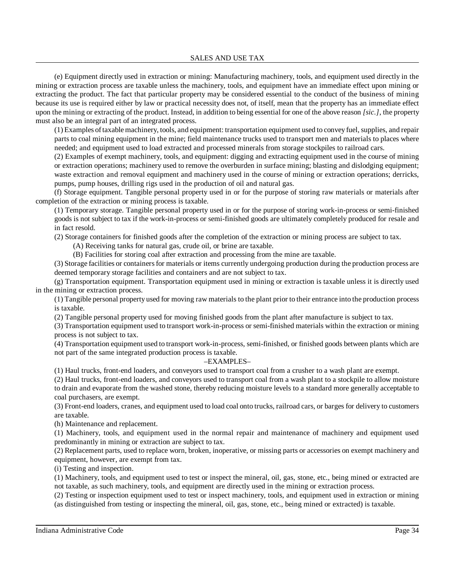(e) Equipment directly used in extraction or mining: Manufacturing machinery, tools, and equipment used directly in the mining or extraction process are taxable unless the machinery, tools, and equipment have an immediate effect upon mining or extracting the product. The fact that particular property may be considered essential to the conduct of the business of mining because its use is required either by law or practical necessity does not, of itself, mean that the property has an immediate effect upon the mining or extracting of the product. Instead, in addition to being essential for one of the above reason *[sic.]*, the property must also be an integral part of an integrated process.

(1) Examples oftaxablemachinery, tools, and equipment: transportation equipment used to convey fuel, supplies, and repair parts to coal mining equipment in the mine; field maintenance trucks used to transport men and materials to places where needed; and equipment used to load extracted and processed minerals from storage stockpiles to railroad cars.

(2) Examples of exempt machinery, tools, and equipment: digging and extracting equipment used in the course of mining or extraction operations; machinery used to remove the overburden in surface mining; blasting and dislodging equipment; waste extraction and removal equipment and machinery used in the course of mining or extraction operations; derricks, pumps, pump houses, drilling rigs used in the production of oil and natural gas.

(f) Storage equipment. Tangible personal property used in or for the purpose of storing raw materials or materials after completion of the extraction or mining process is taxable.

(1) Temporary storage. Tangible personal property used in or for the purpose of storing work-in-process or semi-finished goods is not subject to tax if the work-in-process or semi-finished goods are ultimately completely produced for resale and in fact resold.

(2) Storage containers for finished goods after the completion of the extraction or mining process are subject to tax.

(A) Receiving tanks for natural gas, crude oil, or brine are taxable.

(B) Facilities for storing coal after extraction and processing from the mine are taxable.

(3) Storage facilities or containers for materials or items currently undergoing production during the production process are deemed temporary storage facilities and containers and are not subject to tax.

(g) Transportation equipment. Transportation equipment used in mining or extraction is taxable unless it is directly used in the mining or extraction process.

(1) Tangible personal property used for moving raw materials to the plant prior to their entrance into the production process is taxable.

(2) Tangible personal property used for moving finished goods from the plant after manufacture is subject to tax.

(3) Transportation equipment used to transport work-in-process or semi-finished materials within the extraction or mining process is not subject to tax.

(4) Transportation equipment used to transport work-in-process, semi-finished, or finished goods between plants which are not part of the same integrated production process is taxable.

### –EXAMPLES–

(1) Haul trucks, front-end loaders, and conveyors used to transport coal from a crusher to a wash plant are exempt.

(2) Haul trucks, front-end loaders, and conveyors used to transport coal from a wash plant to a stockpile to allow moisture to drain and evaporate from the washed stone, thereby reducing moisture levels to a standard more generally acceptable to coal purchasers, are exempt.

(3) Front-end loaders, cranes, and equipment used to load coal onto trucks, railroad cars, or barges for delivery to customers are taxable.

(h) Maintenance and replacement.

(1) Machinery, tools, and equipment used in the normal repair and maintenance of machinery and equipment used predominantly in mining or extraction are subject to tax.

(2) Replacement parts, used to replace worn, broken, inoperative, or missing parts or accessories on exempt machinery and equipment, however, are exempt from tax.

(i) Testing and inspection.

(1) Machinery, tools, and equipment used to test or inspect the mineral, oil, gas, stone, etc., being mined or extracted are not taxable, as such machinery, tools, and equipment are directly used in the mining or extraction process.

(2) Testing or inspection equipment used to test or inspect machinery, tools, and equipment used in extraction or mining (as distinguished from testing or inspecting the mineral, oil, gas, stone, etc., being mined or extracted) is taxable.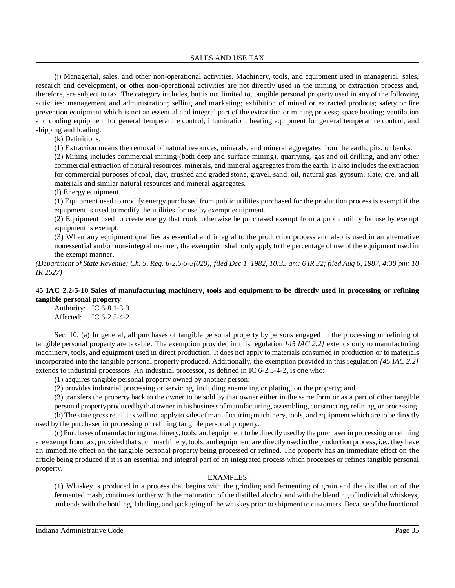SALES AND USE TAX

(j) Managerial, sales, and other non-operational activities. Machinery, tools, and equipment used in managerial, sales, research and development, or other non-operational activities are not directly used in the mining or extraction process and, therefore, are subject to tax. The category includes, but is not limited to, tangible personal property used in any of the following activities: management and administration; selling and marketing; exhibition of mined or extracted products; safety or fire prevention equipment which is not an essential and integral part of the extraction or mining process; space heating; ventilation and cooling equipment for general temperature control; illumination; heating equipment for general temperature control; and shipping and loading.

(k) Definitions.

(1) Extraction means the removal of natural resources, minerals, and mineral aggregates from the earth, pits, or banks.

(2) Mining includes commercial mining (both deep and surface mining), quarrying, gas and oil drilling, and any other commercial extraction of natural resources, minerals, and mineral aggregates from the earth. It also includes the extraction for commercial purposes of coal, clay, crushed and graded stone, gravel, sand, oil, natural gas, gypsum, slate, ore, and all materials and similar natural resources and mineral aggregates.

(l) Energy equipment.

(1) Equipment used to modify energy purchased from public utilities purchased for the production process is exempt if the equipment is used to modify the utilities for use by exempt equipment.

(2) Equipment used to create energy that could otherwise be purchased exempt from a public utility for use by exempt equipment is exempt.

(3) When any equipment qualifies as essential and integral to the production process and also is used in an alternative nonessential and/or non-integral manner, the exemption shall only apply to the percentage of use of the equipment used in the exempt manner.

(Department of State Revenue; Ch. 5, Reg. 6-2.5-5-3(020); filed Dec 1, 1982, 10:35 am: 6 IR 32; filed Aug 6, 1987, 4:30 pm: 10 *IR 2627)*

### **45 IAC 2.2-5-10 Sales of manufacturing machinery, tools and equipment to be directly used in processing or refining tangible personal property**

Authority: IC 6-8.1-3-3 Affected: IC 6-2.5-4-2

Sec. 10. (a) In general, all purchases of tangible personal property by persons engaged in the processing or refining of tangible personal property are taxable. The exemption provided in this regulation *[45 IAC 2.2]* extends only to manufacturing machinery, tools, and equipment used in direct production. It does not apply to materials consumed in production or to materials incorporated into the tangible personal property produced. Additionally, the exemption provided in this regulation *[45 IAC 2.2]* extends to industrial processors. An industrial processor, as defined in IC 6-2.5-4-2, is one who:

(1) acquires tangible personal property owned by another person;

(2) provides industrial processing or servicing, including enameling or plating, on the property; and

(3) transfers the property back to the owner to be sold by that owner either in the same form or as a part of other tangible

personal property produced by that owner in his business of manufacturing, assembling, constructing, refining, or processing. (b) The state grossretail tax will not applyto sales ofmanufacturing machinery, tools, and equipment which are to be directly

used by the purchaser in processing or refining tangible personal property.

(c) Purchases ofmanufacturingmachinery, tools, and equipment to be directlyused bythe purchaser in processing or refining are exempt from tax; provided that such machinery, tools, and equipment are directly used in the production process; i.e., theyhave an immediate effect on the tangible personal property being processed or refined. The property has an immediate effect on the article being produced if it is an essential and integral part of an integrated process which processes or refines tangible personal property.

### –EXAMPLES–

(1) Whiskey is produced in a process that begins with the grinding and fermenting of grain and the distillation of the fermented mash, continuesfurther with the maturation of the distilled alcohol and with the blending of individual whiskeys, and ends with the bottling, labeling, and packaging of the whiskey prior to shipment to customers. Because of the functional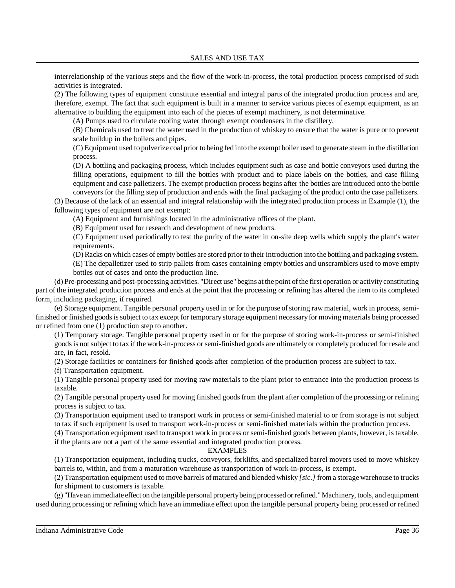interrelationship of the various steps and the flow of the work-in-process, the total production process comprised of such activities is integrated.

(2) The following types of equipment constitute essential and integral parts of the integrated production process and are, therefore, exempt. The fact that such equipment is built in a manner to service various pieces of exempt equipment, as an alternative to building the equipment into each of the pieces of exempt machinery, is not determinative.

(A) Pumps used to circulate cooling water through exempt condensers in the distillery.

(B) Chemicals used to treat the water used in the production of whiskey to ensure that the water is pure or to prevent scale buildup in the boilers and pipes.

(C) Equipment used to pulverize coal prior to being fed into the exempt boiler used to generate steam in the distillation process.

(D) A bottling and packaging process, which includes equipment such as case and bottle conveyors used during the filling operations, equipment to fill the bottles with product and to place labels on the bottles, and case filling equipment and case palletizers. The exempt production process begins after the bottles are introduced onto the bottle conveyors for the filling step of production and ends with the final packaging of the product onto the case palletizers.

(3) Because of the lack of an essential and integral relationship with the integrated production process in Example (1), the following types of equipment are not exempt:

(A) Equipment and furnishings located in the administrative offices of the plant.

(B) Equipment used for research and development of new products.

(C) Equipment used periodically to test the purity of the water in on-site deep wells which supply the plant's water requirements.

(D) Racks on which cases of empty bottles are stored prior to their introduction into the bottling and packaging system.

(E) The depalletizer used to strip pallets from cases containing empty bottles and unscramblers used to move empty bottles out of cases and onto the production line.

(d) Pre-processing and post-processing activities. "Direct use" begins at the point ofthe first operation or activityconstituting part of the integrated production process and ends at the point that the processing or refining has altered the item to its completed form, including packaging, if required.

(e) Storage equipment. Tangible personal property used in or for the purpose ofstoring raw material, work in process, semifinished or finished goodsissubject to tax except for temporary storage equipment necessaryfor moving materials being processed or refined from one (1) production step to another.

(1) Temporary storage. Tangible personal property used in or for the purpose of storing work-in-process or semi-finished goodsis not subject to tax if the work-in-process or semi-finished goods are ultimately or completely produced for resale and are, in fact, resold.

(2) Storage facilities or containers for finished goods after completion of the production process are subject to tax.

(f) Transportation equipment.

(1) Tangible personal property used for moving raw materials to the plant prior to entrance into the production process is taxable.

(2) Tangible personal property used for moving finished goods from the plant after completion of the processing or refining process is subject to tax.

(3) Transportation equipment used to transport work in process or semi-finished material to or from storage is not subject to tax if such equipment is used to transport work-in-process or semi-finished materials within the production process.

(4) Transportation equipment used to transport work in process or semi-finished goods between plants, however, is taxable, if the plants are not a part of the same essential and integrated production process.

### –EXAMPLES–

(1) Transportation equipment, including trucks, conveyors, forklifts, and specialized barrel movers used to move whiskey barrels to, within, and from a maturation warehouse as transportation of work-in-process, is exempt.

(2) Transportation equipment used to move barrels of matured and blended whisky *[sic.]* from a storage warehouse to trucks for shipment to customers is taxable.

(g) "Have an immediate effect on the tangible personal propertybeing processed or refined."Machinery, tools, and equipment used during processing or refining which have an immediate effect upon the tangible personal property being processed or refined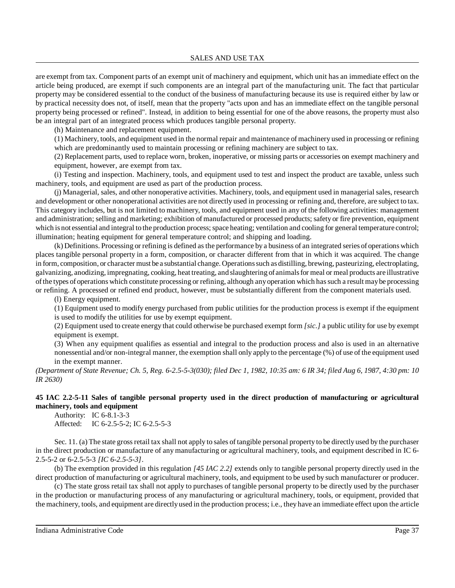are exempt from tax. Component parts of an exempt unit of machinery and equipment, which unit has an immediate effect on the article being produced, are exempt if such components are an integral part of the manufacturing unit. The fact that particular property may be considered essential to the conduct of the business of manufacturing because its use is required either by law or by practical necessity does not, of itself, mean that the property "acts upon and has an immediate effect on the tangible personal property being processed or refined". Instead, in addition to being essential for one of the above reasons, the property must also be an integral part of an integrated process which produces tangible personal property.

(h) Maintenance and replacement equipment.

(1) Machinery, tools, and equipment used in the normal repair and maintenance of machinery used in processing or refining which are predominantly used to maintain processing or refining machinery are subject to tax.

(2) Replacement parts, used to replace worn, broken, inoperative, or missing parts or accessories on exempt machinery and equipment, however, are exempt from tax.

(i) Testing and inspection. Machinery, tools, and equipment used to test and inspect the product are taxable, unless such machinery, tools, and equipment are used as part of the production process.

(j) Managerial, sales, and other nonoperative activities. Machinery, tools, and equipment used in managerial sales, research and development or other nonoperational activities are not directly used in processing or refining and, therefore, are subject to tax. This category includes, but is not limited to machinery, tools, and equipment used in any of the following activities: management and administration; selling and marketing; exhibition of manufactured or processed products; safety or fire prevention, equipment which is not essential and integral to the production process; space heating; ventilation and cooling for general temperature control; illumination; heating equipment for general temperature control; and shipping and loading.

(k) Definitions. Processing or refining is defined asthe performance by a business of an integrated series of operations which places tangible personal property in a form, composition, or character different from that in which it was acquired. The change in form, composition, or character must be a substantial change. Operationssuch as distilling, brewing, pasteurizing, electroplating, galvanizing, anodizing, impregnating, cooking, heat treating, and slaughtering of animalsfor meal or meal products are illustrative ofthe types of operations which constitute processing or refining, although anyoperation which hassuch a result maybe processing or refining. A processed or refined end product, however, must be substantially different from the component materials used.

(l) Energy equipment.

(1) Equipment used to modify energy purchased from public utilities for the production process is exempt if the equipment is used to modify the utilities for use by exempt equipment.

(2) Equipment used to create energy that could otherwise be purchased exempt form *[sic.]* a public utility for use by exempt equipment is exempt.

(3) When any equipment qualifies as essential and integral to the production process and also is used in an alternative nonessential and/or non-integral manner, the exemption shall only apply to the percentage (%) of use of the equipment used in the exempt manner.

(Department of State Revenue; Ch. 5, Reg. 6-2.5-5-3(030); filed Dec 1, 1982, 10:35 am: 6 IR 34; filed Aug 6, 1987, 4:30 pm: 10 *IR 2630)*

# **45 IAC 2.2-5-11 Sales of tangible personal property used in the direct production of manufacturing or agricultural machinery, tools and equipment**

Authority: IC 6-8.1-3-3 Affected: IC 6-2.5-5-2; IC 6-2.5-5-3

Sec. 11. (a) The state gross retail tax shall not apply to sales of tangible personal property to be directly used by the purchaser in the direct production or manufacture of any manufacturing or agricultural machinery, tools, and equipment described in IC 6- 2.5-5-2 or 6-2.5-5-3 *[IC 6-2.5-5-3]*.

(b) The exemption provided in this regulation *[45 IAC 2.2]* extends only to tangible personal property directly used in the direct production of manufacturing or agricultural machinery, tools, and equipment to be used by such manufacturer or producer.

(c) The state gross retail tax shall not apply to purchases of tangible personal property to be directly used by the purchaser in the production or manufacturing process of any manufacturing or agricultural machinery, tools, or equipment, provided that the machinery, tools, and equipment are directlyused in the production process; i.e., they have an immediate effect upon the article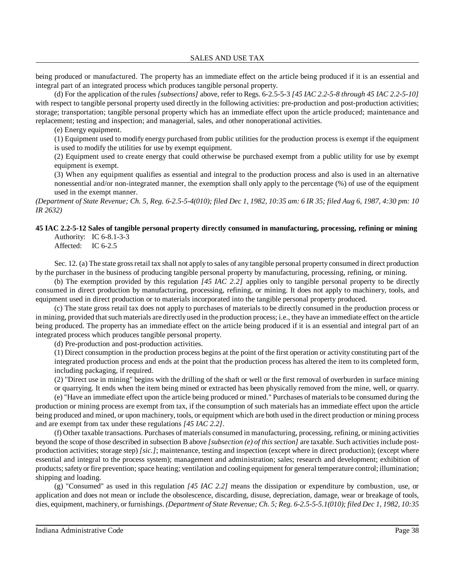being produced or manufactured. The property has an immediate effect on the article being produced if it is an essential and integral part of an integrated process which produces tangible personal property.

(d) For the application of the rules *[subsections]* above, refer to Regs. 6-2.5-5-3 *[45 IAC 2.2-5-8 through 45 IAC 2.2-5-10]* with respect to tangible personal property used directly in the following activities: pre-production and post-production activities; storage; transportation; tangible personal property which has an immediate effect upon the article produced; maintenance and replacement; testing and inspection; and managerial, sales, and other nonoperational activities.

(e) Energy equipment.

(1) Equipment used to modify energy purchased from public utilities for the production process is exempt if the equipment is used to modify the utilities for use by exempt equipment.

(2) Equipment used to create energy that could otherwise be purchased exempt from a public utility for use by exempt equipment is exempt.

(3) When any equipment qualifies as essential and integral to the production process and also is used in an alternative nonessential and/or non-integrated manner, the exemption shall only apply to the percentage (%) of use of the equipment used in the exempt manner.

(Department of State Revenue; Ch. 5, Reg. 6-2.5-5-4(010); filed Dec 1, 1982, 10:35 am: 6 IR 35; filed Aug 6, 1987, 4:30 pm: 10 *IR 2632)*

#### **45 IAC 2.2-5-12 Sales of tangible personal property directly consumed in manufacturing, processing, refining or mining** Authority: IC 6-8.1-3-3

Affected: IC 6-2.5

Sec. 12. (a) The state gross retail tax shall not apply to sales of any tangible personal property consumed in direct production by the purchaser in the business of producing tangible personal property by manufacturing, processing, refining, or mining.

(b) The exemption provided by this regulation *[45 IAC 2.2]* applies only to tangible personal property to be directly consumed in direct production by manufacturing, processing, refining, or mining. It does not apply to machinery, tools, and equipment used in direct production or to materials incorporated into the tangible personal property produced.

(c) The state gross retail tax does not apply to purchases of materials to be directly consumed in the production process or in mining, provided thatsuch materials are directlyused in the production process; i.e., they have an immediate effect on the article being produced. The property has an immediate effect on the article being produced if it is an essential and integral part of an integrated process which produces tangible personal property.

(d) Pre-production and post-production activities.

(1) Direct consumption in the production process begins at the point of the first operation or activity constituting part of the integrated production process and ends at the point that the production process has altered the item to its completed form, including packaging, if required.

(2) "Direct use in mining" begins with the drilling of the shaft or well or the first removal of overburden in surface mining or quarrying. It ends when the item being mined or extracted has been physically removed from the mine, well, or quarry.

(e) "Have an immediate effect upon the article being produced or mined." Purchases of materialsto be consumed during the production or mining process are exempt from tax, if the consumption of such materials has an immediate effect upon the article being produced and mined, or upon machinery, tools, or equipment which are both used in the direct production or mining process and are exempt from tax under these regulations *[45 IAC 2.2]*.

(f) Other taxable transactions. Purchases of materials consumed in manufacturing, processing, refining, or mining activities beyond the scope of those described in subsection B above *[subsection (e) of thissection]* are taxable. Such activitiesinclude postproduction activities; storage step) *[sic.]*; maintenance, testing and inspection (except where in direct production); (except where essential and integral to the process system); management and administration; sales; research and development; exhibition of products;safetyor fire prevention; space heating; ventilation and cooling equipment for general temperature control; illumination; shipping and loading.

(g) "Consumed" as used in this regulation *[45 IAC 2.2]* means the dissipation or expenditure by combustion, use, or application and does not mean or include the obsolescence, discarding, disuse, depreciation, damage, wear or breakage of tools, dies, equipment, machinery, or furnishings. *(Department of State Revenue; Ch. 5; Reg. 6-2.5-5-5.1(010); filed Dec 1, 1982, 10:35*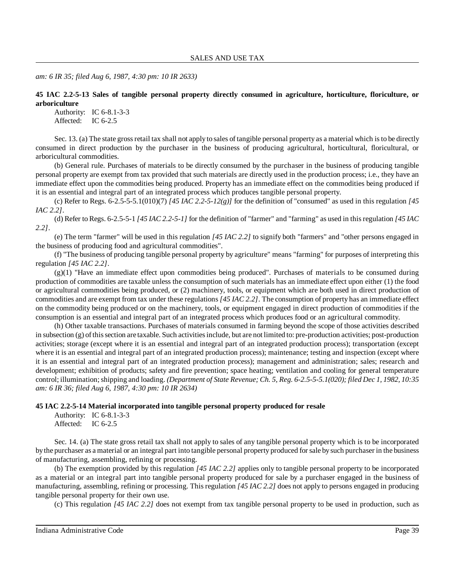*am: 6 IR 35; filed Aug 6, 1987, 4:30 pm: 10 IR 2633)*

**45 IAC 2.2-5-13 Sales of tangible personal property directly consumed in agriculture, horticulture, floriculture, or arboriculture**

Authority: IC 6-8.1-3-3 Affected: IC 6-2.5

Sec. 13. (a) The state gross retail tax shall not apply to sales of tangible personal property as a material which is to be directly consumed in direct production by the purchaser in the business of producing agricultural, horticultural, floricultural, or arboricultural commodities.

(b) General rule. Purchases of materials to be directly consumed by the purchaser in the business of producing tangible personal property are exempt from tax provided that such materials are directly used in the production process; i.e., they have an immediate effect upon the commodities being produced. Property has an immediate effect on the commodities being produced if it is an essential and integral part of an integrated process which produces tangible personal property.

(c) Refer to Regs.  $6-2.5-5-5.1(010)(7)$  *[45 IAC 2.2-5-12(g)]* for the definition of "consumed" as used in this regulation *[45 IAC 2.2]*.

(d) Refer to Regs. 6-2.5-5-1 *[45 IAC 2.2-5-1]* for the definition of "farmer" and "farming" as used in thisregulation *[45 IAC 2.2]*.

(e) The term "farmer" will be used in this regulation *[45 IAC 2.2]* to signify both "farmers" and "other persons engaged in the business of producing food and agricultural commodities".

(f) "The business of producing tangible personal property by agriculture" means "farming" for purposes of interpreting this regulation *[45 IAC 2.2]*.

(g)(1) "Have an immediate effect upon commodities being produced". Purchases of materials to be consumed during production of commodities are taxable unless the consumption of such materials has an immediate effect upon either (1) the food or agricultural commodities being produced, or (2) machinery, tools, or equipment which are both used in direct production of commodities and are exempt from tax under these regulations *[45 IAC 2.2]*. The consumption of property has an immediate effect on the commodity being produced or on the machinery, tools, or equipment engaged in direct production of commodities if the consumption is an essential and integral part of an integrated process which produces food or an agricultural commodity.

(h) Other taxable transactions. Purchases of materials consumed in farming beyond the scope of those activities described in subsection (g) of this section are taxable. Such activities include, but are not limited to: pre-production activities; post-production activities; storage (except where it is an essential and integral part of an integrated production process); transportation (except where it is an essential and integral part of an integrated production process); maintenance; testing and inspection (except where it is an essential and integral part of an integrated production process); management and administration; sales; research and development; exhibition of products; safety and fire prevention; space heating; ventilation and cooling for general temperature control; illumination;shipping and loading. *(Department of State Revenue; Ch. 5, Reg. 6-2.5-5-5.1(020); filed Dec 1, 1982, 10:35 am: 6 IR 36; filed Aug 6, 1987, 4:30 pm: 10 IR 2634)*

#### **45 IAC 2.2-5-14 Material incorporated into tangible personal property produced for resale**

Authority: IC 6-8.1-3-3 Affected: IC 6-2.5

Sec. 14. (a) The state gross retail tax shall not apply to sales of any tangible personal property which is to be incorporated bythe purchaser as a material or an integral part into tangible personal property produced forsale bysuch purchaser in the business of manufacturing, assembling, refining or processing.

(b) The exemption provided by this regulation *[45 IAC 2.2]* applies only to tangible personal property to be incorporated as a material or an integral part into tangible personal property produced for sale by a purchaser engaged in the business of manufacturing, assembling, refining or processing. This regulation *[45 IAC 2.2]* does not apply to persons engaged in producing tangible personal property for their own use.

(c) This regulation *[45 IAC 2.2]* does not exempt from tax tangible personal property to be used in production, such as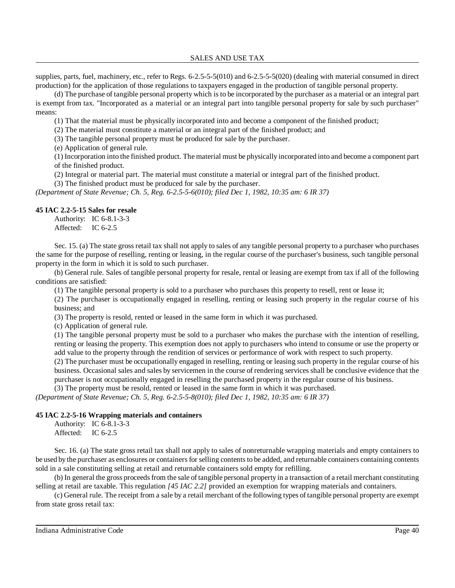supplies, parts, fuel, machinery, etc., refer to Regs. 6-2.5-5-5(010) and 6-2.5-5-5(020) (dealing with material consumed in direct production) for the application of those regulations to taxpayers engaged in the production of tangible personal property.

(d) The purchase of tangible personal property which is to be incorporated by the purchaser as a material or an integral part is exempt from tax. "Incorporated as a material or an integral part into tangible personal property for sale by such purchaser" means:

(1) That the material must be physically incorporated into and become a component of the finished product;

(2) The material must constitute a material or an integral part of the finished product; and

(3) The tangible personal property must be produced for sale by the purchaser.

(e) Application of general rule.

(1) Incorporation into the finished product. The material must be physically incorporated into and become a component part of the finished product.

(2) Integral or material part. The material must constitute a material or integral part of the finished product.

(3) The finished product must be produced for sale by the purchaser.

*(Department of State Revenue; Ch. 5, Reg. 6-2.5-5-6(010); filed Dec 1, 1982, 10:35 am: 6 IR 37)*

### **45 IAC 2.2-5-15 Sales for resale**

Authority: IC 6-8.1-3-3 Affected: IC 6-2.5

Sec. 15. (a) The state gross retail tax shall not apply to sales of any tangible personal property to a purchaser who purchases the same for the purpose of reselling, renting or leasing, in the regular course of the purchaser's business, such tangible personal property in the form in which it is sold to such purchaser.

(b) General rule. Sales of tangible personal property for resale, rental or leasing are exempt from tax if all of the following conditions are satisfied:

(1) The tangible personal property is sold to a purchaser who purchases this property to resell, rent or lease it;

(2) The purchaser is occupationally engaged in reselling, renting or leasing such property in the regular course of his business; and

(3) The property is resold, rented or leased in the same form in which it was purchased.

(c) Application of general rule.

(1) The tangible personal property must be sold to a purchaser who makes the purchase with the intention of reselling, renting or leasing the property. This exemption does not apply to purchasers who intend to consume or use the property or add value to the property through the rendition of services or performance of work with respect to such property.

(2) The purchaser must be occupationally engaged in reselling, renting or leasing such property in the regular course of his business. Occasional sales and sales by servicemen in the course of rendering services shall be conclusive evidence that the purchaser is not occupationally engaged in reselling the purchased property in the regular course of his business.

(3) The property must be resold, rented or leased in the same form in which it was purchased.

*(Department of State Revenue; Ch. 5, Reg. 6-2.5-5-8(010); filed Dec 1, 1982, 10:35 am: 6 IR 37)*

#### **45 IAC 2.2-5-16 Wrapping materials and containers**

Authority: IC 6-8.1-3-3 Affected: IC 6-2.5

Sec. 16. (a) The state gross retail tax shall not apply to sales of nonreturnable wrapping materials and empty containers to be used by the purchaser as enclosures or containers for selling contents to be added, and returnable containers containing contents sold in a sale constituting selling at retail and returnable containers sold empty for refilling.

(b) In general the gross proceeds from the sale of tangible personal property in a transaction of a retail merchant constituting selling at retail are taxable. This regulation *[45 IAC 2.2]* provided an exemption for wrapping materials and containers.

(c) General rule. The receipt from a sale by a retail merchant of the following types of tangible personal property are exempt from state gross retail tax: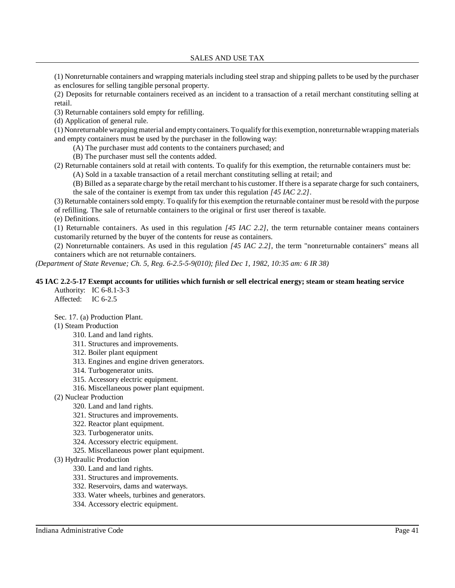SALES AND USE TAX

(1) Nonreturnable containers and wrapping materials including steel strap and shipping pallets to be used by the purchaser as enclosures for selling tangible personal property.

(2) Deposits for returnable containers received as an incident to a transaction of a retail merchant constituting selling at retail.

(3) Returnable containers sold empty for refilling.

(d) Application of general rule.

(1) Nonreturnable wrapping material and emptycontainers. Toqualifyforthis exemption, nonreturnablewrappingmaterials and empty containers must be used by the purchaser in the following way:

(A) The purchaser must add contents to the containers purchased; and

(B) The purchaser must sell the contents added.

(2) Returnable containers sold at retail with contents. To qualify for this exemption, the returnable containers must be:

(A) Sold in a taxable transaction of a retail merchant constituting selling at retail; and

(B) Billed as a separate charge by the retail merchant to his customer. If there is a separate charge for such containers, the sale of the container is exempt from tax under this regulation *[45 IAC 2.2]*.

(3) Returnable containerssold empty. To qualify for this exemption the returnable container must be resold with the purpose of refilling. The sale of returnable containers to the original or first user thereof is taxable.

(e) Definitions.

(1) Returnable containers. As used in this regulation *[45 IAC 2.2]*, the term returnable container means containers customarily returned by the buyer of the contents for reuse as containers.

(2) Nonreturnable containers. As used in this regulation *[45 IAC 2.2]*, the term "nonreturnable containers" means all containers which are not returnable containers.

*(Department of State Revenue; Ch. 5, Reg. 6-2.5-5-9(010); filed Dec 1, 1982, 10:35 am: 6 IR 38)*

# **45 IAC 2.2-5-17 Exempt accounts for utilities which furnish or sell electrical energy; steam or steam heating service**

Authority: IC 6-8.1-3-3 Affected: IC 6-2.5

Sec. 17. (a) Production Plant.

(1) Steam Production

- 310. Land and land rights.
- 311. Structures and improvements.
- 312. Boiler plant equipment
- 313. Engines and engine driven generators.
- 314. Turbogenerator units.
- 315. Accessory electric equipment.
- 316. Miscellaneous power plant equipment.
- (2) Nuclear Production
	- 320. Land and land rights.
	- 321. Structures and improvements.
	- 322. Reactor plant equipment.
	- 323. Turbogenerator units.
	- 324. Accessory electric equipment.
	- 325. Miscellaneous power plant equipment.
- (3) Hydraulic Production
	- 330. Land and land rights.
	- 331. Structures and improvements.
	- 332. Reservoirs, dams and waterways.
	- 333. Water wheels, turbines and generators.
	- 334. Accessory electric equipment.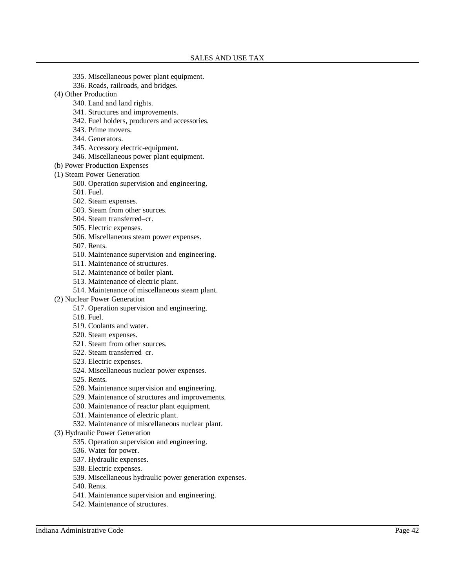- 335. Miscellaneous power plant equipment.
- 336. Roads, railroads, and bridges.
- (4) Other Production
	- 340. Land and land rights.
	- 341. Structures and improvements.
	- 342. Fuel holders, producers and accessories.
	- 343. Prime movers.
	- 344. Generators.
	- 345. Accessory electric-equipment.
	- 346. Miscellaneous power plant equipment.
- (b) Power Production Expenses
- (1) Steam Power Generation
	- 500. Operation supervision and engineering.
	- 501. Fuel.
	- 502. Steam expenses.
	- 503. Steam from other sources.
	- 504. Steam transferred–cr.
	- 505. Electric expenses.
	- 506. Miscellaneous steam power expenses.
	- 507. Rents.
	- 510. Maintenance supervision and engineering.
	- 511. Maintenance of structures.
	- 512. Maintenance of boiler plant.
	- 513. Maintenance of electric plant.
	- 514. Maintenance of miscellaneous steam plant.
- (2) Nuclear Power Generation
	- 517. Operation supervision and engineering.
	- 518. Fuel.
	- 519. Coolants and water.
	- 520. Steam expenses.
	- 521. Steam from other sources.
	- 522. Steam transferred–cr.
	- 523. Electric expenses.
	- 524. Miscellaneous nuclear power expenses.
	- 525. Rents.
	- 528. Maintenance supervision and engineering.
	- 529. Maintenance of structures and improvements.
	- 530. Maintenance of reactor plant equipment.
	- 531. Maintenance of electric plant. 532. Maintenance of miscellaneous nuclear plant.
- (3) Hydraulic Power Generation
	- - 535. Operation supervision and engineering.
		- 536. Water for power.
		- 537. Hydraulic expenses.
		- 538. Electric expenses.
		- 539. Miscellaneous hydraulic power generation expenses.
		- 540. Rents.
		- 541. Maintenance supervision and engineering.
		- 542. Maintenance of structures.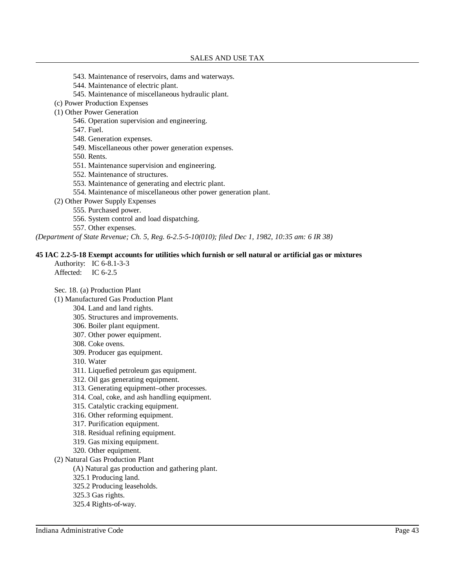- 543. Maintenance of reservoirs, dams and waterways.
- 544. Maintenance of electric plant.
- 545. Maintenance of miscellaneous hydraulic plant.
- (c) Power Production Expenses
- (1) Other Power Generation
	- 546. Operation supervision and engineering.
	- 547. Fuel.
	- 548. Generation expenses.
	- 549. Miscellaneous other power generation expenses.
	- 550. Rents.
	- 551. Maintenance supervision and engineering.
	- 552. Maintenance of structures.
	- 553. Maintenance of generating and electric plant.
	- 554. Maintenance of miscellaneous other power generation plant.
- (2) Other Power Supply Expenses
	- 555. Purchased power.
	- 556. System control and load dispatching.
	- 557. Other expenses.

*(Department of State Revenue; Ch. 5, Reg. 6-2.5-5-10(010); filed Dec 1, 1982, 10:35 am: 6 IR 38)*

#### **45 IAC 2.2-5-18 Exempt accounts for utilities which furnish or sell natural or artificial gas or mixtures**

- Authority: IC 6-8.1-3-3
- Affected: IC 6-2.5

Sec. 18. (a) Production Plant

- (1) Manufactured Gas Production Plant
	- 304. Land and land rights.
	- 305. Structures and improvements.
	- 306. Boiler plant equipment.
	- 307. Other power equipment.
	- 308. Coke ovens.
	- 309. Producer gas equipment.
	- 310. Water
	- 311. Liquefied petroleum gas equipment.
	- 312. Oil gas generating equipment.
	- 313. Generating equipment–other processes.
	- 314. Coal, coke, and ash handling equipment.
	- 315. Catalytic cracking equipment.
	- 316. Other reforming equipment.
	- 317. Purification equipment.
	- 318. Residual refining equipment.
	- 319. Gas mixing equipment.
	- 320. Other equipment.
- (2) Natural Gas Production Plant
	- (A) Natural gas production and gathering plant.
	- 325.1 Producing land.
	- 325.2 Producing leaseholds.
	- 325.3 Gas rights.
	- 325.4 Rights-of-way.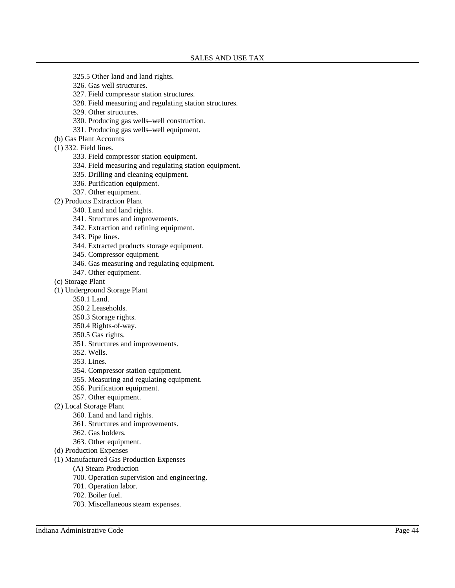- 325.5 Other land and land rights.
- 326. Gas well structures.
- 327. Field compressor station structures.
- 328. Field measuring and regulating station structures.
- 329. Other structures.
- 330. Producing gas wells–well construction.
- 331. Producing gas wells–well equipment.
- (b) Gas Plant Accounts
- (1) 332. Field lines.
	- 333. Field compressor station equipment.
	- 334. Field measuring and regulating station equipment.
	- 335. Drilling and cleaning equipment.
	- 336. Purification equipment.
	- 337. Other equipment.
- (2) Products Extraction Plant
	- 340. Land and land rights.
	- 341. Structures and improvements.
	- 342. Extraction and refining equipment.
	- 343. Pipe lines.
	- 344. Extracted products storage equipment.
	- 345. Compressor equipment.
	- 346. Gas measuring and regulating equipment.
	- 347. Other equipment.
- (c) Storage Plant
- (1) Underground Storage Plant
	- 350.1 Land.
		- 350.2 Leaseholds.
		- 350.3 Storage rights.
		- 350.4 Rights-of-way.
		- 350.5 Gas rights.
		- 351. Structures and improvements.
	- 352. Wells.
	- 353. Lines.
	- 354. Compressor station equipment.
	- 355. Measuring and regulating equipment.
	- 356. Purification equipment.
	- 357. Other equipment.
- (2) Local Storage Plant
	- 360. Land and land rights.
	- 361. Structures and improvements.
	- 362. Gas holders.
	- 363. Other equipment.
- (d) Production Expenses
- (1) Manufactured Gas Production Expenses
	- (A) Steam Production
	- 700. Operation supervision and engineering.
	- 701. Operation labor.
	- 702. Boiler fuel.
	- 703. Miscellaneous steam expenses.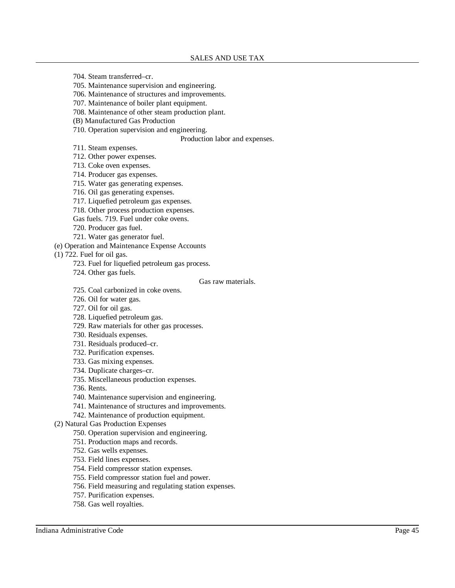- 704. Steam transferred–cr.
- 705. Maintenance supervision and engineering.
- 706. Maintenance of structures and improvements.
- 707. Maintenance of boiler plant equipment.
- 708. Maintenance of other steam production plant.
- (B) Manufactured Gas Production
- 710. Operation supervision and engineering.

Production labor and expenses.

- 711. Steam expenses.
- 712. Other power expenses.
- 713. Coke oven expenses.
- 714. Producer gas expenses.
- 715. Water gas generating expenses.
- 716. Oil gas generating expenses.
- 717. Liquefied petroleum gas expenses.
- 718. Other process production expenses.
- Gas fuels. 719. Fuel under coke ovens.
- 720. Producer gas fuel.
- 721. Water gas generator fuel.
- (e) Operation and Maintenance Expense Accounts

(1) 722. Fuel for oil gas.

- 723. Fuel for liquefied petroleum gas process.
- 724. Other gas fuels.

#### Gas raw materials.

- 725. Coal carbonized in coke ovens.
- 726. Oil for water gas.
- 727. Oil for oil gas.
- 728. Liquefied petroleum gas.
- 729. Raw materials for other gas processes.
- 730. Residuals expenses.
- 731. Residuals produced–cr.
- 732. Purification expenses.
- 733. Gas mixing expenses.
- 734. Duplicate charges–cr.
- 735. Miscellaneous production expenses.
- 736. Rents.
- 740. Maintenance supervision and engineering.
- 741. Maintenance of structures and improvements.

742. Maintenance of production equipment.

- (2) Natural Gas Production Expenses
	- 750. Operation supervision and engineering.
	- 751. Production maps and records.
	- 752. Gas wells expenses.
	- 753. Field lines expenses.
	- 754. Field compressor station expenses.
	- 755. Field compressor station fuel and power.
	- 756. Field measuring and regulating station expenses.
	- 757. Purification expenses.
	- 758. Gas well royalties.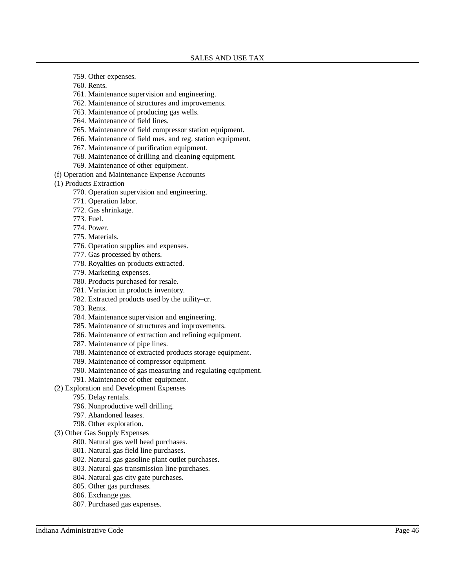- 759. Other expenses.
- 760. Rents.
- 761. Maintenance supervision and engineering.
- 762. Maintenance of structures and improvements.
- 763. Maintenance of producing gas wells.
- 764. Maintenance of field lines.
- 765. Maintenance of field compressor station equipment.
- 766. Maintenance of field mes. and reg. station equipment.
- 767. Maintenance of purification equipment.
- 768. Maintenance of drilling and cleaning equipment.
- 769. Maintenance of other equipment.
- (f) Operation and Maintenance Expense Accounts
- (1) Products Extraction
	- 770. Operation supervision and engineering.
	- 771. Operation labor.
	- 772. Gas shrinkage.
	- 773. Fuel.
	- 774. Power.
	- 775. Materials.
	- 776. Operation supplies and expenses.
	- 777. Gas processed by others.
	- 778. Royalties on products extracted.
	- 779. Marketing expenses.
	- 780. Products purchased for resale.
	- 781. Variation in products inventory.
	- 782. Extracted products used by the utility–cr.
	- 783. Rents.
	- 784. Maintenance supervision and engineering.
	- 785. Maintenance of structures and improvements.
	- 786. Maintenance of extraction and refining equipment.
	- 787. Maintenance of pipe lines.
	- 788. Maintenance of extracted products storage equipment.
	- 789. Maintenance of compressor equipment.
	- 790. Maintenance of gas measuring and regulating equipment.
	- 791. Maintenance of other equipment.
- (2) Exploration and Development Expenses
	- 795. Delay rentals.
	- 796. Nonproductive well drilling.
	- 797. Abandoned leases.
	- 798. Other exploration.
- (3) Other Gas Supply Expenses
	- 800. Natural gas well head purchases.
	- 801. Natural gas field line purchases.
	- 802. Natural gas gasoline plant outlet purchases.
	- 803. Natural gas transmission line purchases.
	- 804. Natural gas city gate purchases.
	- 805. Other gas purchases.
	- 806. Exchange gas.
	- 807. Purchased gas expenses.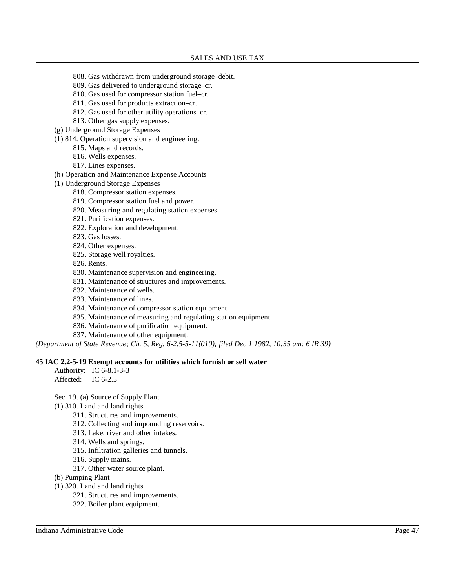- 808. Gas withdrawn from underground storage–debit.
- 809. Gas delivered to underground storage–cr.
- 810. Gas used for compressor station fuel–cr.
- 811. Gas used for products extraction–cr.
- 812. Gas used for other utility operations–cr.
- 813. Other gas supply expenses.
- (g) Underground Storage Expenses
- (1) 814. Operation supervision and engineering.
	- 815. Maps and records.
	- 816. Wells expenses.
	- 817. Lines expenses.
- (h) Operation and Maintenance Expense Accounts
- (1) Underground Storage Expenses
	- 818. Compressor station expenses.
	- 819. Compressor station fuel and power.
	- 820. Measuring and regulating station expenses.
	- 821. Purification expenses.
	- 822. Exploration and development.
	- 823. Gas losses.
	- 824. Other expenses.
	- 825. Storage well royalties.
	- 826. Rents.
	- 830. Maintenance supervision and engineering.
	- 831. Maintenance of structures and improvements.
	- 832. Maintenance of wells.
	- 833. Maintenance of lines.
	- 834. Maintenance of compressor station equipment.
	- 835. Maintenance of measuring and regulating station equipment.
	- 836. Maintenance of purification equipment.
	- 837. Maintenance of other equipment.

*(Department of State Revenue; Ch. 5, Reg. 6-2.5-5-11(010); filed Dec 1 1982, 10:35 am: 6 IR 39)*

#### **45 IAC 2.2-5-19 Exempt accounts for utilities which furnish or sell water**

- Authority: IC 6-8.1-3-3 Affected: IC 6-2.5
- Sec. 19. (a) Source of Supply Plant
- (1) 310. Land and land rights.
	- 311. Structures and improvements.
	- 312. Collecting and impounding reservoirs.
	- 313. Lake, river and other intakes.
	- 314. Wells and springs.
	- 315. Infiltration galleries and tunnels.
	- 316. Supply mains.
	- 317. Other water source plant.
- (b) Pumping Plant
- (1) 320. Land and land rights.
	- 321. Structures and improvements.
	- 322. Boiler plant equipment.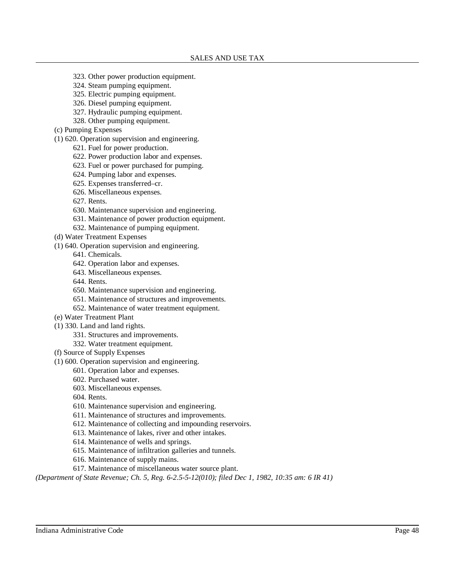- 323. Other power production equipment.
- 324. Steam pumping equipment.
- 325. Electric pumping equipment.
- 326. Diesel pumping equipment.
- 327. Hydraulic pumping equipment.
- 328. Other pumping equipment.
- (c) Pumping Expenses
- (1) 620. Operation supervision and engineering.
	- 621. Fuel for power production.
	- 622. Power production labor and expenses.
	- 623. Fuel or power purchased for pumping.
	- 624. Pumping labor and expenses.
	- 625. Expenses transferred–cr.
	- 626. Miscellaneous expenses.
	- 627. Rents.
	- 630. Maintenance supervision and engineering.
	- 631. Maintenance of power production equipment.
	- 632. Maintenance of pumping equipment.
- (d) Water Treatment Expenses
- (1) 640. Operation supervision and engineering.
	- 641. Chemicals.
	- 642. Operation labor and expenses.
	- 643. Miscellaneous expenses.
	- 644. Rents.
	- 650. Maintenance supervision and engineering.
	- 651. Maintenance of structures and improvements.
	- 652. Maintenance of water treatment equipment.
- (e) Water Treatment Plant
- (1) 330. Land and land rights.
	- 331. Structures and improvements.
	- 332. Water treatment equipment.
- (f) Source of Supply Expenses
- (1) 600. Operation supervision and engineering.
	- 601. Operation labor and expenses.
	- 602. Purchased water.
	- 603. Miscellaneous expenses.
	- 604. Rents.
	- 610. Maintenance supervision and engineering.
	- 611. Maintenance of structures and improvements.
	- 612. Maintenance of collecting and impounding reservoirs.
	- 613. Maintenance of lakes, river and other intakes.
	- 614. Maintenance of wells and springs.
	- 615. Maintenance of infiltration galleries and tunnels.
	- 616. Maintenance of supply mains.
	- 617. Maintenance of miscellaneous water source plant.

*(Department of State Revenue; Ch. 5, Reg. 6-2.5-5-12(010); filed Dec 1, 1982, 10:35 am: 6 IR 41)*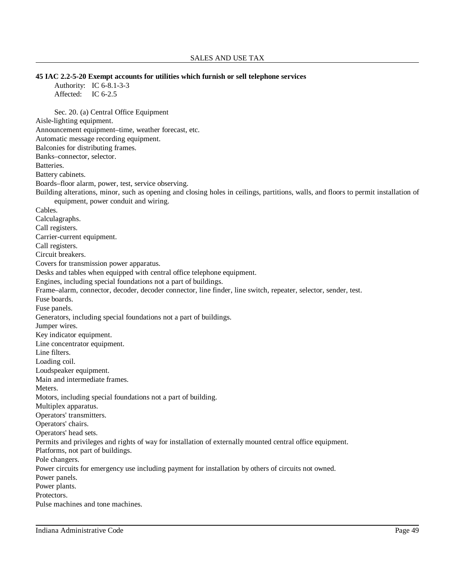**45 IAC 2.2-5-20 Exempt accounts for utilities which furnish or sell telephone services** Authority: IC 6-8.1-3-3 Affected: IC 6-2.5 Sec. 20. (a) Central Office Equipment Aisle-lighting equipment. Announcement equipment–time, weather forecast, etc. Automatic message recording equipment. Balconies for distributing frames. Banks–connector, selector. Batteries. Battery cabinets. Boards–floor alarm, power, test, service observing. Building alterations, minor, such as opening and closing holes in ceilings, partitions, walls, and floors to permit installation of equipment, power conduit and wiring. Cables. Calculagraphs. Call registers. Carrier-current equipment. Call registers. Circuit breakers. Covers for transmission power apparatus. Desks and tables when equipped with central office telephone equipment. Engines, including special foundations not a part of buildings. Frame–alarm, connector, decoder, decoder connector, line finder, line switch, repeater, selector, sender, test. Fuse boards. Fuse panels. Generators, including special foundations not a part of buildings. Jumper wires. Key indicator equipment. Line concentrator equipment. Line filters. Loading coil. Loudspeaker equipment. Main and intermediate frames. Meters. Motors, including special foundations not a part of building. Multiplex apparatus. Operators' transmitters. Operators' chairs. Operators' head sets. Permits and privileges and rights of way for installation of externally mounted central office equipment. Platforms, not part of buildings. Pole changers. Power circuits for emergency use including payment for installation by others of circuits not owned. Power panels. Power plants. Protectors. Pulse machines and tone machines.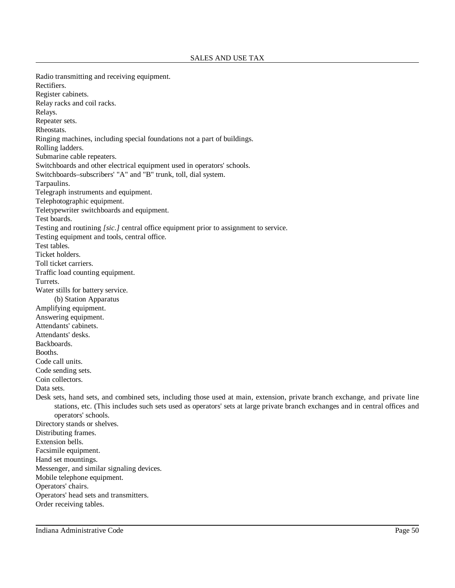Radio transmitting and receiving equipment. Rectifiers. Register cabinets. Relay racks and coil racks. Relays. Repeater sets. Rheostats. Ringing machines, including special foundations not a part of buildings. Rolling ladders. Submarine cable repeaters. Switchboards and other electrical equipment used in operators' schools. Switchboards–subscribers' "A" and "B" trunk, toll, dial system. Tarpaulins. Telegraph instruments and equipment. Telephotographic equipment. Teletypewriter switchboards and equipment. Test boards. Testing and routining *[sic.]* central office equipment prior to assignment to service. Testing equipment and tools, central office. Test tables. Ticket holders. Toll ticket carriers. Traffic load counting equipment. Turrets. Water stills for battery service. (b) Station Apparatus Amplifying equipment. Answering equipment. Attendants' cabinets. Attendants' desks. Backboards. Booths. Code call units. Code sending sets. Coin collectors. Data sets. Desk sets, hand sets, and combined sets, including those used at main, extension, private branch exchange, and private line stations, etc. (This includes such sets used as operators' sets at large private branch exchanges and in central offices and operators' schools. Directory stands or shelves. Distributing frames. Extension bells. Facsimile equipment. Hand set mountings. Messenger, and similar signaling devices. Mobile telephone equipment. Operators' chairs. Operators' head sets and transmitters. Order receiving tables.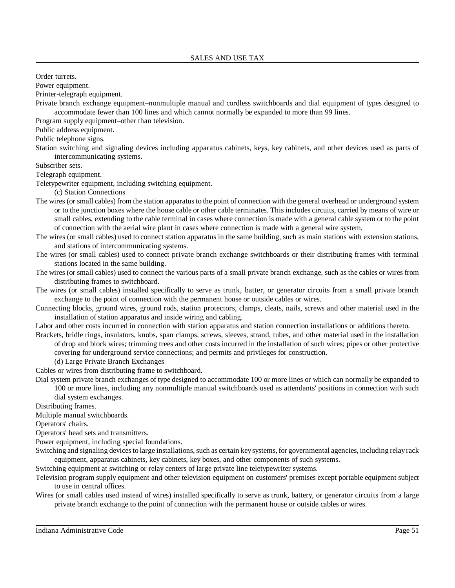Order turrets.

Power equipment.

Printer-telegraph equipment.

Private branch exchange equipment–nonmultiple manual and cordless switchboards and dial equipment of types designed to accommodate fewer than 100 lines and which cannot normally be expanded to more than 99 lines.

Program supply equipment–other than television.

Public address equipment.

Public telephone signs.

Station switching and signaling devices including apparatus cabinets, keys, key cabinets, and other devices used as parts of intercommunicating systems.

Subscriber sets.

Telegraph equipment.

Teletypewriter equipment, including switching equipment.

(c) Station Connections

- The wires (or small cables) from the station apparatus to the point of connection with the general overhead or underground system or to the junction boxes where the house cable or other cable terminates. This includes circuits, carried by means of wire or small cables, extending to the cable terminal in cases where connection is made with a general cable system or to the point of connection with the aerial wire plant in cases where connection is made with a general wire system.
- The wires (or small cables) used to connect station apparatus in the same building, such as main stations with extension stations, and stations of intercommunicating systems.
- The wires (or small cables) used to connect private branch exchange switchboards or their distributing frames with terminal stations located in the same building.
- The wires (or small cables) used to connect the various parts of a small private branch exchange, such as the cables or wires from distributing frames to switchboard.
- The wires (or small cables) installed specifically to serve as trunk, batter, or generator circuits from a small private branch exchange to the point of connection with the permanent house or outside cables or wires.
- Connecting blocks, ground wires, ground rods, station protectors, clamps, cleats, nails, screws and other material used in the installation of station apparatus and inside wiring and cabling.

Labor and other costs incurred in connection with station apparatus and station connection installations or additions thereto.

- Brackets, bridle rings, insulators, knobs, span clamps, screws, sleeves, strand, tubes, and other material used in the installation of drop and block wires; trimming trees and other costs incurred in the installation of such wires; pipes or other protective covering for underground service connections; and permits and privileges for construction.
	- (d) Large Private Branch Exchanges

Cables or wires from distributing frame to switchboard.

Dial system private branch exchanges of type designed to accommodate 100 or more lines or which can normally be expanded to 100 or more lines, including any nonmultiple manual switchboards used as attendants' positions in connection with such dial system exchanges.

Distributing frames.

Multiple manual switchboards.

Operators' chairs.

Operators' head sets and transmitters.

Power equipment, including special foundations.

Switching and signaling devices to large installations, such as certain key systems, for governmental agencies, including relay rack equipment, apparatus cabinets, key cabinets, key boxes, and other components of such systems.

Switching equipment at switching or relay centers of large private line teletypewriter systems.

- Television program supply equipment and other television equipment on customers' premises except portable equipment subject to use in central offices.
- Wires (or small cables used instead of wires) installed specifically to serve as trunk, battery, or generator circuits from a large private branch exchange to the point of connection with the permanent house or outside cables or wires.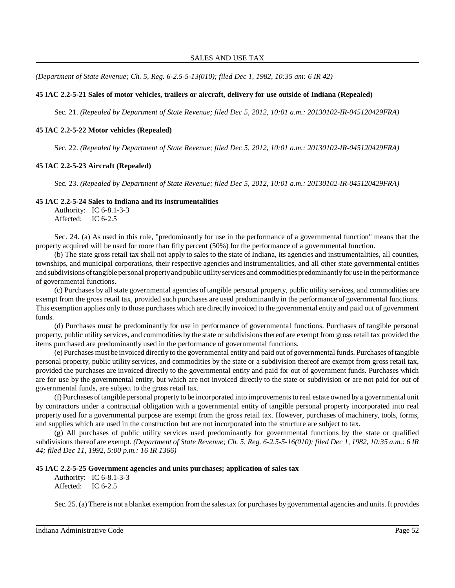*(Department of State Revenue; Ch. 5, Reg. 6-2.5-5-13(010); filed Dec 1, 1982, 10:35 am: 6 IR 42)*

### **45 IAC 2.2-5-21 Sales of motor vehicles, trailers or aircraft, delivery for use outside of Indiana (Repealed)**

Sec. 21. *(Repealed by Department of State Revenue; filed Dec 5, 2012, 10:01 a.m.: 20130102-IR-045120429FRA)*

#### **45 IAC 2.2-5-22 Motor vehicles (Repealed)**

Sec. 22. *(Repealed by Department of State Revenue; filed Dec 5, 2012, 10:01 a.m.: 20130102-IR-045120429FRA)*

#### **45 IAC 2.2-5-23 Aircraft (Repealed)**

Sec. 23. *(Repealed by Department of State Revenue; filed Dec 5, 2012, 10:01 a.m.: 20130102-IR-045120429FRA)*

#### **45 IAC 2.2-5-24 Sales to Indiana and its instrumentalities**

Authority: IC 6-8.1-3-3 Affected: IC 6-2.5

Sec. 24. (a) As used in this rule, "predominantly for use in the performance of a governmental function" means that the property acquired will be used for more than fifty percent (50%) for the performance of a governmental function.

(b) The state gross retail tax shall not apply to sales to the state of Indiana, its agencies and instrumentalities, all counties, townships, and municipal corporations, their respective agencies and instrumentalities, and all other state governmental entities and subdivisions oftangible personal propertyand public utilityservices and commodities predominantlyfor use in the performance of governmental functions.

(c) Purchases by all state governmental agencies of tangible personal property, public utility services, and commodities are exempt from the gross retail tax, provided such purchases are used predominantly in the performance of governmental functions. This exemption applies only to those purchases which are directly invoiced to the governmental entity and paid out of government funds.

(d) Purchases must be predominantly for use in performance of governmental functions. Purchases of tangible personal property, public utility services, and commodities by the state or subdivisionsthereof are exempt from gross retail tax provided the items purchased are predominantly used in the performance of governmental functions.

(e) Purchases must be invoiced directly to the governmental entity and paid out of governmental funds. Purchases oftangible personal property, public utility services, and commodities by the state or a subdivision thereof are exempt from gross retail tax, provided the purchases are invoiced directly to the governmental entity and paid for out of government funds. Purchases which are for use by the governmental entity, but which are not invoiced directly to the state or subdivision or are not paid for out of governmental funds, are subject to the gross retail tax.

(f) Purchases oftangible personal property to be incorporated into improvementsto real estate owned bya governmental unit by contractors under a contractual obligation with a governmental entity of tangible personal property incorporated into real property used for a governmental purpose are exempt from the gross retail tax. However, purchases of machinery, tools, forms, and supplies which are used in the construction but are not incorporated into the structure are subject to tax.

(g) All purchases of public utility services used predominantly for governmental functions by the state or qualified subdivisions thereof are exempt. (Department of State Revenue; Ch. 5, Reg. 6-2.5-5-16(010); filed Dec 1, 1982, 10:35  $a.m.: 6 IR$ *44; filed Dec 11, 1992, 5:00 p.m.: 16 IR 1366)*

#### **45 IAC 2.2-5-25 Government agencies and units purchases; application of sales tax**

Authority: IC 6-8.1-3-3 Affected: IC 6-2.5

Sec. 25. (a) There is not a blanket exemption from the salestax for purchases by governmental agencies and units. It provides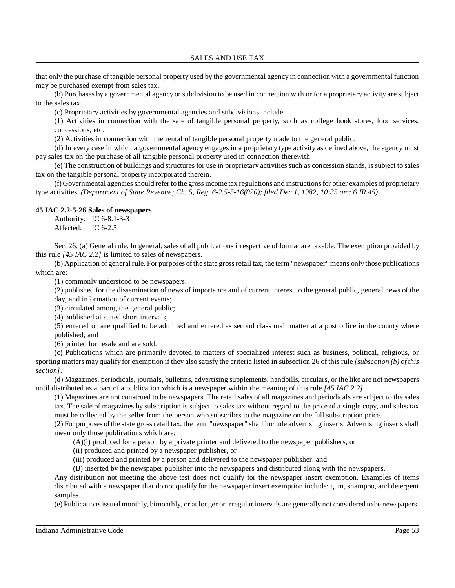that only the purchase of tangible personal property used by the governmental agency in connection with a governmental function may be purchased exempt from sales tax.

(b) Purchases by a governmental agency or subdivision to be used in connection with or for a proprietary activity are subject to the sales tax.

(c) Proprietary activities by governmental agencies and subdivisions include:

(1) Activities in connection with the sale of tangible personal property, such as college book stores, food services, concessions, etc.

(2) Activities in connection with the rental of tangible personal property made to the general public.

(d) In every case in which a governmental agency engages in a proprietary type activity as defined above, the agency must pay sales tax on the purchase of all tangible personal property used in connection therewith.

(e) The construction of buildings and structuresfor use in proprietary activities such as concession stands, is subject to sales tax on the tangible personal property incorporated therein.

(f) Governmental agenciesshould refer to the grossincome tax regulations and instructionsfor other examples of proprietary type activities. *(Department of State Revenue; Ch. 5, Reg. 6-2.5-5-16(020); filed Dec 1, 1982, 10:35 am: 6 IR 45)*

### **45 IAC 2.2-5-26 Sales of newspapers**

Authority: IC 6-8.1-3-3 Affected: IC 6-2.5

Sec. 26. (a) General rule. In general, sales of all publications irrespective of format are taxable. The exemption provided by this rule *[45 IAC 2.2]* is limited to sales of newspapers.

(b) Application of general rule. For purposes ofthe state grossretail tax, the term "newspaper" means only those publications which are:

(1) commonly understood to be newspapers;

(2) published for the dissemination of news of importance and of current interest to the general public, general news of the day, and information of current events;

(3) circulated among the general public;

(4) published at stated short intervals;

(5) entered or are qualified to be admitted and entered as second class mail matter at a post office in the county where published; and

(6) printed for resale and are sold.

(c) Publications which are primarily devoted to matters of specialized interest such as business, political, religious, or sporting matters may qualify for exemption if they also satisfy the criteria listed in subsection 26 of this rule *[subsection (b) of this section]*.

(d) Magazines, periodicals, journals, bulletins, advertising supplements, handbills, circulars, or the like are not newspapers until distributed as a part of a publication which is a newspaper within the meaning of this rule *[45 IAC 2.2]*.

(1) Magazines are not construed to be newspapers. The retail sales of all magazines and periodicals are subject to the sales tax. The sale of magazines by subscription is subject to sales tax without regard to the price of a single copy, and sales tax must be collected by the seller from the person who subscribes to the magazine on the full subscription price.

(2) For purposes ofthe state grossretail tax, the term "newspaper" shall include advertising inserts. Advertising insertsshall mean only those publications which are:

(A)(i) produced for a person by a private printer and delivered to the newspaper publishers, or

(ii) produced and printed by a newspaper publisher, or

(iii) produced and printed by a person and delivered to the newspaper publisher, and

(B) inserted by the newspaper publisher into the newspapers and distributed along with the newspapers.

Any distribution not meeting the above test does not qualify for the newspaper insert exemption. Examples of items distributed with a newspaper that do not qualify for the newspaper insert exemption include: gum, shampoo, and detergent samples.

(e) Publicationsissued monthly, bimonthly, or at longer or irregular intervals are generally not considered to be newspapers.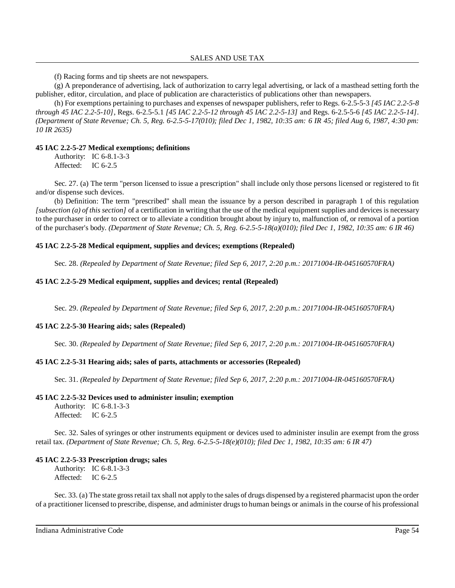(f) Racing forms and tip sheets are not newspapers.

(g) A preponderance of advertising, lack of authorization to carry legal advertising, or lack of a masthead setting forth the publisher, editor, circulation, and place of publication are characteristics of publications other than newspapers.

(h) For exemptions pertaining to purchases and expenses of newspaper publishers, refer to Regs. 6-2.5-5-3 *[45 IAC 2.2-5-8 through 45 IAC 2.2-5-10]*, Regs. 6-2.5-5.1 *[45 IAC 2.2-5-12 through 45 IAC 2.2-5-13]* and Regs. 6-2.5-5-6 *[45 IAC 2.2-5-14]*. *(Department of State Revenue; Ch. 5, Reg. 6-2.5-5-17(010); filed Dec 1, 1982, 10:35 am: 6 IR 45; filed Aug 6, 1987, 4:30 pm: 10 IR 2635)*

### **45 IAC 2.2-5-27 Medical exemptions; definitions**

Authority: IC 6-8.1-3-3 Affected: IC 6-2.5

Sec. 27. (a) The term "person licensed to issue a prescription" shall include only those persons licensed or registered to fit and/or dispense such devices.

(b) Definition: The term "prescribed" shall mean the issuance by a person described in paragraph 1 of this regulation *[subsection (a) of this section]* of a certification in writing that the use of the medical equipment supplies and devices is necessary to the purchaser in order to correct or to alleviate a condition brought about by injury to, malfunction of, or removal of a portion of the purchaser's body. *(Department of State Revenue; Ch. 5, Reg. 6-2.5-5-18(a)(010); filed Dec 1, 1982, 10:35 am: 6 IR 46)*

### **45 IAC 2.2-5-28 Medical equipment, supplies and devices; exemptions (Repealed)**

Sec. 28. *(Repealed by Department of State Revenue; filed Sep 6, 2017, 2:20 p.m.: 20171004-IR-045160570FRA)*

### **45 IAC 2.2-5-29 Medical equipment, supplies and devices; rental (Repealed)**

Sec. 29. *(Repealed by Department of State Revenue; filed Sep 6, 2017, 2:20 p.m.: 20171004-IR-045160570FRA)*

# **45 IAC 2.2-5-30 Hearing aids; sales (Repealed)**

Sec. 30. *(Repealed by Department of State Revenue; filed Sep 6, 2017, 2:20 p.m.: 20171004-IR-045160570FRA)*

# **45 IAC 2.2-5-31 Hearing aids; sales of parts, attachments or accessories (Repealed)**

Sec. 31. *(Repealed by Department of State Revenue; filed Sep 6, 2017, 2:20 p.m.: 20171004-IR-045160570FRA)*

#### **45 IAC 2.2-5-32 Devices used to administer insulin; exemption**

Authority: IC 6-8.1-3-3 Affected: IC 6-2.5

Sec. 32. Sales of syringes or other instruments equipment or devices used to administer insulin are exempt from the gross retail tax. *(Department of State Revenue; Ch. 5, Reg. 6-2.5-5-18(e)(010); filed Dec 1, 1982, 10:35 am: 6 IR 47)*

# **45 IAC 2.2-5-33 Prescription drugs; sales**

Authority: IC 6-8.1-3-3 Affected: IC 6-2.5

Sec. 33. (a) The state gross retail tax shall not apply to the sales of drugs dispensed by a registered pharmacist upon the order of a practitioner licensed to prescribe, dispense, and administer drugsto human beings or animals in the course of his professional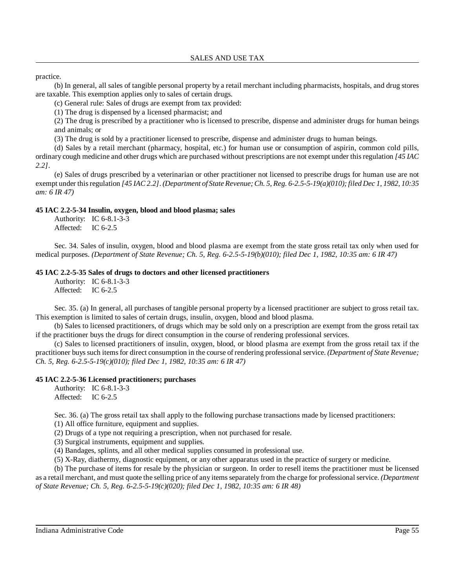### practice.

(b) In general, all sales of tangible personal property by a retail merchant including pharmacists, hospitals, and drug stores are taxable. This exemption applies only to sales of certain drugs.

(c) General rule: Sales of drugs are exempt from tax provided:

(1) The drug is dispensed by a licensed pharmacist; and

(2) The drug is prescribed by a practitioner who is licensed to prescribe, dispense and administer drugs for human beings and animals; or

(3) The drug is sold by a practitioner licensed to prescribe, dispense and administer drugs to human beings.

(d) Sales by a retail merchant (pharmacy, hospital, etc.) for human use or consumption of aspirin, common cold pills, ordinary cough medicine and other drugs which are purchased without prescriptions are not exempt under thisregulation *[45 IAC 2.2]*.

(e) Sales of drugs prescribed by a veterinarian or other practitioner not licensed to prescribe drugs for human use are not exempt under this regulation [45 IAC 2.2]. (Department of State Revenue; Ch. 5, Reg. 6-2.5-5-19(a)(010); filed Dec 1, 1982, 10:35 *am: 6 IR 47)*

# **45 IAC 2.2-5-34 Insulin, oxygen, blood and blood plasma; sales**

Authority: IC 6-8.1-3-3 Affected: IC 6-2.5

Sec. 34. Sales of insulin, oxygen, blood and blood plasma are exempt from the state gross retail tax only when used for medical purposes. *(Department of State Revenue; Ch. 5, Reg. 6-2.5-5-19(b)(010); filed Dec 1, 1982, 10:35 am: 6 IR 47)*

# **45 IAC 2.2-5-35 Sales of drugs to doctors and other licensed practitioners**

Authority: IC 6-8.1-3-3 Affected: IC 6-2.5

Sec. 35. (a) In general, all purchases of tangible personal property by a licensed practitioner are subject to gross retail tax. This exemption is limited to sales of certain drugs, insulin, oxygen, blood and blood plasma.

(b) Sales to licensed practitioners, of drugs which may be sold only on a prescription are exempt from the gross retail tax if the practitioner buys the drugs for direct consumption in the course of rendering professional services.

(c) Sales to licensed practitioners of insulin, oxygen, blood, or blood plasma are exempt from the gross retail tax if the practitioner buyssuch itemsfor direct consumption in the course of rendering professional service. *(Department of State Revenue; Ch. 5, Reg. 6-2.5-5-19(c)(010); filed Dec 1, 1982, 10:35 am: 6 IR 47)*

# **45 IAC 2.2-5-36 Licensed practitioners; purchases**

Authority: IC 6-8.1-3-3 Affected: IC 6-2.5

Sec. 36. (a) The gross retail tax shall apply to the following purchase transactions made by licensed practitioners:

(1) All office furniture, equipment and supplies.

(2) Drugs of a type not requiring a prescription, when not purchased for resale.

(3) Surgical instruments, equipment and supplies.

(4) Bandages, splints, and all other medical supplies consumed in professional use.

(5) X-Ray, diathermy, diagnostic equipment, or any other apparatus used in the practice of surgery or medicine.

(b) The purchase of items for resale by the physician or surgeon. In order to resell items the practitioner must be licensed as a retail merchant, and must quote the selling price of any itemsseparately from the charge for professional service. *(Department of State Revenue; Ch. 5, Reg. 6-2.5-5-19(c)(020); filed Dec 1, 1982, 10:35 am: 6 IR 48)*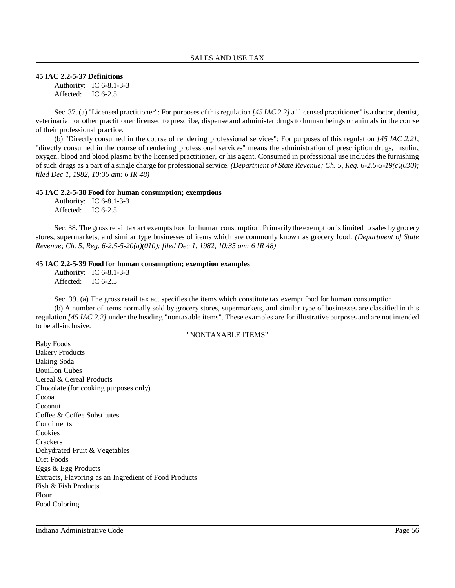#### **45 IAC 2.2-5-37 Definitions**

Authority: IC 6-8.1-3-3 Affected: IC 6-2.5

Sec. 37. (a) "Licensed practitioner": For purposes ofthisregulation *[45 IAC 2.2]* a "licensed practitioner" is a doctor, dentist, veterinarian or other practitioner licensed to prescribe, dispense and administer drugs to human beings or animals in the course of their professional practice.

(b) "Directly consumed in the course of rendering professional services": For purposes of this regulation *[45 IAC 2.2]*, "directly consumed in the course of rendering professional services" means the administration of prescription drugs, insulin, oxygen, blood and blood plasma by the licensed practitioner, or his agent. Consumed in professional use includes the furnishing of such drugs as a part of a single charge for professional service. *(Department of State Revenue; Ch. 5, Reg. 6-2.5-5-19(c)(030); filed Dec 1, 1982, 10:35 am: 6 IR 48)*

#### **45 IAC 2.2-5-38 Food for human consumption; exemptions**

Authority: IC 6-8.1-3-3 Affected: IC 6-2.5

Sec. 38. The gross retail tax act exempts food for human consumption. Primarily the exemption is limited to sales by grocery stores, supermarkets, and similar type businesses of items which are commonly known as grocery food. *(Department of State Revenue; Ch. 5, Reg. 6-2.5-5-20(a)(010); filed Dec 1, 1982, 10:35 am: 6 IR 48)*

#### **45 IAC 2.2-5-39 Food for human consumption; exemption examples**

Authority: IC 6-8.1-3-3 Affected: IC 6-2.5

Sec. 39. (a) The gross retail tax act specifies the items which constitute tax exempt food for human consumption.

(b) A number of items normally sold by grocery stores, supermarkets, and similar type of businesses are classified in this regulation *[45 IAC 2.2]* under the heading "nontaxable items". These examples are for illustrative purposes and are not intended to be all-inclusive.

#### "NONTAXABLE ITEMS"

Baby Foods Bakery Products Baking Soda Bouillon Cubes Cereal & Cereal Products Chocolate (for cooking purposes only) Cocoa **Coconut** Coffee & Coffee Substitutes **Condiments** Cookies **Crackers** Dehydrated Fruit & Vegetables Diet Foods Eggs & Egg Products Extracts, Flavoring as an Ingredient of Food Products Fish & Fish Products Flour Food Coloring

Indiana Administrative Code Page 56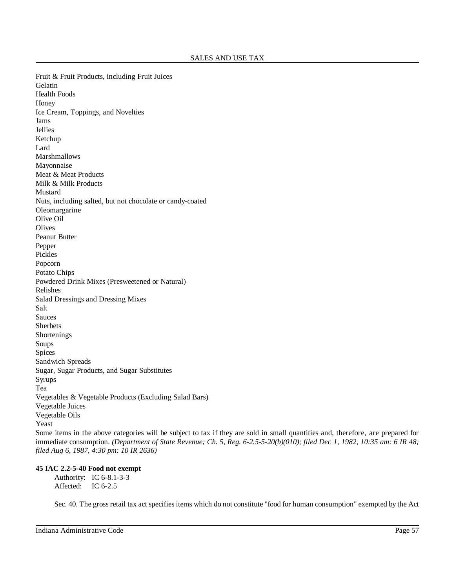Fruit & Fruit Products, including Fruit Juices Gelatin Health Foods Honey Ice Cream, Toppings, and Novelties Jams Jellies Ketchup Lard Marshmallows Mayonnaise Meat & Meat Products Milk & Milk Products Mustard Nuts, including salted, but not chocolate or candy-coated Oleomargarine Olive Oil **Olives** Peanut Butter Pepper Pickles Popcorn Potato Chips Powdered Drink Mixes (Presweetened or Natural) Relishes Salad Dressings and Dressing Mixes Salt Sauces Sherbets Shortenings Soups Spices Sandwich Spreads Sugar, Sugar Products, and Sugar Substitutes Syrups Tea Vegetables & Vegetable Products (Excluding Salad Bars) Vegetable Juices Vegetable Oils Yeast Some items in the above categories will be subject to tax if they are sold in small quantities and, therefore, are prepared for immediate consumption. *(Department of State Revenue; Ch. 5, Reg. 6-2.5-5-20(b)(010); filed Dec 1, 1982, 10:35 am: 6 IR 48;*

# **45 IAC 2.2-5-40 Food not exempt**

*filed Aug 6, 1987, 4:30 pm: 10 IR 2636)*

Authority: IC 6-8.1-3-3 Affected: IC 6-2.5

Sec. 40. The gross retail tax act specifies items which do not constitute "food for human consumption" exempted by the Act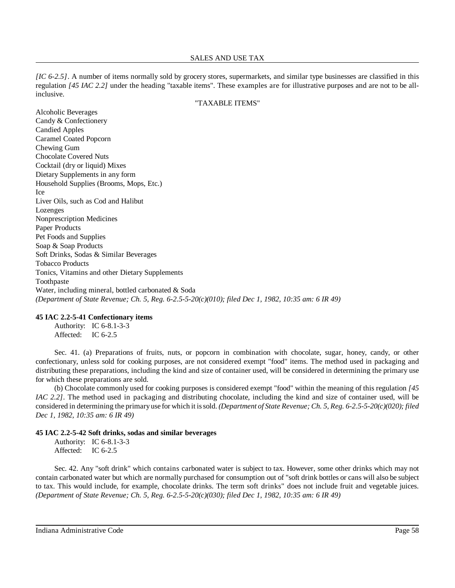*[IC 6-2.5]*. A number of items normally sold by grocery stores, supermarkets, and similar type businesses are classified in this regulation *[45 IAC 2.2]* under the heading "taxable items". These examples are for illustrative purposes and are not to be allinclusive.

#### "TAXABLE ITEMS"

Alcoholic Beverages Candy & Confectionery Candied Apples Caramel Coated Popcorn Chewing Gum Chocolate Covered Nuts Cocktail (dry or liquid) Mixes Dietary Supplements in any form Household Supplies (Brooms, Mops, Etc.) Ice Liver Oils, such as Cod and Halibut Lozenges Nonprescription Medicines Paper Products Pet Foods and Supplies Soap & Soap Products Soft Drinks, Sodas & Similar Beverages Tobacco Products Tonics, Vitamins and other Dietary Supplements Toothpaste Water, including mineral, bottled carbonated & Soda *(Department of State Revenue; Ch. 5, Reg. 6-2.5-5-20(c)(010); filed Dec 1, 1982, 10:35 am: 6 IR 49)*

#### **45 IAC 2.2-5-41 Confectionary items**

Authority: IC 6-8.1-3-3 Affected: IC 6-2.5

Sec. 41. (a) Preparations of fruits, nuts, or popcorn in combination with chocolate, sugar, honey, candy, or other confectionary, unless sold for cooking purposes, are not considered exempt "food" items. The method used in packaging and distributing these preparations, including the kind and size of container used, will be considered in determining the primary use for which these preparations are sold.

(b) Chocolate commonly used for cooking purposes is considered exempt "food" within the meaning of this regulation *[45 IAC* 2.2*]*. The method used in packaging and distributing chocolate, including the kind and size of container used, will be considered in determining the primaryuse for which it issold. *(Department of State Revenue; Ch. 5, Reg. 6-2.5-5-20(c)(020); filed Dec 1, 1982, 10:35 am: 6 IR 49)*

#### **45 IAC 2.2-5-42 Soft drinks, sodas and similar beverages**

Authority: IC 6-8.1-3-3 Affected: IC 6-2.5

Sec. 42. Any "soft drink" which contains carbonated water is subject to tax. However, some other drinks which may not contain carbonated water but which are normally purchased for consumption out of "soft drink bottles or cans will also be subject to tax. This would include, for example, chocolate drinks. The term soft drinks" does not include fruit and vegetable juices. *(Department of State Revenue; Ch. 5, Reg. 6-2.5-5-20(c)(030); filed Dec 1, 1982, 10:35 am: 6 IR 49)*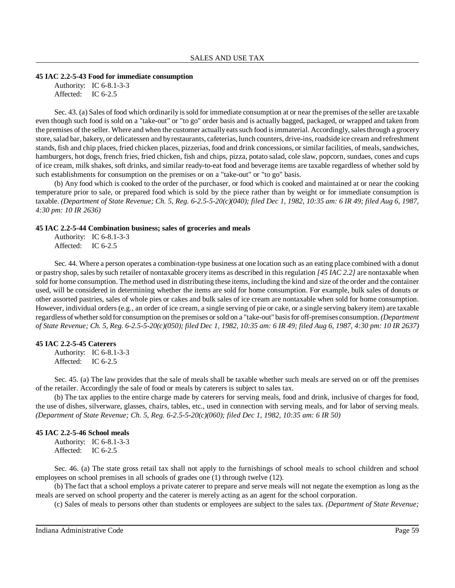#### **45 IAC 2.2-5-43 Food for immediate consumption**

Authority: IC 6-8.1-3-3 Affected: IC 6-2.5

Sec. 43. (a) Sales of food which ordinarily issold for immediate consumption at or near the premises of the seller are taxable even though such food is sold on a "take-out" or "to go" order basis and is actually bagged, packaged, or wrapped and taken from the premises of the seller. Where and when the customer actually eats such food is immaterial. Accordingly, sales through a grocery store, salad bar, bakery, or delicatessen and by restaurants, cafeterias, lunch counters, drive-ins, roadside ice cream and refreshment stands, fish and chip places, fried chicken places, pizzerias, food and drink concessions, or similar facilities, of meals, sandwiches, hamburgers, hot dogs, french fries, fried chicken, fish and chips, pizza, potato salad, cole slaw, popcorn, sundaes, cones and cups of ice cream, milk shakes, soft drinks, and similar ready-to-eat food and beverage items are taxable regardless of whether sold by such establishments for consumption on the premises or on a "take-out" or "to go" basis.

(b) Any food which is cooked to the order of the purchaser, or food which is cooked and maintained at or near the cooking temperature prior to sale, or prepared food which is sold by the piece rather than by weight or for immediate consumption is taxable. (Department of State Revenue; Ch. 5, Reg. 6-2.5-5-20(c)(040); filed Dec 1, 1982, 10:35 am: 6 IR 49; filed Aug 6, 1987, *4:30 pm: 10 IR 2636)*

#### **45 IAC 2.2-5-44 Combination business; sales of groceries and meals**

Authority: IC 6-8.1-3-3 Affected: IC 6-2.5

Sec. 44. Where a person operates a combination-type business at one location such as an eating place combined with a donut or pastry shop, sales by such retailer of nontaxable grocery items as described in this regulation *[45 IAC 2.2]* are nontaxable when sold for home consumption. The method used in distributing these items, including the kind and size of the order and the container used, will be considered in determining whether the items are sold for home consumption. For example, bulk sales of donuts or other assorted pastries, sales of whole pies or cakes and bulk sales of ice cream are nontaxable when sold for home consumption. However, individual orders (e.g., an order of ice cream, a single serving of pie or cake, or a single serving bakery item) are taxable regardless ofwhethersold for consumption on the premises orsold on a "take-out" basisfor off-premises consumption.*(Department* of State Revenue; Ch. 5, Reg. 6-2.5-5-20(c)(050); filed Dec 1, 1982, 10:35 am: 6 IR 49; filed Aug 6, 1987, 4:30 pm: 10 IR 2637)

#### **45 IAC 2.2-5-45 Caterers**

Authority: IC 6-8.1-3-3 Affected: IC 6-2.5

Sec. 45. (a) The law provides that the sale of meals shall be taxable whether such meals are served on or off the premises of the retailer. Accordingly the sale of food or meals by caterers is subject to sales tax.

(b) The tax applies to the entire charge made by caterers for serving meals, food and drink, inclusive of charges for food, the use of dishes, silverware, glasses, chairs, tables, etc., used in connection with serving meals, and for labor of serving meals. *(Department of State Revenue; Ch. 5, Reg. 6-2.5-5-20(c)(060); filed Dec 1, 1982, 10:35 am: 6 IR 50)*

#### **45 IAC 2.2-5-46 School meals**

Authority: IC 6-8.1-3-3 Affected: IC 6-2.5

Sec. 46. (a) The state gross retail tax shall not apply to the furnishings of school meals to school children and school employees on school premises in all schools of grades one (1) through twelve (12).

(b) The fact that a school employs a private caterer to prepare and serve meals will not negate the exemption as long as the meals are served on school property and the caterer is merely acting as an agent for the school corporation.

(c) Sales of meals to persons other than students or employees are subject to the sales tax. *(Department of State Revenue;*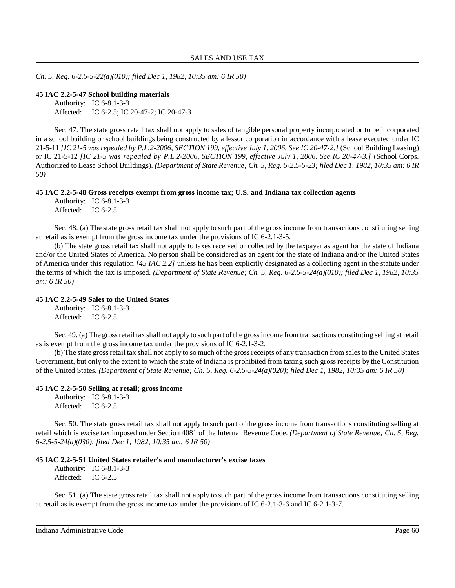*Ch. 5, Reg. 6-2.5-5-22(a)(010); filed Dec 1, 1982, 10:35 am: 6 IR 50)*

#### **45 IAC 2.2-5-47 School building materials**

Authority: IC 6-8.1-3-3 Affected: IC 6-2.5; IC 20-47-2; IC 20-47-3

Sec. 47. The state gross retail tax shall not apply to sales of tangible personal property incorporated or to be incorporated in a school building or school buildings being constructed by a lessor corporation in accordance with a lease executed under IC 21-5-11 [IC 21-5 was repealed by P.L.2-2006, SECTION 199, effective July 1, 2006. See IC 20-47-2.] (School Building Leasing) or IC 21-5-12 *[IC 21-5 was repealed by P.L.2-2006, SECTION 199, effective July 1, 2006. See IC 20-47-3.]* (School Corps. Authorized to Lease School Buildings). (Department of State Revenue; Ch. 5, Reg. 6-2.5-5-23; filed Dec 1, 1982, 10:35 am: 6 IR *50)*

**45 IAC 2.2-5-48 Gross receipts exempt from gross income tax; U.S. and Indiana tax collection agents**

Authority: IC 6-8.1-3-3 Affected: IC 6-2.5

Sec. 48. (a) The state gross retail tax shall not apply to such part of the gross income from transactions constituting selling at retail as is exempt from the gross income tax under the provisions of IC 6-2.1-3-5.

(b) The state gross retail tax shall not apply to taxes received or collected by the taxpayer as agent for the state of Indiana and/or the United States of America. No person shall be considered as an agent for the state of Indiana and/or the United States of America under this regulation *[45 IAC 2.2]* unless he has been explicitly designated as a collecting agent in the statute under the terms of which the tax is imposed. *(Department of State Revenue; Ch. 5, Reg. 6-2.5-5-24(a)(010); filed Dec 1, 1982, 10:35 am: 6 IR 50)*

#### **45 IAC 2.2-5-49 Sales to the United States**

Authority: IC 6-8.1-3-3 Affected: IC 6-2.5

Sec. 49. (a) The gross retail tax shall not apply to such part of the gross income from transactions constituting selling at retail as is exempt from the gross income tax under the provisions of IC 6-2.1-3-2.

(b) The state grossretail tax shall not apply to so much of the grossreceipts of any transaction from salesto the United States Government, but only to the extent to which the state of Indiana is prohibited from taxing such gross receipts by the Constitution of the United States. *(Department of State Revenue; Ch. 5, Reg. 6-2.5-5-24(a)(020); filed Dec 1, 1982, 10:35 am: 6 IR 50)*

#### **45 IAC 2.2-5-50 Selling at retail; gross income**

Authority: IC 6-8.1-3-3 Affected: IC 6-2.5

Sec. 50. The state gross retail tax shall not apply to such part of the gross income from transactions constituting selling at retail which is excise tax imposed under Section 4081 of the Internal Revenue Code. *(Department of State Revenue; Ch. 5, Reg. 6-2.5-5-24(a)(030); filed Dec 1, 1982, 10:35 am: 6 IR 50)*

#### **45 IAC 2.2-5-51 United States retailer's and manufacturer's excise taxes**

Authority: IC 6-8.1-3-3 Affected: IC 6-2.5

Sec. 51. (a) The state gross retail tax shall not apply to such part of the gross income from transactions constituting selling at retail as is exempt from the gross income tax under the provisions of IC 6-2.1-3-6 and IC 6-2.1-3-7.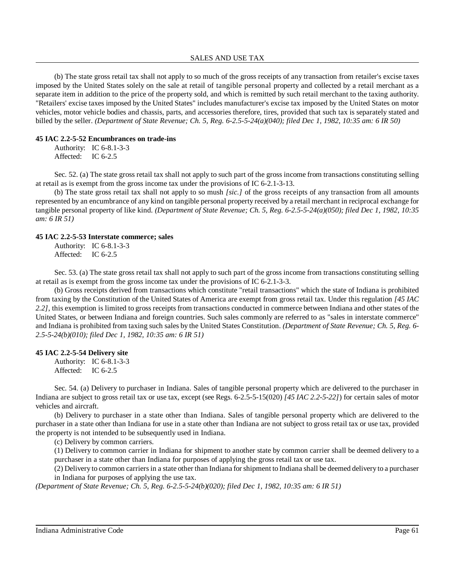#### SALES AND USE TAX

(b) The state gross retail tax shall not apply to so much of the gross receipts of any transaction from retailer's excise taxes imposed by the United States solely on the sale at retail of tangible personal property and collected by a retail merchant as a separate item in addition to the price of the property sold, and which is remitted by such retail merchant to the taxing authority. "Retailers' excise taxes imposed by the United States" includes manufacturer's excise tax imposed by the United States on motor vehicles, motor vehicle bodies and chassis, parts, and accessories therefore, tires, provided that such tax is separately stated and billed by the seller. *(Department of State Revenue; Ch. 5, Reg. 6-2.5-5-24(a)(040); filed Dec 1, 1982, 10:35 am: 6 IR 50)*

#### **45 IAC 2.2-5-52 Encumbrances on trade-ins**

Authority: IC 6-8.1-3-3 Affected: IC 6-2.5

Sec. 52. (a) The state gross retail tax shall not apply to such part of the gross income from transactions constituting selling at retail as is exempt from the gross income tax under the provisions of IC 6-2.1-3-13.

(b) The state gross retail tax shall not apply to so mush *[sic.]* of the gross receipts of any transaction from all amounts represented by an encumbrance of any kind on tangible personal property received by a retail merchant in reciprocal exchange for tangible personal property of like kind. *(Department of State Revenue; Ch. 5, Reg. 6-2.5-5-24(a)(050); filed Dec 1, 1982, 10:35 am: 6 IR 51)*

#### **45 IAC 2.2-5-53 Interstate commerce; sales**

Authority: IC 6-8.1-3-3 Affected: IC 6-2.5

Sec. 53. (a) The state gross retail tax shall not apply to such part of the gross income from transactions constituting selling at retail as is exempt from the gross income tax under the provisions of IC 6-2.1-3-3.

(b) Gross receipts derived from transactions which constitute "retail transactions" which the state of Indiana is prohibited from taxing by the Constitution of the United States of America are exempt from gross retail tax. Under this regulation *[45 IAC 2.2]*, this exemption is limited to gross receipts from transactions conducted in commerce between Indiana and other states of the United States, or between Indiana and foreign countries. Such sales commonly are referred to as "sales in interstate commerce" and Indiana is prohibited from taxing such sales by the United States Constitution. *(Department of State Revenue; Ch. 5, Reg. 6- 2.5-5-24(b)(010); filed Dec 1, 1982, 10:35 am: 6 IR 51)*

#### **45 IAC 2.2-5-54 Delivery site**

Authority: IC 6-8.1-3-3 Affected: IC 6-2.5

Sec. 54. (a) Delivery to purchaser in Indiana. Sales of tangible personal property which are delivered to the purchaser in Indiana are subject to gross retail tax or use tax, except (see Regs. 6-2.5-5-15(020) *[45 IAC 2.2-5-22]*) for certain sales of motor vehicles and aircraft.

(b) Delivery to purchaser in a state other than Indiana. Sales of tangible personal property which are delivered to the purchaser in a state other than Indiana for use in a state other than Indiana are not subject to gross retail tax or use tax, provided the property is not intended to be subsequently used in Indiana.

(c) Delivery by common carriers.

(1) Delivery to common carrier in Indiana for shipment to another state by common carrier shall be deemed delivery to a purchaser in a state other than Indiana for purposes of applying the gross retail tax or use tax.

(2) Delivery to common carriersin a state other than Indiana forshipment to Indiana shall be deemed delivery to a purchaser in Indiana for purposes of applying the use tax.

*(Department of State Revenue; Ch. 5, Reg. 6-2.5-5-24(b)(020); filed Dec 1, 1982, 10:35 am: 6 IR 51)*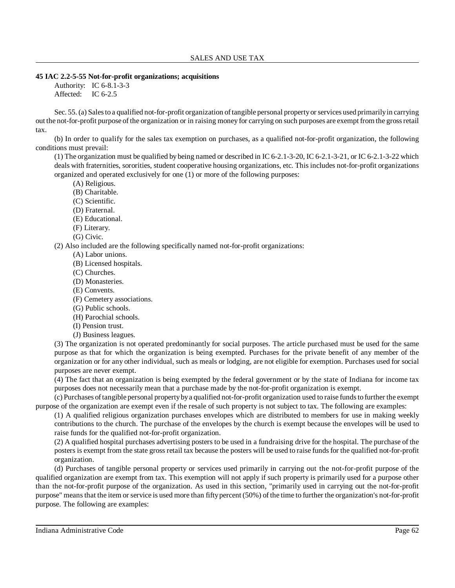### **45 IAC 2.2-5-55 Not-for-profit organizations; acquisitions**

Authority: IC 6-8.1-3-3 Affected: IC 6-2.5

Sec. 55.(a) Sales to a qualified not-for-profit organization of tangible personal property or services used primarily in carrying out the not-for-profit purpose of the organization or in raising money for carrying on such purposes are exempt from the grossretail tax.

(b) In order to qualify for the sales tax exemption on purchases, as a qualified not-for-profit organization, the following conditions must prevail:

(1) The organization must be qualified by being named or described in IC 6-2.1-3-20, IC 6-2.1-3-21, or IC 6-2.1-3-22 which deals with fraternities, sororities, student cooperative housing organizations, etc. This includes not-for-profit organizations organized and operated exclusively for one (1) or more of the following purposes:

(A) Religious.

- (B) Charitable.
- (C) Scientific.
- (D) Fraternal.
- (E) Educational.
- (F) Literary.
- (G) Civic.

(2) Also included are the following specifically named not-for-profit organizations:

- (A) Labor unions.
- (B) Licensed hospitals.
- (C) Churches.
- (D) Monasteries.
- (E) Convents.
- (F) Cemetery associations.
- (G) Public schools.
- (H) Parochial schools.
- (I) Pension trust.
- (J) Business leagues.

(3) The organization is not operated predominantly for social purposes. The article purchased must be used for the same purpose as that for which the organization is being exempted. Purchases for the private benefit of any member of the organization or for any other individual, such as meals or lodging, are not eligible for exemption. Purchases used for social purposes are never exempt.

(4) The fact that an organization is being exempted by the federal government or by the state of Indiana for income tax purposes does not necessarily mean that a purchase made by the not-for-profit organization is exempt.

(c) Purchases oftangible personal propertybya qualified not-for-profit organization used to raise fundsto further the exempt purpose of the organization are exempt even if the resale of such property is not subject to tax. The following are examples:

(1) A qualified religious organization purchases envelopes which are distributed to members for use in making weekly contributions to the church. The purchase of the envelopes by the church is exempt because the envelopes will be used to raise funds for the qualified not-for-profit organization.

(2) A qualified hospital purchases advertising posters to be used in a fundraising drive for the hospital. The purchase of the posters is exempt from the state gross retail tax because the posters will be used to raise fundsfor the qualified not-for-profit organization.

(d) Purchases of tangible personal property or services used primarily in carrying out the not-for-profit purpose of the qualified organization are exempt from tax. This exemption will not apply if such property is primarily used for a purpose other than the not-for-profit purpose of the organization. As used in this section, "primarily used in carrying out the not-for-profit purpose" meansthat the item or service is used more than fiftypercent (50%) of the time to further the organization's not-for-profit purpose. The following are examples: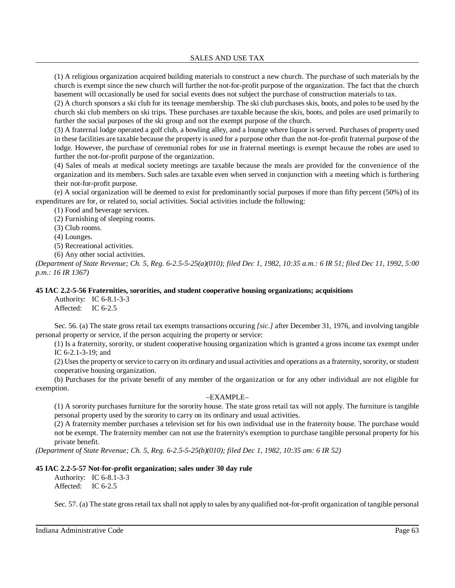(1) A religious organization acquired building materials to construct a new church. The purchase of such materials by the church is exempt since the new church will further the not-for-profit purpose of the organization. The fact that the church basement will occasionally be used for social events does not subject the purchase of construction materials to tax.

(2) A church sponsors a ski club for its teenage membership. The ski club purchases skis, boots, and poles to be used by the church ski club members on ski trips. These purchases are taxable because the skis, boots, and poles are used primarily to further the social purposes of the ski group and not the exempt purpose of the church.

(3) A fraternal lodge operated a golf club, a bowling alley, and a lounge where liquor is served. Purchases of property used in these facilities are taxable because the property is used for a purpose other than the not-for-profit fraternal purpose of the lodge. However, the purchase of ceremonial robes for use in fraternal meetings is exempt because the robes are used to further the not-for-profit purpose of the organization.

(4) Sales of meals at medical society meetings are taxable because the meals are provided for the convenience of the organization and its members. Such sales are taxable even when served in conjunction with a meeting which is furthering their not-for-profit purpose.

(e) A social organization will be deemed to exist for predominantly social purposes if more than fifty percent (50%) of its expenditures are for, or related to, social activities. Social activities include the following:

(1) Food and beverage services.

(2) Furnishing of sleeping rooms.

(3) Club rooms.

(4) Lounges.

(5) Recreational activities.

(6) Any other social activities.

*(Department of State Revenue; Ch. 5, Reg. 6-2.5-5-25(a)(010); filed Dec 1, 1982, 10:35 a.m.: 6 IR 51; filed Dec 11, 1992, 5:00 p.m.: 16 IR 1367)*

### **45 IAC 2.2-5-56 Fraternities, sororities, and student cooperative housing organizations; acquisitions**

Authority: IC 6-8.1-3-3 Affected: IC 6-2.5

Sec. 56. (a) The state gross retail tax exempts transactions occuring *[sic.]* after December 31, 1976, and involving tangible personal property or service, if the person acquiring the property or service:

(1) Is a fraternity, sorority, or student cooperative housing organization which is granted a gross income tax exempt under IC 6-2.1-3-19; and

(2) Usesthe property or service to carry on its ordinary and usual activities and operations as a fraternity, sorority, or student cooperative housing organization.

(b) Purchases for the private benefit of any member of the organization or for any other individual are not eligible for exemption.

# –EXAMPLE–

(1) A sorority purchases furniture for the sorority house. The state gross retail tax will not apply. The furniture is tangible personal property used by the sorority to carry on its ordinary and usual activities.

(2) A fraternity member purchases a television set for his own individual use in the fraternity house. The purchase would not be exempt. The fraternity member can not use the fraternity's exemption to purchase tangible personal property for his private benefit.

*(Department of State Revenue; Ch. 5, Reg. 6-2.5-5-25(b)(010); filed Dec 1, 1982, 10:35 am: 6 IR 52)*

# **45 IAC 2.2-5-57 Not-for-profit organization; sales under 30 day rule**

Authority: IC 6-8.1-3-3 Affected: IC 6-2.5

Sec. 57. (a) The state gross retail tax shall not apply to sales by any qualified not-for-profit organization of tangible personal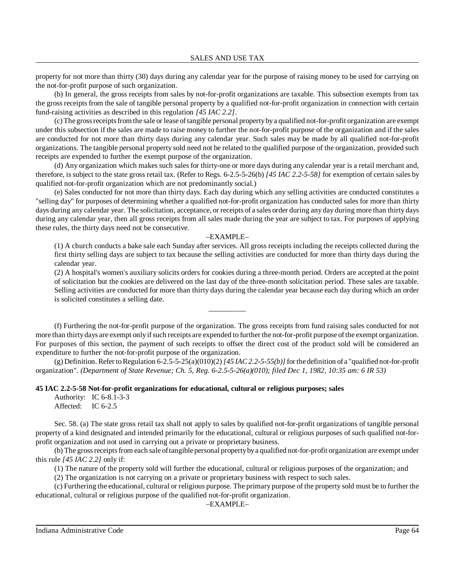property for not more than thirty (30) days during any calendar year for the purpose of raising money to be used for carrying on the not-for-profit purpose of such organization.

(b) In general, the gross receipts from sales by not-for-profit organizations are taxable. This subsection exempts from tax the gross receipts from the sale of tangible personal property by a qualified not-for-profit organization in connection with certain fund-raising activities as described in this regulation *[45 IAC 2.2]*.

(c)The grossreceiptsfromthe sale or lease oftangible personal propertybya qualified not-for-profit organization are exempt under this subsection if the sales are made to raise money to further the not-for-profit purpose of the organization and if the sales are conducted for not more than thirty days during any calendar year. Such sales may be made by all qualified not-for-profit organizations. The tangible personal property sold need not be related to the qualified purpose of the organization, provided such receipts are expended to further the exempt purpose of the organization.

(d) Any organization which makes such sales for thirty-one or more days during any calendar year is a retail merchant and, therefore, is subject to the state gross retail tax. (Refer to Regs. 6-2.5-5-26(b) *[45 IAC 2.2-5-58]* for exemption of certain sales by qualified not-for-profit organization which are not predominantly social.)

(e) Sales conducted for not more than thirty days. Each day during which any selling activities are conducted constitutes a "selling day" for purposes of determining whether a qualified not-for-profit organization has conducted sales for more than thirty days during any calendar year. The solicitation, acceptance, or receipts of a sales order during any day during more than thirty days during any calendar year, then all gross receipts from all sales made during the year are subject to tax. For purposes of applying these rules, the thirty days need not be consecutive.

#### –EXAMPLE–

(1) A church conducts a bake sale each Sunday after services. All gross receipts including the receipts collected during the first thirty selling days are subject to tax because the selling activities are conducted for more than thirty days during the calendar year.

(2) A hospital's women's auxiliary solicits orders for cookies during a three-month period. Orders are accepted at the point of solicitation but the cookies are delivered on the last day of the three-month solicitation period. These sales are taxable. Selling activities are conducted for more than thirty days during the calendar year because each day during which an order is solicited constitutes a selling date.

(f) Furthering the not-for-profit purpose of the organization. The gross receipts from fund raising sales conducted for not more than thirty days are exempt only if such receipts are expended to further the not-for-profit purpose of the exempt organization. For purposes of this section, the payment of such receipts to offset the direct cost of the product sold will be considered an expenditure to further the not-for-profit purpose of the organization.

\_\_\_\_\_\_\_\_\_\_

(g) Definition. Refer toRegulation 6-2.5-5-25(a)(010)(2)*[45 IAC 2.2-5-55(b)]*forthe definition of a "qualified not-for-profit organization". *(Department of State Revenue; Ch. 5, Reg. 6-2.5-5-26(a)(010); filed Dec 1, 1982, 10:35 am: 6 IR 53)*

### **45 IAC 2.2-5-58 Not-for-profit organizations for educational, cultural or religious purposes; sales**

Authority: IC 6-8.1-3-3 Affected: IC 6-2.5

Sec. 58. (a) The state gross retail tax shall not apply to sales by qualified not-for-profit organizations of tangible personal property of a kind designated and intended primarily for the educational, cultural or religious purposes of such qualified not-forprofit organization and not used in carrying out a private or proprietary business.

(b) The grossreceiptsfrom each sale oftangible personal propertybya qualified not-for-profit organization are exempt under this rule *[45 IAC 2.2]* only if:

(1) The nature of the property sold will further the educational, cultural or religious purposes of the organization; and

(2) The organization is not carrying on a private or proprietary business with respect to such sales.

(c) Furthering the educational, cultural or religious purpose. The primary purpose of the property sold must be to further the educational, cultural or religious purpose of the qualified not-for-profit organization.

–EXAMPLE–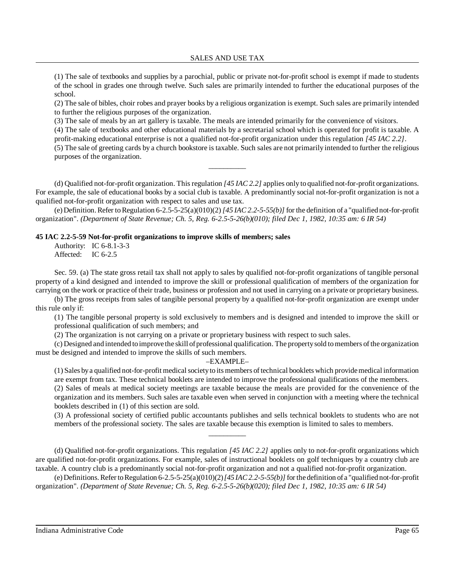(1) The sale of textbooks and supplies by a parochial, public or private not-for-profit school is exempt if made to students of the school in grades one through twelve. Such sales are primarily intended to further the educational purposes of the school.

(2) The sale of bibles, choir robes and prayer books by a religious organization is exempt. Such sales are primarily intended to further the religious purposes of the organization.

(3) The sale of meals by an art gallery is taxable. The meals are intended primarily for the convenience of visitors.

(4) The sale of textbooks and other educational materials by a secretarial school which is operated for profit is taxable. A profit-making educational enterprise is not a qualified not-for-profit organization under this regulation *[45 IAC 2.2]*.

(5) The sale of greeting cards by a church bookstore is taxable. Such sales are not primarily intended to further the religious purposes of the organization.

(d) Qualified not-for-profit organization. Thisregulation *[45 IAC 2.2]* applies only to qualified not-for-profit organizations. For example, the sale of educational books by a social club is taxable. A predominantly social not-for-profit organization is not a qualified not-for-profit organization with respect to sales and use tax.

\_\_\_\_\_\_\_\_\_\_

(e) Definition.Refer toRegulation 6-2.5-5-25(a)(010)(2)*[45 IAC 2.2-5-55(b)]* for the definition of a "qualified not-for-profit organization". *(Department of State Revenue; Ch. 5, Reg. 6-2.5-5-26(b)(010); filed Dec 1, 1982, 10:35 am: 6 IR 54)*

#### **45 IAC 2.2-5-59 Not-for-profit organizations to improve skills of members; sales**

Authority: IC 6-8.1-3-3 Affected: IC 6-2.5

Sec. 59. (a) The state gross retail tax shall not apply to sales by qualified not-for-profit organizations of tangible personal property of a kind designed and intended to improve the skill or professional qualification of members of the organization for carrying on the work or practice of their trade, business or profession and not used in carrying on a private or proprietary business.

(b) The gross receipts from sales of tangible personal property by a qualified not-for-profit organization are exempt under this rule only if:

(1) The tangible personal property is sold exclusively to members and is designed and intended to improve the skill or professional qualification of such members; and

(2) The organization is not carrying on a private or proprietary business with respect to such sales.

(c) Designed and intended toimprove the skill ofprofessional qualification. The propertysold tomembers ofthe organization must be designed and intended to improve the skills of such members.

#### –EXAMPLE–

(1) Sales bya qualified not-for-profit medicalsocietyto its members oftechnical booklets which providemedical information are exempt from tax. These technical booklets are intended to improve the professional qualifications of the members.

(2) Sales of meals at medical society meetings are taxable because the meals are provided for the convenience of the organization and its members. Such sales are taxable even when served in conjunction with a meeting where the technical booklets described in (1) of this section are sold.

(3) A professional society of certified public accountants publishes and sells technical booklets to students who are not members of the professional society. The sales are taxable because this exemption is limited to sales to members.

(d) Qualified not-for-profit organizations. This regulation *[45 IAC 2.2]* applies only to not-for-profit organizations which are qualified not-for-profit organizations. For example, sales of instructional booklets on golf techniques by a country club are taxable. A country club is a predominantly social not-for-profit organization and not a qualified not-for-profit organization.

\_\_\_\_\_\_\_\_\_\_

(e) Definitions. Refer to Regulation  $6-2.5-5-25(a)(010)(2)/145IAC2.2-5-55(b)/1$  for the definition of a "qualified not-for-profit organization". *(Department of State Revenue; Ch. 5, Reg. 6-2.5-5-26(b)(020); filed Dec 1, 1982, 10:35 am: 6 IR 54)*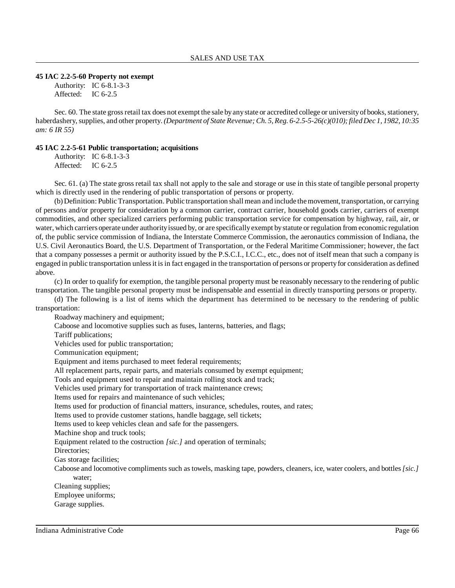#### **45 IAC 2.2-5-60 Property not exempt**

Authority: IC 6-8.1-3-3 Affected: IC 6-2.5

Sec. 60. The state gross retail tax does not exempt the sale by any state or accredited college or university of books, stationery, haberdashery,supplies, and other property. *(Department of State Revenue; Ch. 5, Reg. 6-2.5-5-26(c)(010);filed Dec 1, 1982, 10:35 am: 6 IR 55)*

#### **45 IAC 2.2-5-61 Public transportation; acquisitions**

Authority: IC 6-8.1-3-3 Affected: IC 6-2.5

Sec. 61. (a) The state gross retail tax shall not apply to the sale and storage or use in this state of tangible personal property which is directly used in the rendering of public transportation of persons or property.

(b) Definition: Public Transportation. Public transportation shall mean and include the movement, transportation, or carrying of persons and/or property for consideration by a common carrier, contract carrier, household goods carrier, carriers of exempt commodities, and other specialized carriers performing public transportation service for compensation by highway, rail, air, or water, which carriers operate under authorityissued by, or are specificallyexempt bystatute or regulation from economic regulation of, the public service commission of Indiana, the Interstate Commerce Commission, the aeronautics commission of Indiana, the U.S. Civil Aeronautics Board, the U.S. Department of Transportation, or the Federal Maritime Commissioner; however, the fact that a company possesses a permit or authority issued by the P.S.C.I., I.C.C., etc., does not of itself mean that such a company is engaged in public transportation unlessit isin fact engaged in the transportation of persons or propertyfor consideration as defined above.

(c) In order to qualify for exemption, the tangible personal property must be reasonably necessary to the rendering of public transportation. The tangible personal property must be indispensable and essential in directly transporting persons or property.

(d) The following is a list of items which the department has determined to be necessary to the rendering of public transportation:

Roadway machinery and equipment;

Caboose and locomotive supplies such as fuses, lanterns, batteries, and flags;

Tariff publications;

Vehicles used for public transportation;

Communication equipment;

Equipment and items purchased to meet federal requirements;

All replacement parts, repair parts, and materials consumed by exempt equipment;

Tools and equipment used to repair and maintain rolling stock and track;

Vehicles used primary for transportation of track maintenance crews;

Items used for repairs and maintenance of such vehicles;

Items used for production of financial matters, insurance, schedules, routes, and rates;

Items used to provide customer stations, handle baggage, sell tickets;

Items used to keep vehicles clean and safe for the passengers.

Machine shop and truck tools;

Equipment related to the costruction *[sic.]* and operation of terminals;

Directories;

Gas storage facilities;

Caboose and locomotive compliments such as towels, masking tape, powders, cleaners, ice, water coolers, and bottles*[sic.]* water;

Cleaning supplies; Employee uniforms; Garage supplies.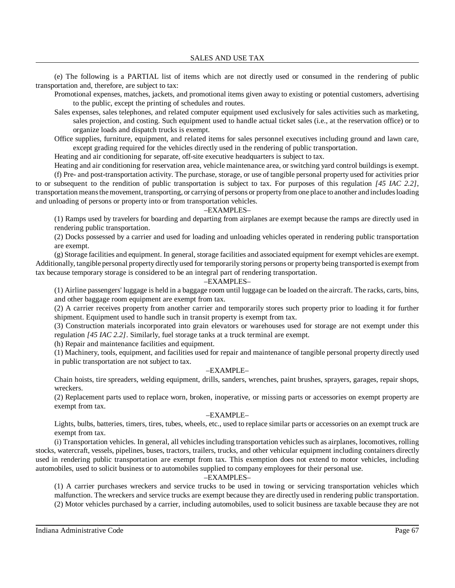(e) The following is a PARTIAL list of items which are not directly used or consumed in the rendering of public transportation and, therefore, are subject to tax:

- Promotional expenses, matches, jackets, and promotional items given away to existing or potential customers, advertising to the public, except the printing of schedules and routes.
- Sales expenses, sales telephones, and related computer equipment used exclusively for sales activities such as marketing, sales projection, and costing. Such equipment used to handle actual ticket sales (i.e., at the reservation office) or to organize loads and dispatch trucks is exempt.
- Office supplies, furniture, equipment, and related items for sales personnel executives including ground and lawn care, except grading required for the vehicles directly used in the rendering of public transportation.

Heating and air conditioning for separate, off-site executive headquarters is subject to tax.

Heating and air conditioning for reservation area, vehicle maintenance area, or switching yard control buildings is exempt. (f) Pre- and post-transportation activity. The purchase, storage, or use of tangible personal property used for activities prior to or subsequent to the rendition of public transportation is subject to tax. For purposes of this regulation *[45 IAC 2.2]*, transportation means the movement, transporting, or carrying of persons or property from one place to another and includes loading and unloading of persons or property into or from transportation vehicles.

### –EXAMPLES–

(1) Ramps used by travelers for boarding and departing from airplanes are exempt because the ramps are directly used in rendering public transportation.

(2) Docks possessed by a carrier and used for loading and unloading vehicles operated in rendering public transportation are exempt.

(g) Storage facilities and equipment. In general, storage facilities and associated equipment for exempt vehicles are exempt. Additionally, tangible personal property directly used for temporarily storing persons or property being transported is exempt from tax because temporary storage is considered to be an integral part of rendering transportation.

### –EXAMPLES–

(1) Airline passengers' luggage is held in a baggage room until luggage can be loaded on the aircraft. The racks, carts, bins, and other baggage room equipment are exempt from tax.

(2) A carrier receives property from another carrier and temporarily stores such property prior to loading it for further shipment. Equipment used to handle such in transit property is exempt from tax.

(3) Construction materials incorporated into grain elevators or warehouses used for storage are not exempt under this regulation *[45 IAC 2.2]*. Similarly, fuel storage tanks at a truck terminal are exempt.

(h) Repair and maintenance facilities and equipment.

(1) Machinery, tools, equipment, and facilities used for repair and maintenance of tangible personal property directly used in public transportation are not subject to tax.

# –EXAMPLE–

Chain hoists, tire spreaders, welding equipment, drills, sanders, wrenches, paint brushes, sprayers, garages, repair shops, wreckers.

(2) Replacement parts used to replace worn, broken, inoperative, or missing parts or accessories on exempt property are exempt from tax.

#### –EXAMPLE–

Lights, bulbs, batteries, timers, tires, tubes, wheels, etc., used to replace similar parts or accessories on an exempt truck are exempt from tax.

(i) Transportation vehicles. In general, all vehiclesincluding transportation vehiclessuch as airplanes, locomotives, rolling stocks, watercraft, vessels, pipelines, buses, tractors, trailers, trucks, and other vehicular equipment including containers directly used in rendering public transportation are exempt from tax. This exemption does not extend to motor vehicles, including automobiles, used to solicit business or to automobiles supplied to company employees for their personal use.

# –EXAMPLES–

(1) A carrier purchases wreckers and service trucks to be used in towing or servicing transportation vehicles which malfunction. The wreckers and service trucks are exempt because they are directly used in rendering public transportation. (2) Motor vehicles purchased by a carrier, including automobiles, used to solicit business are taxable because they are not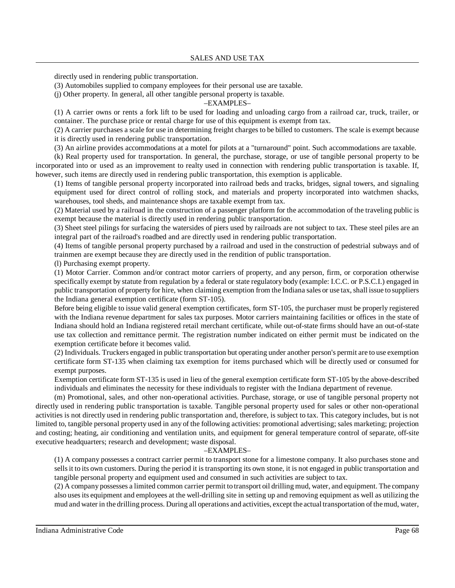directly used in rendering public transportation.

(3) Automobiles supplied to company employees for their personal use are taxable.

(j) Other property. In general, all other tangible personal property is taxable.

### –EXAMPLES–

(1) A carrier owns or rents a fork lift to be used for loading and unloading cargo from a railroad car, truck, trailer, or container. The purchase price or rental charge for use of this equipment is exempt from tax.

(2) A carrier purchases a scale for use in determining freight charges to be billed to customers. The scale is exempt because it is directly used in rendering public transportation.

(3) An airline provides accommodations at a motel for pilots at a "turnaround" point. Such accommodations are taxable.

(k) Real property used for transportation. In general, the purchase, storage, or use of tangible personal property to be incorporated into or used as an improvement to realty used in connection with rendering public transportation is taxable. If, however, such items are directly used in rendering public transportation, this exemption is applicable.

(1) Items of tangible personal property incorporated into railroad beds and tracks, bridges, signal towers, and signaling equipment used for direct control of rolling stock, and materials and property incorporated into watchmen shacks, warehouses, tool sheds, and maintenance shops are taxable exempt from tax.

(2) Material used by a railroad in the construction of a passenger platform for the accommodation of the traveling public is exempt because the material is directly used in rendering public transportation.

(3) Sheet steel pilings for surfacing the watersides of piers used by railroads are not subject to tax. These steel piles are an integral part of the railroad's roadbed and are directly used in rendering public transportation.

(4) Items of tangible personal property purchased by a railroad and used in the construction of pedestrial subways and of trainmen are exempt because they are directly used in the rendition of public transportation.

(l) Purchasing exempt property.

(1) Motor Carrier. Common and/or contract motor carriers of property, and any person, firm, or corporation otherwise specifically exempt by statute from regulation by a federal or state regulatory body (example: I.C.C. or P.S.C.I.) engaged in public transportation of property for hire, when claiming exemption from the Indiana sales or use tax, shall issue to suppliers the Indiana general exemption certificate (form ST-105).

Before being eligible to issue valid general exemption certificates, form ST-105, the purchaser must be properly registered with the Indiana revenue department for sales tax purposes. Motor carriers maintaining facilities or offices in the state of Indiana should hold an Indiana registered retail merchant certificate, while out-of-state firms should have an out-of-state use tax collection and remittance permit. The registration number indicated on either permit must be indicated on the exemption certificate before it becomes valid.

(2) Individuals. Truckers engaged in public transportation but operating under another person's permit are to use exemption certificate form ST-135 when claiming tax exemption for items purchased which will be directly used or consumed for exempt purposes.

Exemption certificate form ST-135 is used in lieu of the general exemption certificate form ST-105 by the above-described individuals and eliminates the necessity for these individuals to register with the Indiana department of revenue.

(m) Promotional, sales, and other non-operational activities. Purchase, storage, or use of tangible personal property not directly used in rendering public transportation is taxable. Tangible personal property used for sales or other non-operational activities is not directly used in rendering public transportation and, therefore, is subject to tax. This category includes, but is not limited to, tangible personal property used in any of the following activities: promotional advertising; sales marketing; projection and costing; heating, air conditioning and ventilation units, and equipment for general temperature control of separate, off-site executive headquarters; research and development; waste disposal.

#### –EXAMPLES–

(1) A company possesses a contract carrier permit to transport stone for a limestone company. It also purchases stone and sellsit to its own customers. During the period it is transporting its own stone, it is not engaged in public transportation and tangible personal property and equipment used and consumed in such activities are subject to tax.

(2) A company possesses a limited common carrier permit to transport oil drilling mud, water, and equipment. The company also usesits equipment and employees at the well-drilling site in setting up and removing equipment as well as utilizing the mud and water in the drilling process. During all operations and activities, except the actual transportation ofthemud, water,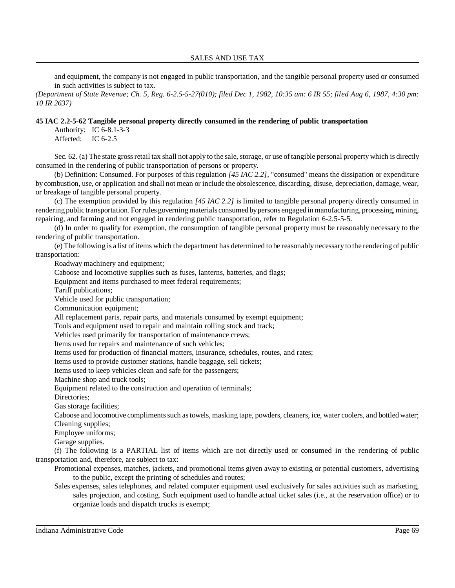#### SALES AND USE TAX

and equipment, the company is not engaged in public transportation, and the tangible personal property used or consumed in such activities is subject to tax.

*(Department of State Revenue; Ch. 5, Reg. 6-2.5-5-27(010); filed Dec 1, 1982, 10:35 am: 6 IR 55; filed Aug 6, 1987, 4:30 pm: 10 IR 2637)*

# **45 IAC 2.2-5-62 Tangible personal property directly consumed in the rendering of public transportation**

Authority: IC 6-8.1-3-3 Affected: IC 6-2.5

Sec. 62. (a) The state gross retail tax shall not apply to the sale, storage, or use of tangible personal property which is directly consumed in the rendering of public transportation of persons or property.

(b) Definition: Consumed. For purposes of this regulation *[45 IAC 2.2]*, "consumed" means the dissipation or expenditure by combustion, use, or application and shall not mean or include the obsolescence, discarding, disuse, depreciation, damage, wear, or breakage of tangible personal property.

(c) The exemption provided by this regulation *[45 IAC 2.2]* is limited to tangible personal property directly consumed in rendering public transportation. For rules governingmaterials consumed bypersons engaged in manufacturing, processing, mining, repairing, and farming and not engaged in rendering public transportation, refer to Regulation 6-2.5-5-5.

(d) In order to qualify for exemption, the consumption of tangible personal property must be reasonably necessary to the rendering of public transportation.

(e) The following is a list of items which the department has determined to be reasonably necessary to the rendering of public transportation:

Roadway machinery and equipment;

Caboose and locomotive supplies such as fuses, lanterns, batteries, and flags;

Equipment and items purchased to meet federal requirements;

Tariff publications;

Vehicle used for public transportation;

Communication equipment;

All replacement parts, repair parts, and materials consumed by exempt equipment;

Tools and equipment used to repair and maintain rolling stock and track;

Vehicles used primarily for transportation of maintenance crews;

Items used for repairs and maintenance of such vehicles;

Items used for production of financial matters, insurance, schedules, routes, and rates;

Items used to provide customer stations, handle baggage, sell tickets;

Items used to keep vehicles clean and safe for the passengers;

Machine shop and truck tools;

Equipment related to the construction and operation of terminals;

Directories;

Gas storage facilities;

Caboose and locomotive complimentssuch astowels, masking tape, powders, cleaners, ice, water coolers, and bottled water; Cleaning supplies;

Employee uniforms;

Garage supplies.

(f) The following is a PARTIAL list of items which are not directly used or consumed in the rendering of public transportation and, therefore, are subject to tax:

Promotional expenses, matches, jackets, and promotional items given away to existing or potential customers, advertising to the public, except the printing of schedules and routes;

Sales expenses, sales telephones, and related computer equipment used exclusively for sales activities such as marketing, sales projection, and costing. Such equipment used to handle actual ticket sales (i.e., at the reservation office) or to organize loads and dispatch trucks is exempt;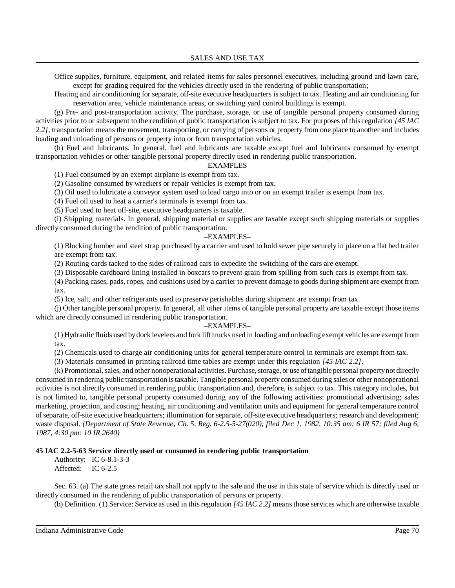Office supplies, furniture, equipment, and related items for sales personnel executives, including ground and lawn care, except for grading required for the vehicles directly used in the rendering of public transportation;

Heating and air conditioning for separate, off-site executive headquarters is subject to tax. Heating and air conditioning for reservation area, vehicle maintenance areas, or switching yard control buildings is exempt.

(g) Pre- and post-transportation activity. The purchase, storage, or use of tangible personal property consumed during activities prior to or subsequent to the rendition of public transportation is subject to tax. For purposes of this regulation *[45 IAC 2.2]*, transportation means the movement, transporting, or carrying of persons or property from one place to another and includes loading and unloading of persons or property into or from transportation vehicles.

(h) Fuel and lubricants. In general, fuel and lubricants are taxable except fuel and lubricants consumed by exempt transportation vehicles or other tangible personal property directly used in rendering public transportation.

#### –EXAMPLES–

(1) Fuel consumed by an exempt airplane is exempt from tax.

(2) Gasoline consumed by wreckers or repair vehicles is exempt from tax.

(3) Oil used to lubricate a conveyor system used to load cargo into or on an exempt trailer is exempt from tax.

(4) Fuel oil used to heat a carrier's terminals is exempt from tax.

(5) Fuel used to heat off-site, executive headquarters is taxable.

(i) Shipping materials. In general, shipping material or supplies are taxable except such shipping materials or supplies directly consumed during the rendition of public transportation.

# –EXAMPLES–

(1) Blocking lumber and steel strap purchased by a carrier and used to hold sewer pipe securely in place on a flat bed trailer are exempt from tax.

(2) Routing cards tacked to the sides of railroad cars to expedite the switching of the cars are exempt.

(3) Disposable cardboard lining installed in boxcars to prevent grain from spilling from such cars is exempt from tax.

(4) Packing cases, pads, ropes, and cushions used by a carrier to prevent damage to goods during shipment are exempt from tax.

(5) Ice, salt, and other refrigerants used to preserve perishables during shipment are exempt from tax.

(j) Other tangible personal property. In general, all other items of tangible personal property are taxable except those items which are directly consumed in rendering public transportation.

# –EXAMPLES–

(1) Hydraulic fluids used bydock levelers and fork lift trucks used in loading and unloading exempt vehicles are exempt from tax.

(2) Chemicals used to charge air conditioning units for general temperature control in terminals are exempt from tax.

(3) Materials consumed in printing railroad time tables are exempt under this regulation *[45 IAC 2.2]*.

(k) Promotional, sales, and other nonoperational activities. Purchase, storage, or use of tangible personal property not directly consumed in rendering public transportation istaxable. Tangible personal propertyconsumed during sales or other nonoperational activities is not directly consumed in rendering public transportation and, therefore, is subject to tax. This category includes, but is not limited to, tangible personal property consumed during any of the following activities: promotional advertising; sales marketing, projection, and costing; heating, air conditioning and ventilation units and equipment for general temperature control ofseparate, off-site executive headquarters; illumination for separate, off-site executive headquarters; research and development; waste disposal. *(Department of State Revenue; Ch. 5, Reg. 6-2.5-5-27(020); filed Dec 1, 1982, 10:35 am: 6 IR 57; filed Aug 6, 1987, 4:30 pm: 10 IR 2640)*

# **45 IAC 2.2-5-63 Service directly used or consumed in rendering public transportation**

Authority: IC 6-8.1-3-3 Affected: IC 6-2.5

Sec. 63. (a) The state gross retail tax shall not apply to the sale and the use in this state of service which is directly used or directly consumed in the rendering of public transportation of persons or property.

(b) Definition. (1) Service: Service as used in thisregulation *[45 IAC 2.2]* meansthose services which are otherwise taxable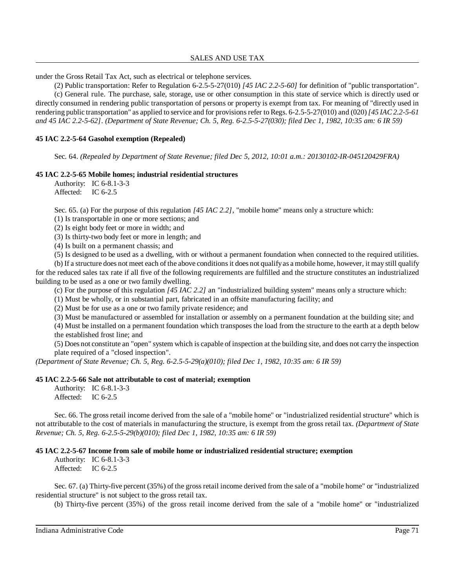under the Gross Retail Tax Act, such as electrical or telephone services.

(2) Public transportation: Refer to Regulation 6-2.5-5-27(010) *[45 IAC 2.2-5-60]* for definition of "public transportation". (c) General rule. The purchase, sale, storage, use or other consumption in this state of service which is directly used or directly consumed in rendering public transportation of persons or property is exempt from tax. For meaning of "directly used in

rendering public transportation" as applied to service and for provisionsrefer to Regs. 6-2.5-5-27(010) and (020)*[45 IAC 2.2-5-61 and 45 IAC 2.2-5-62]*. *(Department of State Revenue; Ch. 5, Reg. 6-2.5-5-27(030); filed Dec 1, 1982, 10:35 am: 6 IR 59)*

# **45 IAC 2.2-5-64 Gasohol exemption (Repealed)**

Sec. 64. *(Repealed by Department of State Revenue; filed Dec 5, 2012, 10:01 a.m.: 20130102-IR-045120429FRA)*

### **45 IAC 2.2-5-65 Mobile homes; industrial residential structures**

Authority: IC 6-8.1-3-3 Affected: IC 6-2.5

Sec. 65. (a) For the purpose of this regulation *[45 IAC 2.2]*, "mobile home" means only a structure which:

(1) Is transportable in one or more sections; and

(2) Is eight body feet or more in width; and

(3) Is thirty-two body feet or more in length; and

(4) Is built on a permanent chassis; and

(5) Is designed to be used as a dwelling, with or without a permanent foundation when connected to the required utilities.

(b) If a structure does not meet each of the above conditions it does not qualify as a mobile home, however, it may still qualify for the reduced sales tax rate if all five of the following requirements are fulfilled and the structure constitutes an industrialized building to be used as a one or two family dwelling.

(c) For the purpose of this regulation *[45 IAC 2.2]* an "industrialized building system" means only a structure which:

(1) Must be wholly, or in substantial part, fabricated in an offsite manufacturing facility; and

(2) Must be for use as a one or two family private residence; and

(3) Must be manufactured or assembled for installation or assembly on a permanent foundation at the building site; and

(4) Must be installed on a permanent foundation which transposes the load from the structure to the earth at a depth below the established frost line; and

(5) Does not constitute an "open" system which is capable of inspection at the building site, and does not carry the inspection plate required of a "closed inspection".

*(Department of State Revenue; Ch. 5, Reg. 6-2.5-5-29(a)(010); filed Dec 1, 1982, 10:35 am: 6 IR 59)*

# **45 IAC 2.2-5-66 Sale not attributable to cost of material; exemption**

Authority: IC 6-8.1-3-3 Affected: IC 6-2.5

Sec. 66. The gross retail income derived from the sale of a "mobile home" or "industrialized residential structure" which is not attributable to the cost of materials in manufacturing the structure, is exempt from the gross retail tax. *(Department of State Revenue; Ch. 5, Reg. 6-2.5-5-29(b)(010); filed Dec 1, 1982, 10:35 am: 6 IR 59)*

# **45 IAC 2.2-5-67 Income from sale of mobile home or industrialized residential structure; exemption**

Authority: IC 6-8.1-3-3 Affected: IC 6-2.5

Sec. 67. (a) Thirty-five percent (35%) of the gross retail income derived from the sale of a "mobile home" or "industrialized residential structure" is not subject to the gross retail tax.

(b) Thirty-five percent (35%) of the gross retail income derived from the sale of a "mobile home" or "industrialized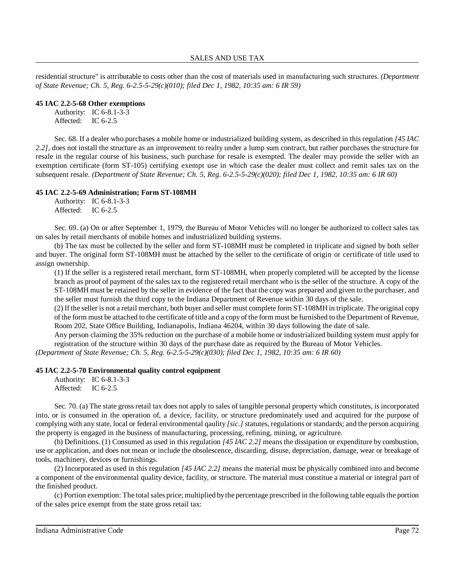residential structure" is attributable to costs other than the cost of materials used in manufacturing such structures. *(Department of State Revenue; Ch. 5, Reg. 6-2.5-5-29(c)(010); filed Dec 1, 1982, 10:35 am: 6 IR 59)*

#### **45 IAC 2.2-5-68 Other exemptions**

Authority: IC 6-8.1-3-3 Affected: IC 6-2.5

Sec. 68. If a dealer who purchases a mobile home or industrialized building system, as described in this regulation *[45 IAC 2.2]*, does not install the structure as an improvement to realty under a lump sum contract, but rather purchases the structure for resale in the regular course of his business, such purchase for resale is exempted. The dealer may provide the seller with an exemption certificate (form ST-105) certifying exempt use in which case the dealer must collect and remit sales tax on the subsequent resale. *(Department of State Revenue; Ch. 5, Reg. 6-2.5-5-29(c)(020); filed Dec 1, 1982, 10:35 am: 6 IR 60)*

#### **45 IAC 2.2-5-69 Administration; Form ST-108MH**

Authority: IC 6-8.1-3-3 Affected: IC 6-2.5

Sec. 69. (a) On or after September 1, 1979, the Bureau of Motor Vehicles will no longer be authorized to collect sales tax on sales by retail merchants of mobile homes and industrialized building systems.

(b) The tax must be collected by the seller and form ST-108MH must be completed in triplicate and signed by both seller and buyer. The original form ST-108MH must be attached by the seller to the certificate of origin or certificate of title used to assign ownership.

(1) If the seller is a registered retail merchant, form ST-108MH, when properly completed will be accepted by the license branch as proof of payment of the sales tax to the registered retail merchant who is the seller of the structure. A copy of the ST-108MH must be retained by the seller in evidence of the fact that the copy was prepared and given to the purchaser, and the seller must furnish the third copy to the Indiana Department of Revenue within 30 days of the sale.

(2) If the seller is not a retail merchant, both buyer and seller must complete form ST-108MH in triplicate. The original copy of the form must be attached to the certificate of title and a copy of the form must be furnished to the Department of Revenue, Room 202, State Office Building, Indianapolis, Indiana 46204, within 30 days following the date of sale.

Any person claiming the 35% reduction on the purchase of a mobile home or industrialized building system must apply for registration of the structure within 30 days of the purchase date as required by the Bureau of Motor Vehicles.

*(Department of State Revenue; Ch. 5, Reg. 6-2.5-5-29(c)(030); filed Dec 1, 1982, 10:35 am: 6 IR 60)*

# **45 IAC 2.2-5-70 Environmental quality control equipment**

Authority: IC 6-8.1-3-3 Affected: IC 6-2.5

Sec. 70. (a) The state gross retail tax does not apply to sales of tangible personal property which constitutes, is incorporated into, or is consumed in the operation of, a device, facility, or structure predominately used and acquired for the purpose of complying with any state, local or federal environmental qaulity *[sic.]* statutes, regulations or standards; and the person acquiring the property is engaged in the business of manufacturing, processing, refining, mining, or agriculture.

(b) Definitions. (1) Consumed as used in this regulation *[45 IAC 2.2]* means the dissipation or expenditure by combustion, use or application, and does not mean or include the obsolescence, discarding, disuse, depreciation, damage, wear or breakage of tools, machinery, devices or furnishings.

(2) Incorporated as used in this regulation *[45 IAC 2.2]* means the material must be physically combined into and become a component of the environmental quality device, facility, or structure. The material must constitue a material or integral part of the finished product.

(c) Portion exemption: The total sales price; multiplied bythe percentage prescribed in the following table equalsthe portion of the sales price exempt from the state gross retail tax: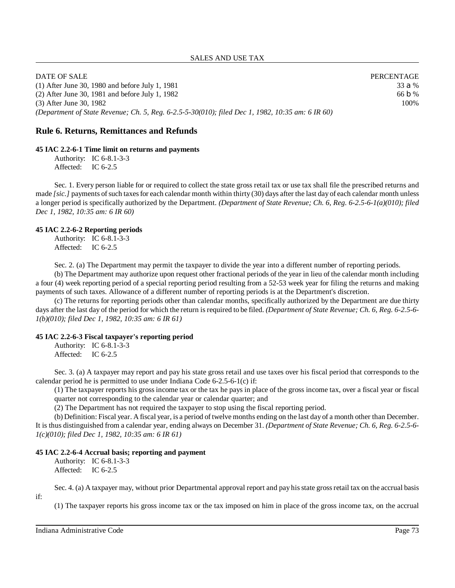| DATE OF SALE                                                                                     | PERCENTAGE        |
|--------------------------------------------------------------------------------------------------|-------------------|
| $(1)$ After June 30, 1980 and before July 1, 1981                                                | 33a%              |
| $(2)$ After June 30, 1981 and before July 1, 1982                                                | 66 $\mathsf{D\%}$ |
| (3) After June 30, 1982                                                                          | 100%              |
| (Department of State Revenue; Ch. 5, Reg. 6-2.5-5-30(010); filed Dec 1, 1982, 10:35 am: 6 IR 60) |                   |

## **Rule 6. Returns, Remittances and Refunds**

#### **45 IAC 2.2-6-1 Time limit on returns and payments**

Authority: IC 6-8.1-3-3 Affected: IC 6-2.5

Sec. 1. Every person liable for or required to collect the state gross retail tax or use tax shall file the prescribed returns and made *[sic.]* payments of such taxes for each calendar month within thirty (30) days after the last day of each calendar month unless a longer period is specifically authorized by the Department. *(Department of State Revenue; Ch. 6, Reg. 6-2.5-6-1(a)(010); filed Dec 1, 1982, 10:35 am: 6 IR 60)*

#### **45 IAC 2.2-6-2 Reporting periods**

Authority: IC 6-8.1-3-3 Affected: IC 6-2.5

Sec. 2. (a) The Department may permit the taxpayer to divide the year into a different number of reporting periods.

(b) The Department may authorize upon request other fractional periods of the year in lieu of the calendar month including a four (4) week reporting period of a special reporting period resulting from a 52-53 week year for filing the returns and making payments of such taxes. Allowance of a different number of reporting periods is at the Department's discretion.

(c) The returns for reporting periods other than calendar months, specifically authorized by the Department are due thirty days after the last day of the period for which the return isrequired to be filed. *(Department of State Revenue; Ch. 6, Reg. 6-2.5-6- 1(b)(010); filed Dec 1, 1982, 10:35 am: 6 IR 61)*

#### **45 IAC 2.2-6-3 Fiscal taxpayer's reporting period**

Authority: IC 6-8.1-3-3 Affected: IC 6-2.5

Sec. 3. (a) A taxpayer may report and pay his state gross retail and use taxes over his fiscal period that corresponds to the calendar period he is permitted to use under Indiana Code 6-2.5-6-1(c) if:

(1) The taxpayer reports his gross income tax or the tax he pays in place of the gross income tax, over a fiscal year or fiscal quarter not corresponding to the calendar year or calendar quarter; and

(2) The Department has not required the taxpayer to stop using the fiscal reporting period.

(b) Definition: Fiscal year. A fiscal year, is a period of twelve months ending on the last day of a month other than December. It is thus distinguished from a calendar year, ending always on December 31. *(Department of State Revenue; Ch. 6, Reg. 6-2.5-6- 1(c)(010); filed Dec 1, 1982, 10:35 am: 6 IR 61)*

#### **45 IAC 2.2-6-4 Accrual basis; reporting and payment**

Authority: IC 6-8.1-3-3 Affected: IC 6-2.5

if:

Sec. 4. (a) A taxpayer may, without prior Departmental approval report and pay hisstate grossretail tax on the accrual basis

(1) The taxpayer reports his gross income tax or the tax imposed on him in place of the gross income tax, on the accrual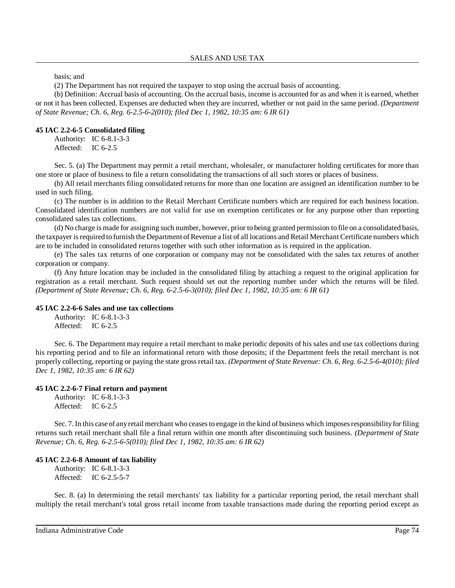basis; and

(2) The Department has not required the taxpayer to stop using the accrual basis of accounting.

(b) Definition: Accrual basis of accounting. On the accrual basis, income is accounted for as and when it is earned, whether or not it has been collected. Expenses are deducted when they are incurred, whether or not paid in the same period. *(Department of State Revenue; Ch. 6, Reg. 6-2.5-6-2(010); filed Dec 1, 1982, 10:35 am: 6 IR 61)*

#### **45 IAC 2.2-6-5 Consolidated filing**

Authority: IC 6-8.1-3-3 Affected: IC 6-2.5

Sec. 5. (a) The Department may permit a retail merchant, wholesaler, or manufacturer holding certificates for more than one store or place of business to file a return consolidating the transactions of all such stores or places of business.

(b) All retail merchants filing consolidated returns for more than one location are assigned an identification number to be used in such filing.

(c) The number is in addition to the Retail Merchant Certificate numbers which are required for each business location. Consolidated identification numbers are not valid for use on exemption certificates or for any purpose other than reporting consolidated sales tax collections.

(d) No charge is made for assigning such number, however, prior to being granted permission to file on a consolidated basis, the taxpayer is required to furnish the Department of Revenue a list of all locations and Retail Merchant Certificate numbers which are to be included in consolidated returns together with such other information as is required in the application.

(e) The sales tax returns of one corporation or company may not be consolidated with the sales tax returns of another corporation or company.

(f) Any future location may be included in the consolidated filing by attaching a request to the original application for registration as a retail merchant. Such request should set out the reporting number under which the returns will be filed. *(Department of State Revenue; Ch. 6, Reg. 6-2.5-6-3(010); filed Dec 1, 1982, 10:35 am: 6 IR 61)*

## **45 IAC 2.2-6-6 Sales and use tax collections**

Authority: IC 6-8.1-3-3 Affected: IC 6-2.5

Sec. 6. The Department may require a retail merchant to make periodic deposits of his sales and use tax collections during his reporting period and to file an informational return with those deposits; if the Department feels the retail merchant is not properly collecting, reporting or paying the state gross retail tax. *(Department of State Revenue: Ch. 6, Reg. 6-2.5-6-4(010); filed Dec 1, 1982, 10:35 am: 6 IR 62)*

#### **45 IAC 2.2-6-7 Final return and payment**

Authority: IC 6-8.1-3-3 Affected: IC 6-2.5

Sec. 7. In this case of any retail merchant who ceases to engage in the kind of business which imposes responsibility for filing returns such retail merchant shall file a final return within one month after discontinuing such business. *(Department of State Revenue; Ch. 6, Reg. 6-2.5-6-5(010); filed Dec 1, 1982, 10:35 am: 6 IR 62)*

#### **45 IAC 2.2-6-8 Amount of tax liability**

Authority: IC 6-8.1-3-3 Affected: IC 6-2.5-5-7

Sec. 8. (a) In determining the retail merchants' tax liability for a particular reporting period, the retail merchant shall multiply the retail merchant's total gross retail income from taxable transactions made during the reporting period except as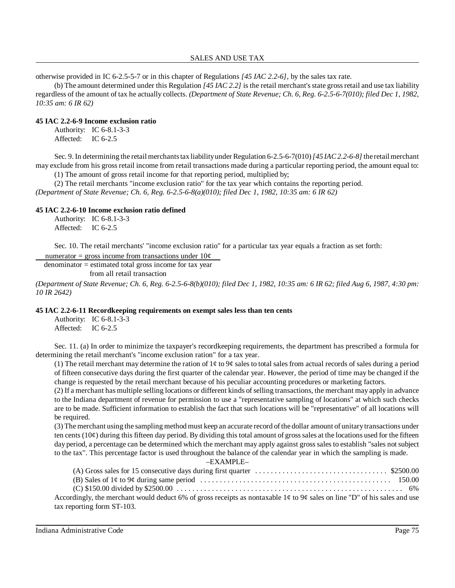otherwise provided in IC 6-2.5-5-7 or in this chapter of Regulations *[45 IAC 2.2-6]*, by the sales tax rate.

(b) The amount determined under this Regulation *[45 IAC 2.2]* is the retail merchant'sstate grossretail and use tax liability regardless of the amount of tax he actually collects. *(Department of State Revenue; Ch. 6, Reg. 6-2.5-6-7(010); filed Dec 1, 1982, 10:35 am: 6 IR 62)*

## **45 IAC 2.2-6-9 Income exclusion ratio**

Authority: IC 6-8.1-3-3 Affected: IC 6-2.5

Sec. 9. In determining the retail merchants tax liability under Regulation 6-2.5-6-7(010) [45 *IAC2.2-6-8]* the retail merchant may exclude from his gross retail income from retail transactions made during a particular reporting period, the amount equal to:

(1) The amount of gross retail income for that reporting period, multiplied by;

(2) The retail merchants "income exclusion ratio" for the tax year which contains the reporting period. *(Department of State Revenue; Ch. 6, Reg. 6-2.5-6-8(a)(010); filed Dec 1, 1982, 10:35 am: 6 IR 62)*

## **45 IAC 2.2-6-10 Income exclusion ratio defined**

Authority: IC 6-8.1-3-3 Affected: IC 6-2.5

Sec. 10. The retail merchants' "income exclusion ratio" for a particular tax year equals a fraction as set forth:

numerator = gross income from transactions under  $10¢$ 

denominator = estimated total gross income for tax year

from all retail transaction

(Department of State Revenue; Ch. 6, Reg. 6-2.5-6-8(b)(010); filed Dec 1, 1982, 10:35 am: 6 IR 62; filed Aug 6, 1987, 4:30 pm: *10 IR 2642)*

## **45 IAC 2.2-6-11 Recordkeeping requirements on exempt sales less than ten cents**

Authority: IC 6-8.1-3-3 Affected: IC 6-2.5

Sec. 11. (a) In order to minimize the taxpayer's recordkeeping requirements, the department has prescribed a formula for determining the retail merchant's "income exclusion ration" for a tax year.

(1) The retail merchant may determine the ration of  $1¢$  to  $9¢$  sales to total sales from actual records of sales during a period of fifteen consecutive days during the first quarter of the calendar year. However, the period of time may be changed if the change is requested by the retail merchant because of his peculiar accounting procedures or marketing factors.

(2) If a merchant has multiple selling locations or different kinds ofselling transactions, the merchant may apply in advance to the Indiana department of revenue for permission to use a "representative sampling of locations" at which such checks are to be made. Sufficient information to establish the fact that such locations will be "representative" of all locations will be required.

(3) Themerchant using the sampling method must keep an accurate record ofthe dollar amount of unitarytransactions under ten cents  $(10¢)$  during this fifteen day period. By dividing this total amount of gross sales at the locations used for the fifteen day period, a percentage can be determined which the merchant may apply against gross sales to establish "sales not subject to the tax". This percentage factor is used throughout the balance of the calendar year in which the sampling is made.

| (A) Gross sales for 15 consecutive days during first quarter $\dots \dots \dots \dots \dots \dots \dots \dots \dots \dots$ \$2500.00 |  |
|--------------------------------------------------------------------------------------------------------------------------------------|--|
|                                                                                                                                      |  |
|                                                                                                                                      |  |
| Accordingly, the merchant would deduct 6% of gross receipts as nontaxable 1¢ to 9¢ sales on line "D" of his sales and use            |  |
| tax reporting form ST-103.                                                                                                           |  |

Indiana Administrative Code Page 75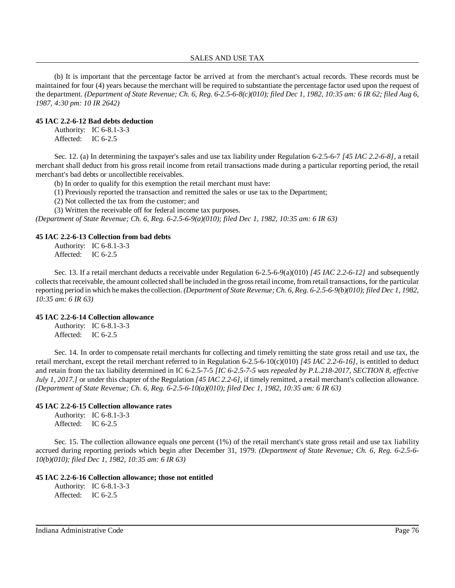#### SALES AND USE TAX

(b) It is important that the percentage factor be arrived at from the merchant's actual records. These records must be maintained for four (4) years because the merchant will be required to substantiate the percentage factor used upon the request of the department. (Department of State Revenue; Ch. 6, Reg. 6-2.5-6-8(c)(010); filed Dec 1, 1982, 10:35 am: 6 IR 62; filed Aug 6, *1987, 4:30 pm: 10 IR 2642)*

#### **45 IAC 2.2-6-12 Bad debts deduction**

Authority: IC 6-8.1-3-3 Affected: IC 6-2.5

Sec. 12. (a) In determining the taxpayer's sales and use tax liability under Regulation 6-2.5-6-7 *[45 IAC 2.2-6-8]*, a retail merchant shall deduct from his gross retail income from retail transactions made during a particular reporting period, the retail merchant's bad debts or uncollectible receivables.

(b) In order to qualify for this exemption the retail merchant must have:

(1) Previously reported the transaction and remitted the sales or use tax to the Department;

(2) Not collected the tax from the customer; and

(3) Written the receivable off for federal income tax purposes.

*(Department of State Revenue; Ch. 6, Reg. 6-2.5-6-9(a)(010); filed Dec 1, 1982, 10:35 am: 6 IR 63)*

### **45 IAC 2.2-6-13 Collection from bad debts**

Authority: IC 6-8.1-3-3 Affected: IC 6-2.5

Sec. 13. If a retail merchant deducts a receivable under Regulation 6-2.5-6-9(a)(010) *[45 IAC 2.2-6-12]* and subsequently collectsthat receivable, the amount collected shall be included in the grossretail income, from retail transactions, for the particular reporting period in which hemakesthe collection. *(Department of State Revenue; Ch. 6, Reg. 6-2.5-6-9(b)(010); filed Dec 1, 1982, 10:35 am: 6 IR 63)*

### **45 IAC 2.2-6-14 Collection allowance**

Authority: IC 6-8.1-3-3 Affected: IC 6-2.5

Sec. 14. In order to compensate retail merchants for collecting and timely remitting the state gross retail and use tax, the retail merchant, except the retail merchant referred to in Regulation 6-2.5-6-10(c)(010) [45 IAC 2.2-6-16], is entitled to deduct and retain from the tax liability determined in IC 6-2.5-7-5 *[IC 6-2.5-7-5 was repealed by P.L.218-2017, SECTION 8, effective July 1, 2017.]* or under this chapter of the Regulation *[45 IAC 2.2-6]*, if timely remitted, a retail merchant's collection allowance. *(Department of State Revenue; Ch. 6, Reg. 6-2.5-6-10(a)(010); filed Dec 1, 1982, 10:35 am: 6 IR 63)*

### **45 IAC 2.2-6-15 Collection allowance rates**

Authority: IC 6-8.1-3-3 Affected: IC 6-2.5

Sec. 15. The collection allowance equals one percent (1%) of the retail merchant's state gross retail and use tax liability accrued during reporting periods which begin after December 31, 1979. *(Department of State Revenue; Ch. 6, Reg. 6-2.5-6- 10(b)(010); filed Dec 1, 1982, 10:35 am: 6 IR 63)*

### **45 IAC 2.2-6-16 Collection allowance; those not entitled**

Authority: IC 6-8.1-3-3 Affected: IC 6-2.5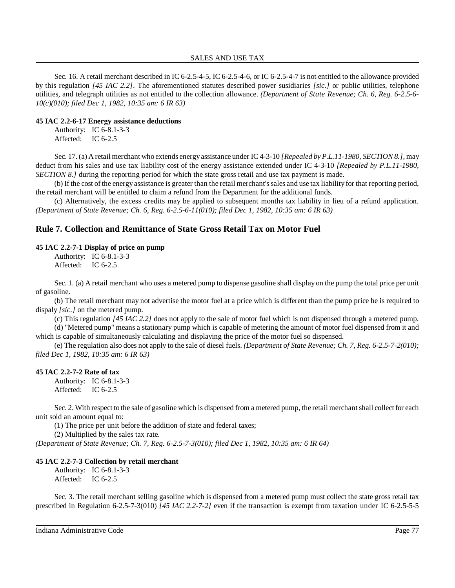Sec. 16. A retail merchant described in IC 6-2.5-4-5, IC 6-2.5-4-6, or IC 6-2.5-4-7 is not entitled to the allowance provided by this regulation *[45 IAC 2.2]*. The aforementioned statutes described power susidiaries *[sic.]* or public utilities, telephone utilities, and telegraph utilities as not entitled to the collection allowance. *(Department of State Revenue; Ch. 6, Reg. 6-2.5-6- 10(c)(010); filed Dec 1, 1982, 10:35 am: 6 IR 63)*

### **45 IAC 2.2-6-17 Energy assistance deductions**

Authority: IC 6-8.1-3-3 Affected: IC 6-2.5

Sec. 17. (a) A retail merchant who extends energyassistance under IC 4-3-10 *[Repealed by P.L.11-1980, SECTION 8.]*, may deduct from his sales and use tax liability cost of the energy assistance extended under IC 4-3-10 *[Repealed by P.L.11-1980, SECTION 8.]* during the reporting period for which the state gross retail and use tax payment is made.

(b) If the cost of the energy assistance is greater than the retail merchant'ssales and use tax liability for that reporting period, the retail merchant will be entitled to claim a refund from the Department for the additional funds.

(c) Alternatively, the excess credits may be applied to subsequent months tax liability in lieu of a refund application. *(Department of State Revenue; Ch. 6, Reg. 6-2.5-6-11(010); filed Dec 1, 1982, 10:35 am: 6 IR 63)*

# **Rule 7. Collection and Remittance of State Gross Retail Tax on Motor Fuel**

### **45 IAC 2.2-7-1 Display of price on pump**

Authority: IC 6-8.1-3-3 Affected: IC 6-2.5

Sec. 1. (a) A retail merchant who uses a metered pump to dispense gasoline shall display on the pump the total price per unit of gasoline.

(b) The retail merchant may not advertise the motor fuel at a price which is different than the pump price he is required to dispaly *[sic.]* on the metered pump.

(c) This regulation *[45 IAC 2.2]* does not apply to the sale of motor fuel which is not dispensed through a metered pump. (d) "Metered pump" means a stationary pump which is capable of metering the amount of motor fuel dispensed from it and

which is capable of simultaneously calculating and displaying the price of the motor fuel so dispensed.

(e) The regulation also does not apply to the sale of diesel fuels. *(Department of State Revenue; Ch. 7, Reg. 6-2.5-7-2(010); filed Dec 1, 1982, 10:35 am: 6 IR 63)*

## **45 IAC 2.2-7-2 Rate of tax**

Authority: IC 6-8.1-3-3 Affected: IC 6-2.5

Sec. 2. With respect to the sale of gasoline which is dispensed from a metered pump, the retail merchant shall collect for each unit sold an amount equal to:

(1) The price per unit before the addition of state and federal taxes;

(2) Multiplied by the sales tax rate.

*(Department of State Revenue; Ch. 7, Reg. 6-2.5-7-3(010); filed Dec 1, 1982, 10:35 am: 6 IR 64)*

### **45 IAC 2.2-7-3 Collection by retail merchant**

Authority: IC 6-8.1-3-3 Affected: IC 6-2.5

Sec. 3. The retail merchant selling gasoline which is dispensed from a metered pump must collect the state gross retail tax prescribed in Regulation 6-2.5-7-3(010) *[45 IAC 2.2-7-2]* even if the transaction is exempt from taxation under IC 6-2.5-5-5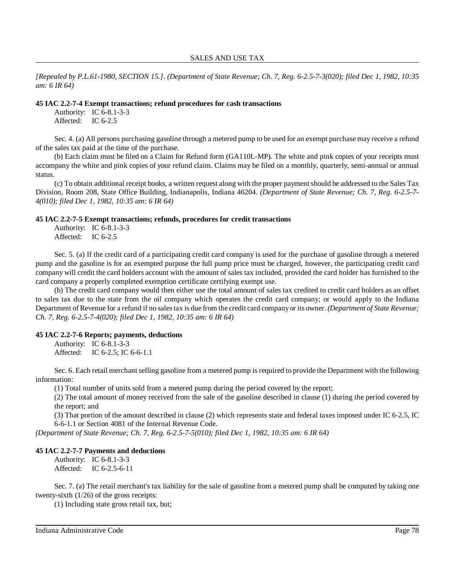[Repealed by P.L.61-1980, SECTION 15.]. (Department of State Revenue; Ch. 7, Reg. 6-2.5-7-3(020); filed Dec 1, 1982, 10:35 *am: 6 IR 64)*

#### **45 IAC 2.2-7-4 Exempt transactions; refund procedures for cash transactions**

Authority: IC 6-8.1-3-3 Affected: IC 6-2.5

Sec. 4. (a) All persons purchasing gasoline through a metered pump to be used for an exempt purchase may receive a refund of the sales tax paid at the time of the purchase.

(b) Each claim must be filed on a Claim for Refund form (GA110L-MP). The white and pink copies of your receipts must accompany the white and pink copies of your refund claim. Claims may be filed on a monthly, quarterly, semi-annual or annual status.

(c) To obtain additional receipt books, a written request along with the proper payment should be addressed to the Sales Tax Division, Room 208, State Office Building, Indianapolis, Indiana 46204. *(Department of State Revenue; Ch. 7, Reg. 6-2.5-7- 4(010); filed Dec 1, 1982, 10:35 am: 6 IR 64)*

### **45 IAC 2.2-7-5 Exempt transactions; refunds, procedures for credit transactions**

Authority: IC 6-8.1-3-3 Affected: IC 6-2.5

Sec. 5. (a) If the credit card of a participating credit card company is used for the purchase of gasoline through a metered pump and the gasoline is for an exempted purpose the full pump price must be charged, however, the participating credit card company will credit the card holders account with the amount of sales tax included, provided the card holder has furnished to the card company a properly completed exemption certificate certifying exempt use.

(b) The credit card company would then either use the total amount of sales tax credited to credit card holders as an offset to sales tax due to the state from the oil company which operates the credit card company; or would apply to the Indiana Department of Revenue for a refund if no salestax is due from the credit card companyor its owner. *(Department of State Revenue; Ch. 7, Reg. 6-2.5-7-4(020); filed Dec 1, 1982, 10:35 am: 6 IR 64)*

## **45 IAC 2.2-7-6 Reports; payments, deductions**

Authority: IC 6-8.1-3-3 Affected: IC 6-2.5; IC 6-6-1.1

Sec. 6. Each retail merchant selling gasoline from a metered pump is required to provide the Department with the following information:

(1) Total number of units sold from a metered pump during the period covered by the report;

(2) The total amount of money received from the sale of the gasoline described in clause (1) during the period covered by the report; and

(3) That portion of the amount described in clause (2) which represents state and federal taxes imposed under IC 6-2.5, IC 6-6-1.1 or Section 4081 of the Internal Revenue Code.

*(Department of State Revenue; Ch. 7, Reg. 6-2.5-7-5(010); filed Dec 1, 1982, 10:35 am: 6 IR 64)*

### **45 IAC 2.2-7-7 Payments and deductions**

Authority: IC 6-8.1-3-3 Affected: IC 6-2.5-6-11

Sec. 7. (a) The retail merchant's tax liability for the sale of gasoline from a metered pump shall be computed by taking one twenty-sixth (1/26) of the gross receipts:

(1) Including state gross retail tax, but;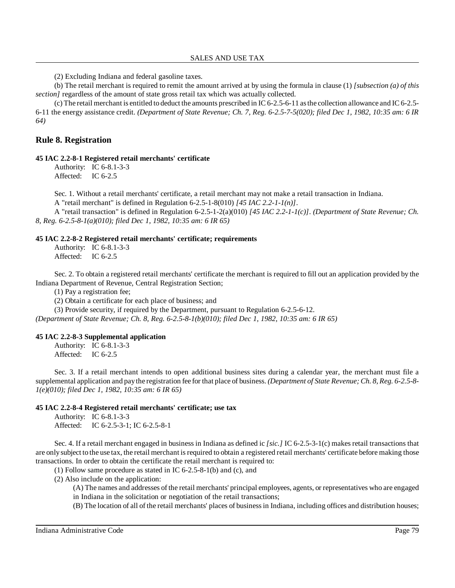(2) Excluding Indiana and federal gasoline taxes.

(b) The retail merchant is required to remit the amount arrived at by using the formula in clause (1) *[subsection (a) of this section]* regardless of the amount of state gross retail tax which was actually collected.

(c) The retail merchant is entitled to deduct the amounts prescribed in IC 6-2.5-6-11 asthe collection allowance and IC 6-2.5- 6-11 the energy assistance credit. *(Department of State Revenue; Ch. 7, Reg. 6-2.5-7-5(020); filed Dec 1, 1982, 10:35 am: 6 IR 64)*

## **Rule 8. Registration**

## **45 IAC 2.2-8-1 Registered retail merchants' certificate**

Authority: IC 6-8.1-3-3 Affected: IC 6-2.5

Sec. 1. Without a retail merchants' certificate, a retail merchant may not make a retail transaction in Indiana.

A "retail merchant" is defined in Regulation 6-2.5-1-8(010) *[45 IAC 2.2-1-1(n)]*.

A "retail transaction" is defined in Regulation 6-2.5-1-2(a)(010) *[45 IAC 2.2-1-1(c)]*. *(Department of State Revenue; Ch. 8, Reg. 6-2.5-8-1(a)(010); filed Dec 1, 1982, 10:35 am: 6 IR 65)*

#### **45 IAC 2.2-8-2 Registered retail merchants' certificate; requirements**

Authority: IC 6-8.1-3-3 Affected: IC 6-2.5

Sec. 2. To obtain a registered retail merchants' certificate the merchant is required to fill out an application provided by the Indiana Department of Revenue, Central Registration Section;

(1) Pay a registration fee;

(2) Obtain a certificate for each place of business; and

(3) Provide security, if required by the Department, pursuant to Regulation 6-2.5-6-12.

*(Department of State Revenue; Ch. 8, Reg. 6-2.5-8-1(b)(010); filed Dec 1, 1982, 10:35 am: 6 IR 65)*

#### **45 IAC 2.2-8-3 Supplemental application**

Authority: IC 6-8.1-3-3 Affected: IC 6-2.5

Sec. 3. If a retail merchant intends to open additional business sites during a calendar year, the merchant must file a supplemental application and paythe registration fee for that place of business. *(Department of State Revenue; Ch. 8, Reg. 6-2.5-8- 1(e)(010); filed Dec 1, 1982, 10:35 am: 6 IR 65)*

### **45 IAC 2.2-8-4 Registered retail merchants' certificate; use tax**

Authority: IC 6-8.1-3-3 Affected: IC 6-2.5-3-1; IC 6-2.5-8-1

Sec. 4. If a retail merchant engaged in business in Indiana as defined ic *[sic.]* IC 6-2.5-3-1(c) makes retail transactions that are onlysubject to the use tax, the retail merchant isrequired to obtain a registered retail merchants' certificate before making those transactions. In order to obtain the certificate the retail merchant is required to:

(1) Follow same procedure as stated in IC 6-2.5-8-1(b) and (c), and

(2) Also include on the application:

(A) The names and addresses of the retail merchants' principal employees, agents, or representatives who are engaged in Indiana in the solicitation or negotiation of the retail transactions;

(B) The location of all of the retail merchants' places of businessin Indiana, including offices and distribution houses;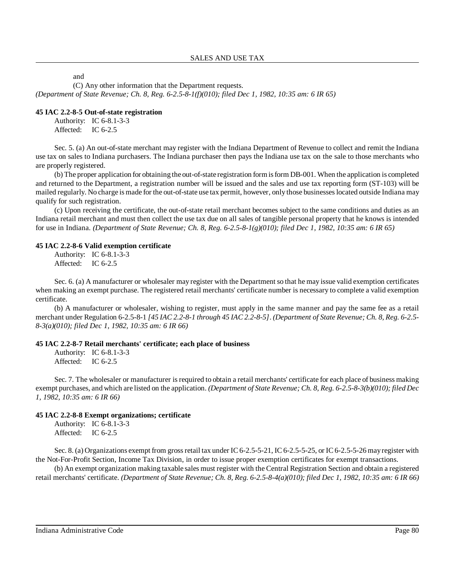and

(C) Any other information that the Department requests.

*(Department of State Revenue; Ch. 8, Reg. 6-2.5-8-1(f)(010); filed Dec 1, 1982, 10:35 am: 6 IR 65)*

### **45 IAC 2.2-8-5 Out-of-state registration**

Authority: IC 6-8.1-3-3 Affected: IC 6-2.5

Sec. 5. (a) An out-of-state merchant may register with the Indiana Department of Revenue to collect and remit the Indiana use tax on sales to Indiana purchasers. The Indiana purchaser then pays the Indiana use tax on the sale to those merchants who are properly registered.

(b) The proper application for obtaining the out-of-state registration formisform DB-001. When the application is completed and returned to the Department, a registration number will be issued and the sales and use tax reporting form (ST-103) will be mailed regularly. No charge is made for the out-of-state use tax permit, however, only those businesseslocated outside Indiana may qualify for such registration.

(c) Upon receiving the certificate, the out-of-state retail merchant becomes subject to the same conditions and duties as an Indiana retail merchant and must then collect the use tax due on all sales of tangible personal property that he knows is intended for use in Indiana. *(Department of State Revenue; Ch. 8, Reg. 6-2.5-8-1(g)(010); filed Dec 1, 1982, 10:35 am: 6 IR 65)*

## **45 IAC 2.2-8-6 Valid exemption certificate**

Authority: IC 6-8.1-3-3 Affected: IC 6-2.5

Sec. 6. (a) A manufacturer or wholesaler may register with the Department so that he may issue valid exemption certificates when making an exempt purchase. The registered retail merchants' certificate number is necessary to complete a valid exemption certificate.

(b) A manufacturer or wholesaler, wishing to register, must apply in the same manner and pay the same fee as a retail merchant under Regulation 6-2.5-8-1 [45 IAC 2.2-8-1 through 45 IAC 2.2-8-5]. (Department of State Revenue; Ch. 8, Reg. 6-2.5-*8-3(a)(010); filed Dec 1, 1982, 10:35 am: 6 IR 66)*

### **45 IAC 2.2-8-7 Retail merchants' certificate; each place of business**

Authority: IC 6-8.1-3-3 Affected: IC 6-2.5

Sec. 7. The wholesaler or manufacturer is required to obtain a retail merchants' certificate for each place of business making exempt purchases, and which are listed on the application. *(Department of State Revenue; Ch. 8, Reg. 6-2.5-8-3(b)(010); filed Dec 1, 1982, 10:35 am: 6 IR 66)*

## **45 IAC 2.2-8-8 Exempt organizations; certificate**

Authority: IC 6-8.1-3-3 Affected: IC 6-2.5

Sec. 8. (a) Organizations exempt from gross retail tax under IC 6-2.5-5-21, IC 6-2.5-5-25, or IC 6-2.5-5-26 may register with the Not-For-Profit Section, Income Tax Division, in order to issue proper exemption certificates for exempt transactions.

(b) An exempt organization making taxable sales must register with the Central Registration Section and obtain a registered retail merchants' certificate. (Department of State Revenue; Ch. 8, Reg. 6-2.5-8-4(a)(010); filed Dec 1, 1982, 10:35 am: 6 IR 66)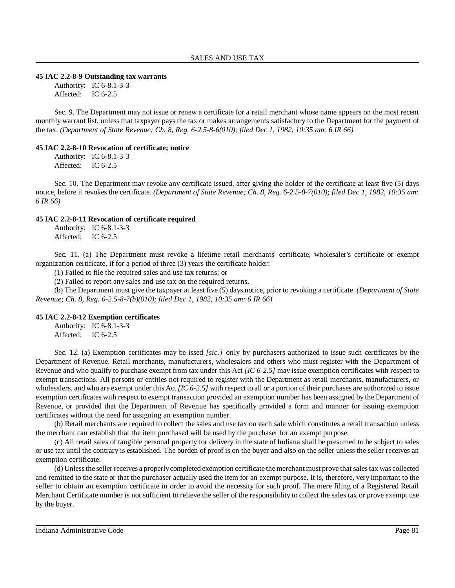#### **45 IAC 2.2-8-9 Outstanding tax warrants**

Authority: IC 6-8.1-3-3 Affected: IC 6-2.5

Sec. 9. The Department may not issue or renew a certificate for a retail merchant whose name appears on the most recent monthly warrant list, unless that taxpayer pays the tax or makes arrangements satisfactory to the Department for the payment of the tax. *(Department of State Revenue; Ch. 8, Reg. 6-2.5-8-6(010); filed Dec 1, 1982, 10:35 am: 6 IR 66)*

### **45 IAC 2.2-8-10 Revocation of certificate; notice**

Authority: IC 6-8.1-3-3 Affected: IC 6-2.5

Sec. 10. The Department may revoke any certificate issued, after giving the holder of the certificate at least five (5) days notice, before it revokes the certificate. *(Department of State Revenue; Ch. 8, Reg. 6-2.5-8-7(010); filed Dec 1, 1982, 10:35 am: 6 IR 66)*

### **45 IAC 2.2-8-11 Revocation of certificate required**

Authority: IC 6-8.1-3-3 Affected: IC 6-2.5

Sec. 11. (a) The Department must revoke a lifetime retail merchants' certificate, wholesaler's certificate or exempt organization certificate, if for a period of three (3) years the certificate holder:

(1) Failed to file the required sales and use tax returns; or

(2) Failed to report any sales and use tax on the required returns.

(b) The Department must give the taxpayer at least five (5) days notice, prior to revoking a certificate. *(Department of State Revenue; Ch. 8, Reg. 6-2.5-8-7(b)(010); filed Dec 1, 1982, 10:35 am: 6 IR 66)*

### **45 IAC 2.2-8-12 Exemption certificates**

Authority: IC 6-8.1-3-3 Affected: IC 6-2.5

Sec. 12. (a) Exemption certificates may be issed *[sic.]* only by purchasers authorized to issue such certificates by the Department of Revenue. Retail merchants, manufacturers, wholesalers and others who must register with the Department of Revenue and who qualify to purchase exempt from tax under this Act *[IC 6-2.5]* may issue exemption certificates with respect to exempt transactions. All persons or entities not required to register with the Department as retail merchants, manufacturers, or wholesalers, and who are exempt under this Act *[IC 6-2.5]* with respect to all or a portion of their purchases are authorized to issue exemption certificates with respect to exempt transaction provided an exemption number has been assigned by the Department of Revenue, or provided that the Department of Revenue has specifically provided a form and manner for issuing exemption certificates without the need for assigning an exemption number.

(b) Retail merchants are required to collect the sales and use tax on each sale which constitutes a retail transaction unless the merchant can establish that the item purchased will be used by the purchaser for an exempt purpose.

(c) All retail sales of tangible personal property for delivery in the state of Indiana shall be presumed to be subject to sales or use tax until the contrary is established. The burden of proof is on the buyer and also on the seller unless the seller receives an exemption certificate.

(d) Unlessthe seller receives a properlycompleted exemption certificate themerchant must prove that salestax was collected and remitted to the state or that the purchaser actually used the item for an exempt purpose. It is, therefore, very important to the seller to obtain an exemption certificate in order to avoid the necessity for such proof. The mere filing of a Registered Retail Merchant Certificate number is not sufficient to relieve the seller of the responsibility to collect the sales tax or prove exempt use by the buyer.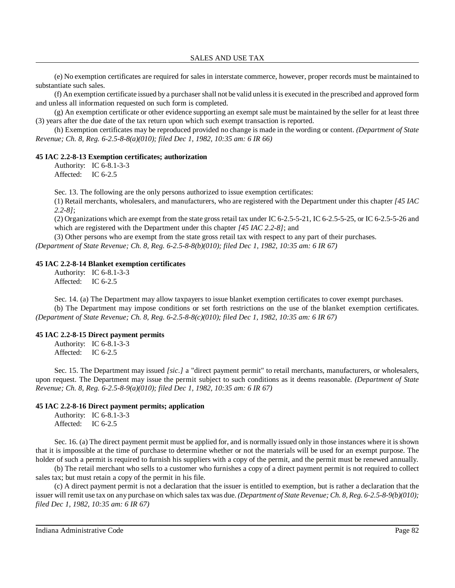(e) No exemption certificates are required for sales in interstate commerce, however, proper records must be maintained to substantiate such sales.

(f) An exemption certificate issued by a purchaser shall not be valid unlessit is executed in the prescribed and approved form and unless all information requested on such form is completed.

(g) An exemption certificate or other evidence supporting an exempt sale must be maintained by the seller for at least three (3) years after the due date of the tax return upon which such exempt transaction is reported.

(h) Exemption certificates may be reproduced provided no change is made in the wording or content. *(Department of State Revenue; Ch. 8, Reg. 6-2.5-8-8(a)(010); filed Dec 1, 1982, 10:35 am: 6 IR 66)*

#### **45 IAC 2.2-8-13 Exemption certificates; authorization**

Authority: IC 6-8.1-3-3 Affected: IC 6-2.5

Sec. 13. The following are the only persons authorized to issue exemption certificates:

(1) Retail merchants, wholesalers, and manufacturers, who are registered with the Department under this chapter *[45 IAC 2.2-8]*;

(2) Organizations which are exempt from the state gross retail tax under IC 6-2.5-5-21, IC 6-2.5-5-25, or IC 6-2.5-5-26 and which are registered with the Department under this chapter *[45 IAC 2.2-8]*; and

(3) Other persons who are exempt from the state gross retail tax with respect to any part of their purchases.

*(Department of State Revenue; Ch. 8, Reg. 6-2.5-8-8(b)(010); filed Dec 1, 1982, 10:35 am: 6 IR 67)*

#### **45 IAC 2.2-8-14 Blanket exemption certificates**

Authority: IC 6-8.1-3-3 Affected: IC 6-2.5

Sec. 14. (a) The Department may allow taxpayers to issue blanket exemption certificates to cover exempt purchases.

(b) The Department may impose conditions or set forth restrictions on the use of the blanket exemption certificates. *(Department of State Revenue; Ch. 8, Reg. 6-2.5-8-8(c)(010); filed Dec 1, 1982, 10:35 am: 6 IR 67)*

### **45 IAC 2.2-8-15 Direct payment permits**

Authority: IC 6-8.1-3-3 Affected: IC 6-2.5

Sec. 15. The Department may issued *[sic.]* a "direct payment permit" to retail merchants, manufacturers, or wholesalers, upon request. The Department may issue the permit subject to such conditions as it deems reasonable. *(Department of State Revenue; Ch. 8, Reg. 6-2.5-8-9(a)(010); filed Dec 1, 1982, 10:35 am: 6 IR 67)*

#### **45 IAC 2.2-8-16 Direct payment permits; application**

Authority: IC 6-8.1-3-3 Affected: IC 6-2.5

Sec. 16. (a) The direct payment permit must be applied for, and is normally issued only in those instances where it is shown that it is impossible at the time of purchase to determine whether or not the materials will be used for an exempt purpose. The holder of such a permit is required to furnish his suppliers with a copy of the permit, and the permit must be renewed annually.

(b) The retail merchant who sells to a customer who furnishes a copy of a direct payment permit is not required to collect sales tax; but must retain a copy of the permit in his file.

(c) A direct payment permit is not a declaration that the issuer is entitled to exemption, but is rather a declaration that the issuer will remit use tax on any purchase on which salestax was due. *(Department of State Revenue; Ch. 8, Reg. 6-2.5-8-9(b)(010); filed Dec 1, 1982, 10:35 am: 6 IR 67)*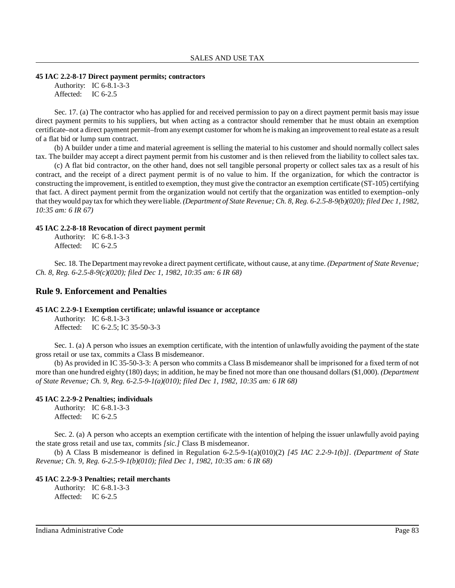#### **45 IAC 2.2-8-17 Direct payment permits; contractors**

Authority: IC 6-8.1-3-3 Affected: IC 6-2.5

Sec. 17. (a) The contractor who has applied for and received permission to pay on a direct payment permit basis may issue direct payment permits to his suppliers, but when acting as a contractor should remember that he must obtain an exemption certificate–not a direct payment permit–from anyexempt customer for whom he is making an improvement to real estate as a result of a flat bid or lump sum contract.

(b) A builder under a time and material agreement is selling the material to his customer and should normally collect sales tax. The builder may accept a direct payment permit from his customer and is then relieved from the liability to collect sales tax.

(c) A flat bid contractor, on the other hand, does not sell tangible personal property or collect sales tax as a result of his contract, and the receipt of a direct payment permit is of no value to him. If the organization, for which the contractor is constructing the improvement, is entitled to exemption, theymust give the contractor an exemption certificate (ST-105) certifying that fact. A direct payment permit from the organization would not certify that the organization was entitled to exemption–only that theywould paytax for which theywere liable. *(Department of State Revenue; Ch. 8, Reg. 6-2.5-8-9(b)(020); filed Dec 1, 1982, 10:35 am: 6 IR 67)*

### **45 IAC 2.2-8-18 Revocation of direct payment permit**

Authority: IC 6-8.1-3-3 Affected: IC 6-2.5

Sec. 18. The Department mayrevoke a direct payment certificate, without cause, at any time. *(Department of State Revenue; Ch. 8, Reg. 6-2.5-8-9(c)(020); filed Dec 1, 1982, 10:35 am: 6 IR 68)*

# **Rule 9. Enforcement and Penalties**

# **45 IAC 2.2-9-1 Exemption certificate; unlawful issuance or acceptance**

Authority: IC 6-8.1-3-3 Affected: IC 6-2.5; IC 35-50-3-3

Sec. 1. (a) A person who issues an exemption certificate, with the intention of unlawfully avoiding the payment of the state gross retail or use tax, commits a Class B misdemeanor.

(b) As provided in IC 35-50-3-3: A person who commits a Class B misdemeanor shall be imprisoned for a fixed term of not more than one hundred eighty (180) days; in addition, he may be fined not more than one thousand dollars (\$1,000). *(Department of State Revenue; Ch. 9, Reg. 6-2.5-9-1(a)(010); filed Dec 1, 1982, 10:35 am: 6 IR 68)*

### **45 IAC 2.2-9-2 Penalties; individuals**

Authority: IC 6-8.1-3-3 Affected: IC 6-2.5

Sec. 2. (a) A person who accepts an exemption certificate with the intention of helping the issuer unlawfully avoid paying the state gross retail and use tax, commits *[sic.]* Class B misdemeanor.

(b) A Class B misdemeanor is defined in Regulation 6-2.5-9-1(a)(010)(2) *[45 IAC 2.2-9-1(b)]*. *(Department of State Revenue; Ch. 9, Reg. 6-2.5-9-1(b)(010); filed Dec 1, 1982, 10:35 am: 6 IR 68)*

### **45 IAC 2.2-9-3 Penalties; retail merchants**

Authority: IC 6-8.1-3-3 Affected: IC 6-2.5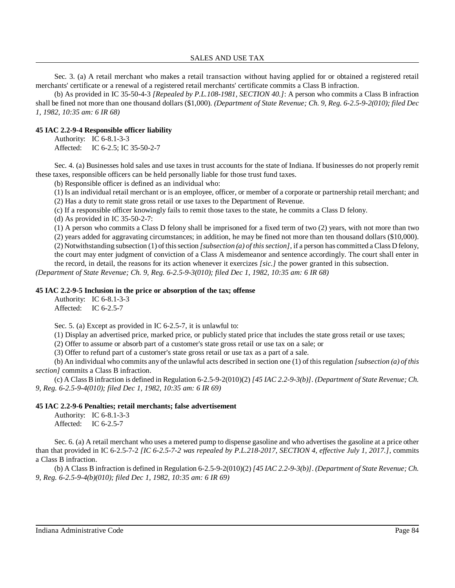Sec. 3. (a) A retail merchant who makes a retail transaction without having applied for or obtained a registered retail merchants' certificate or a renewal of a registered retail merchants' certificate commits a Class B infraction.

(b) As provided in IC 35-50-4-3 *[Repealed by P.L.108-1981, SECTION 40.]*: A person who commits a Class B infraction shall be fined not more than one thousand dollars (\$1,000). *(Department of State Revenue; Ch. 9, Reg. 6-2.5-9-2(010); filed Dec 1, 1982, 10:35 am: 6 IR 68)*

## **45 IAC 2.2-9-4 Responsible officer liability**

Authority: IC 6-8.1-3-3 Affected: IC 6-2.5; IC 35-50-2-7

Sec. 4. (a) Businesses hold sales and use taxes in trust accounts for the state of Indiana. If businesses do not properly remit these taxes, responsible officers can be held personally liable for those trust fund taxes.

(b) Responsible officer is defined as an individual who:

(1) Is an individual retail merchant or is an employee, officer, or member of a corporate or partnership retail merchant; and

(2) Has a duty to remit state gross retail or use taxes to the Department of Revenue.

(c) If a responsible officer knowingly fails to remit those taxes to the state, he commits a Class D felony.

(d) As provided in IC 35-50-2-7:

(1) A person who commits a Class D felony shall be imprisoned for a fixed term of two (2) years, with not more than two

(2) years added for aggravating circumstances; in addition, he may be fined not more than ten thousand dollars (\$10,000).

(2) Notwithstanding subsection (1) ofthissection *[subsection (a) of thissection]*, if a person has committed a Class D felony,

the court may enter judgment of conviction of a Class A misdemeanor and sentence accordingly. The court shall enter in the record, in detail, the reasons for its action whenever it exercizes *[sic.]* the power granted in this subsection.

*(Department of State Revenue; Ch. 9, Reg. 6-2.5-9-3(010); filed Dec 1, 1982, 10:35 am: 6 IR 68)*

### **45 IAC 2.2-9-5 Inclusion in the price or absorption of the tax; offense**

Authority: IC 6-8.1-3-3 Affected: IC 6-2.5-7

Sec. 5. (a) Except as provided in IC 6-2.5-7, it is unlawful to:

(1) Display an advertised price, marked price, or publicly stated price that includes the state gross retail or use taxes;

(2) Offer to assume or absorb part of a customer's state gross retail or use tax on a sale; or

(3) Offer to refund part of a customer's state gross retail or use tax as a part of a sale.

(b) An individual who commits any of the unlawful acts described in section one (1) of this regulation *[subsection (a) of this section]* commits a Class B infraction.

(c) A Class B infraction is defined in Regulation 6-2.5-9-2(010)(2) *[45 IAC 2.2-9-3(b)]*. *(Department of State Revenue; Ch. 9, Reg. 6-2.5-9-4(010); filed Dec 1, 1982, 10:35 am: 6 IR 69)*

### **45 IAC 2.2-9-6 Penalties; retail merchants; false advertisement**

Authority: IC 6-8.1-3-3 Affected: IC 6-2.5-7

Sec. 6. (a) A retail merchant who uses a metered pump to dispense gasoline and who advertises the gasoline at a price other than that provided in IC 6-2.5-7-2 *[IC 6-2.5-7-2 was repealed by P.L.218-2017, SECTION 4, effective July 1, 2017.]*, commits a Class B infraction.

(b) A Class B infraction is defined in Regulation 6-2.5-9-2(010)(2) *[45 IAC 2.2-9-3(b)]*. *(Department of State Revenue; Ch. 9, Reg. 6-2.5-9-4(b)(010); filed Dec 1, 1982, 10:35 am: 6 IR 69)*